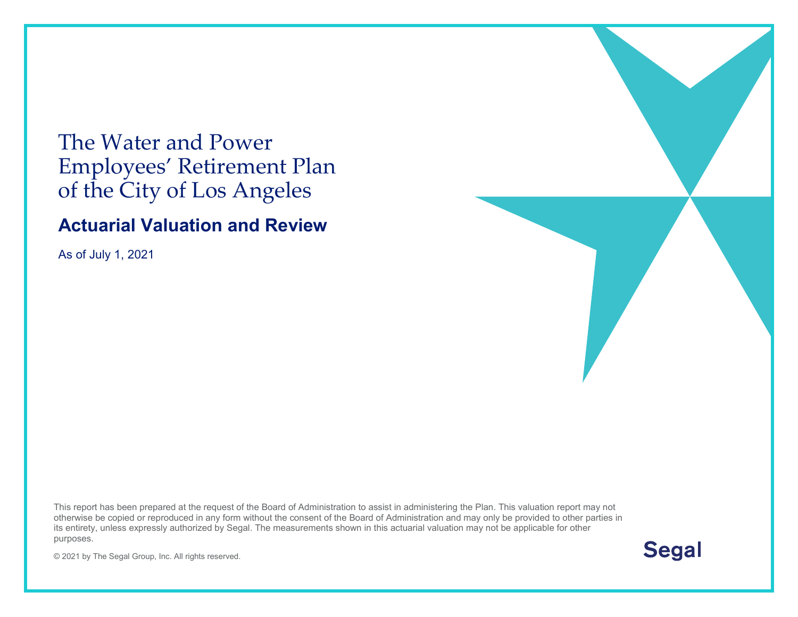# The Water and Power Employees' Retirement Plan of the City of Los Angeles

### **Actuarial Valuation and Review**

As of July 1, 2021

This report has been prepared at the request of the Board of Administration to assist in administering the Plan. This valuation report may not otherwise be copied or reproduced in any form without the consent of the Board of Administration and may only be provided to other parties in its entirety, unless expressly authorized by Segal. The measurements shown in this actuarial valuation may not be applicable for other purposes.

**Segal** 

© 2021 by The Segal Group, Inc. All rights reserved.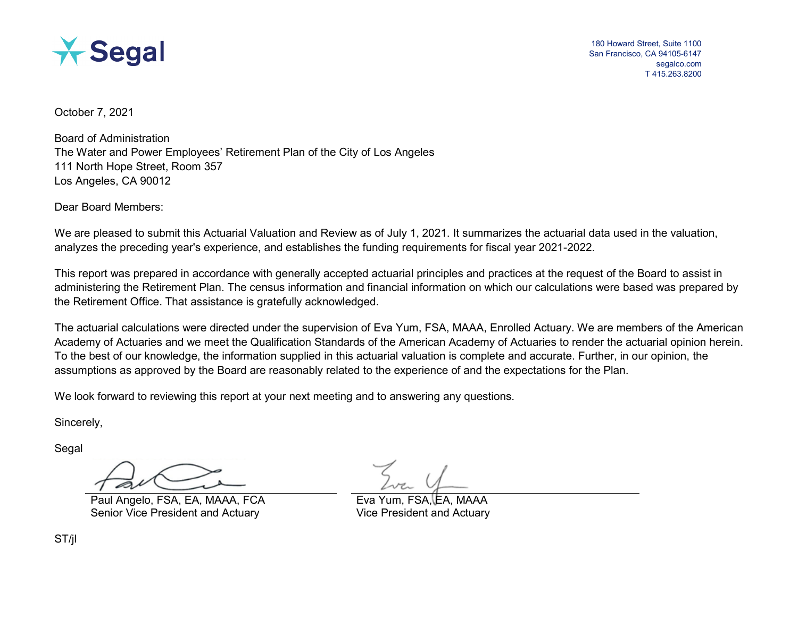

180 Howard Street, Suite 1100 San Francisco, CA 94105-6147 segalco.com T 415.263.8200

October 7, 2021

Board of Administration The Water and Power Employees' Retirement Plan of the City of Los Angeles 111 North Hope Street, Room 357 Los Angeles, CA 90012

Dear Board Members:

We are pleased to submit this Actuarial Valuation and Review as of July 1, 2021. It summarizes the actuarial data used in the valuation, analyzes the preceding year's experience, and establishes the funding requirements for fiscal year 2021-2022.

This report was prepared in accordance with generally accepted actuarial principles and practices at the request of the Board to assist in administering the Retirement Plan. The census information and financial information on which our calculations were based was prepared by the Retirement Office. That assistance is gratefully acknowledged.

The actuarial calculations were directed under the supervision of Eva Yum, FSA, MAAA, Enrolled Actuary. We are members of the American Academy of Actuaries and we meet the Qualification Standards of the American Academy of Actuaries to render the actuarial opinion herein. To the best of our knowledge, the information supplied in this actuarial valuation is complete and accurate. Further, in our opinion, the assumptions as approved by the Board are reasonably related to the experience of and the expectations for the Plan.

We look forward to reviewing this report at your next meeting and to answering any questions.

Sincerely,

Segal

Paul Angelo, FSA, EA, MAAA, FCA Senior Vice President and Actuary **Vice President and Actuary** Vice President and Actuary

ST/jl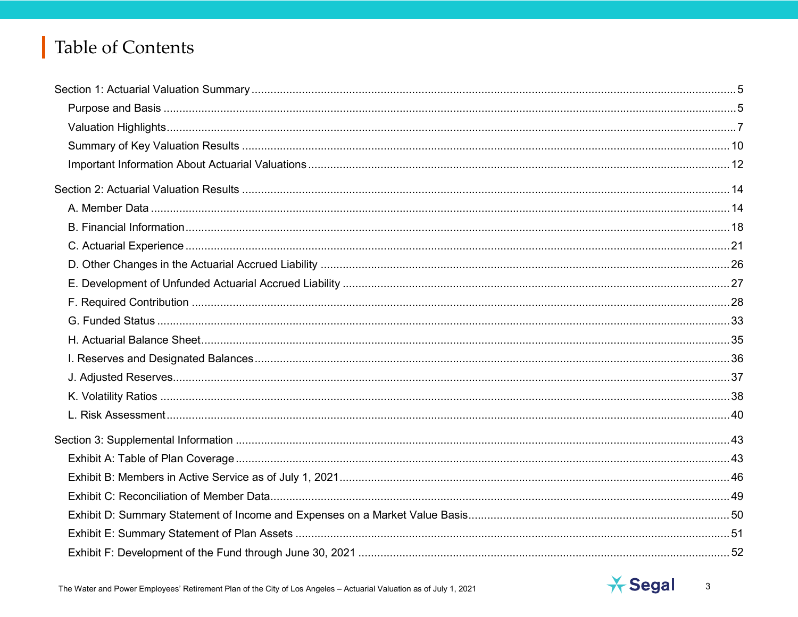# Table of Contents



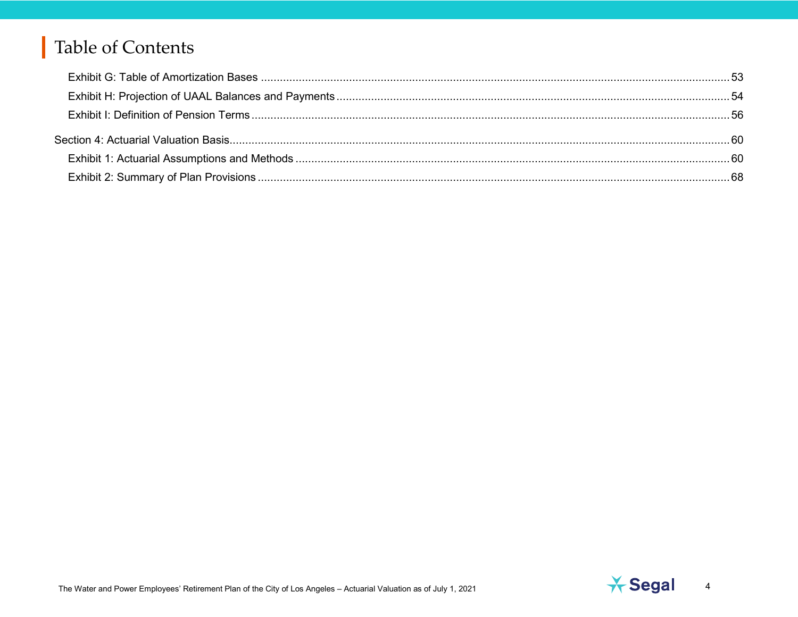# Table of Contents

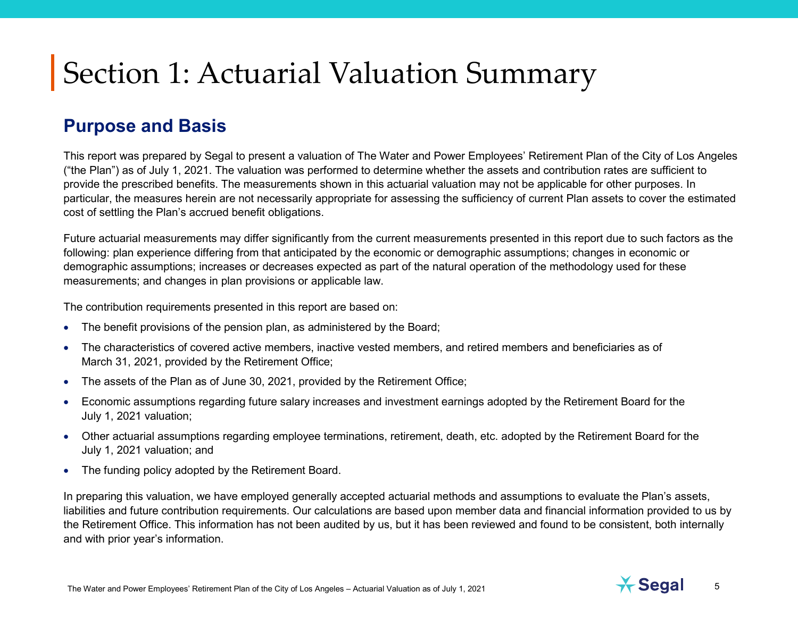### **Purpose and Basis**

This report was prepared by Segal to present a valuation of The Water and Power Employees' Retirement Plan of the City of Los Angeles ("the Plan") as of July 1, 2021. The valuation was performed to determine whether the assets and contribution rates are sufficient to provide the prescribed benefits. The measurements shown in this actuarial valuation may not be applicable for other purposes. In particular, the measures herein are not necessarily appropriate for assessing the sufficiency of current Plan assets to cover the estimated cost of settling the Plan's accrued benefit obligations.

Future actuarial measurements may differ significantly from the current measurements presented in this report due to such factors as the following: plan experience differing from that anticipated by the economic or demographic assumptions; changes in economic or demographic assumptions; increases or decreases expected as part of the natural operation of the methodology used for these measurements; and changes in plan provisions or applicable law.

The contribution requirements presented in this report are based on:

- The benefit provisions of the pension plan, as administered by the Board;
- The characteristics of covered active members, inactive vested members, and retired members and beneficiaries as of March 31, 2021, provided by the Retirement Office;
- The assets of the Plan as of June 30, 2021, provided by the Retirement Office;
- Economic assumptions regarding future salary increases and investment earnings adopted by the Retirement Board for the July 1, 2021 valuation;
- Other actuarial assumptions regarding employee terminations, retirement, death, etc. adopted by the Retirement Board for the July 1, 2021 valuation; and
- The funding policy adopted by the Retirement Board.

In preparing this valuation, we have employed generally accepted actuarial methods and assumptions to evaluate the Plan's assets, liabilities and future contribution requirements. Our calculations are based upon member data and financial information provided to us by the Retirement Office. This information has not been audited by us, but it has been reviewed and found to be consistent, both internally and with prior year's information.

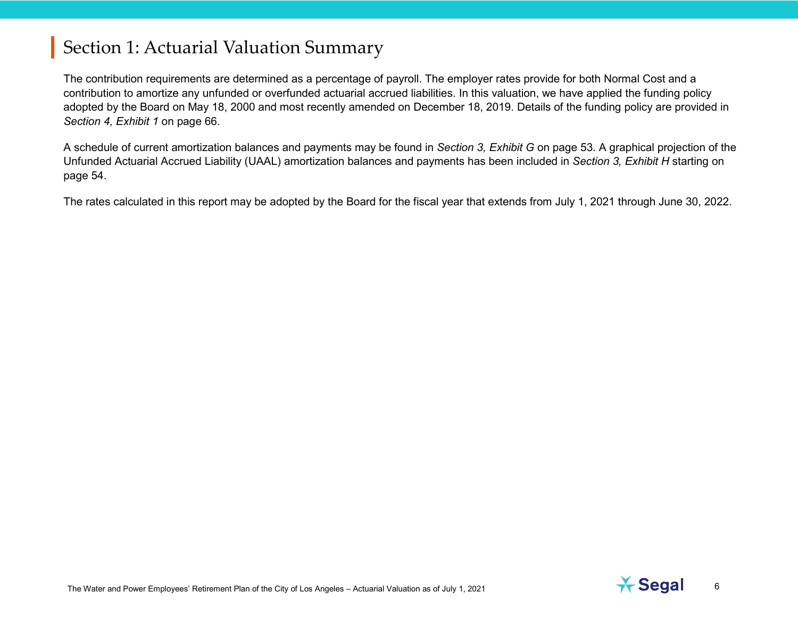The contribution requirements are determined as a percentage of payroll. The employer rates provide for both Normal Cost and a contribution to amortize any unfunded or overfunded actuarial accrued liabilities. In this valuation, we have applied the funding policy adopted by the Board on May 18, 2000 and most recently amended on December 18, 2019. Details of the funding policy are provided in *Section 4, Exhibit 1* on page 66.

A schedule of current amortization balances and payments may be found in *Section 3, Exhibit G* on page 53. A graphical projection of the Unfunded Actuarial Accrued Liability (UAAL) amortization balances and payments has been included in *Section 3, Exhibit H* starting on page 54.

The rates calculated in this report may be adopted by the Board for the fiscal year that extends from July 1, 2021 through June 30, 2022.

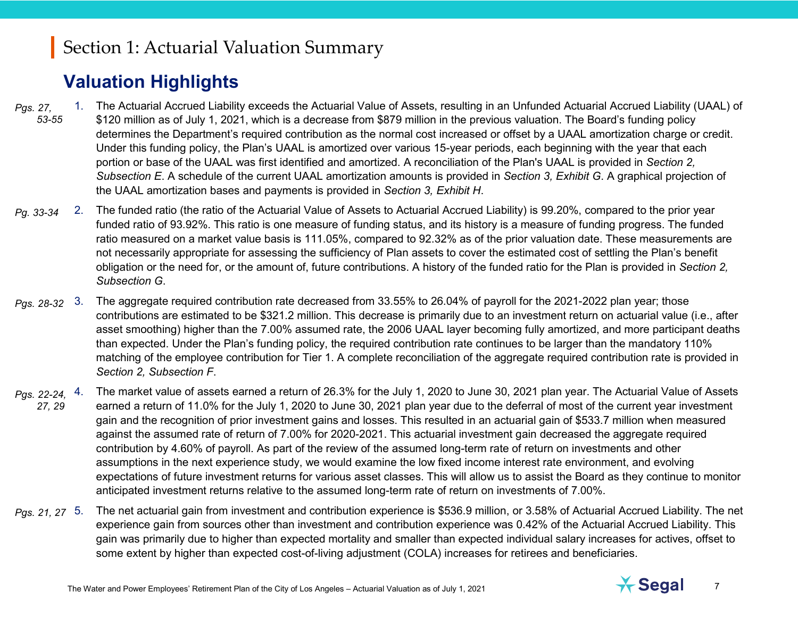## **Valuation Highlights**

- 1. The Actuarial Accrued Liability exceeds the Actuarial Value of Assets, resulting in an Unfunded Actuarial Accrued Liability (UAAL) of \$120 million as of July 1, 2021, which is a decrease from \$879 million in the previous valuation. The Board's funding policy determines the Department's required contribution as the normal cost increased or offset by a UAAL amortization charge or credit. Under this funding policy, the Plan's UAAL is amortized over various 15-year periods, each beginning with the year that each portion or base of the UAAL was first identified and amortized. A reconciliation of the Plan's UAAL is provided in *Section 2, Subsection E*. A schedule of the current UAAL amortization amounts is provided in *Section 3, Exhibit G*. A graphical projection of the UAAL amortization bases and payments is provided in *Section 3, Exhibit H*. *Pgs. 27, 53-55*
- *Pg. 33-34* 2. The funded ratio (the ratio of the Actuarial Value of Assets to Actuarial Accrued Liability) is 99.20%, compared to the prior year funded ratio of 93.92%. This ratio is one measure of funding status, and its history is a measure of funding progress. The funded ratio measured on a market value basis is 111.05%, compared to 92.32% as of the prior valuation date. These measurements are not necessarily appropriate for assessing the sufficiency of Plan assets to cover the estimated cost of settling the Plan's benefit obligation or the need for, or the amount of, future contributions. A history of the funded ratio for the Plan is provided in *Section 2, Subsection G*.
- *Pgs. 28-32* 3. The aggregate required contribution rate decreased from 33.55% to 26.04% of payroll for the 2021-2022 plan year; those contributions are estimated to be \$321.2 million. This decrease is primarily due to an investment return on actuarial value (i.e., after asset smoothing) higher than the 7.00% assumed rate, the 2006 UAAL layer becoming fully amortized, and more participant deaths than expected. Under the Plan's funding policy, the required contribution rate continues to be larger than the mandatory 110% matching of the employee contribution for Tier 1. A complete reconciliation of the aggregate required contribution rate is provided in *Section 2, Subsection F*.
- 4. The market value of assets earned a return of 26.3% for the July 1, 2020 to June 30, 2021 plan year. The Actuarial Value of Assets earned a return of 11.0% for the July 1, 2020 to June 30, 2021 plan year due to the deferral of most of the current year investment gain and the recognition of prior investment gains and losses. This resulted in an actuarial gain of \$533.7 million when measured against the assumed rate of return of 7.00% for 2020-2021. This actuarial investment gain decreased the aggregate required contribution by 4.60% of payroll. As part of the review of the assumed long-term rate of return on investments and other assumptions in the next experience study, we would examine the low fixed income interest rate environment, and evolving expectations of future investment returns for various asset classes. This will allow us to assist the Board as they continue to monitor anticipated investment returns relative to the assumed long-term rate of return on investments of 7.00%. *Pgs. 22-24, 27, 29*
- *Pgs. 21, 27* 5. The net actuarial gain from investment and contribution experience is \$536.9 million, or 3.58% of Actuarial Accrued Liability. The net experience gain from sources other than investment and contribution experience was 0.42% of the Actuarial Accrued Liability. This gain was primarily due to higher than expected mortality and smaller than expected individual salary increases for actives, offset to some extent by higher than expected cost-of-living adjustment (COLA) increases for retirees and beneficiaries.

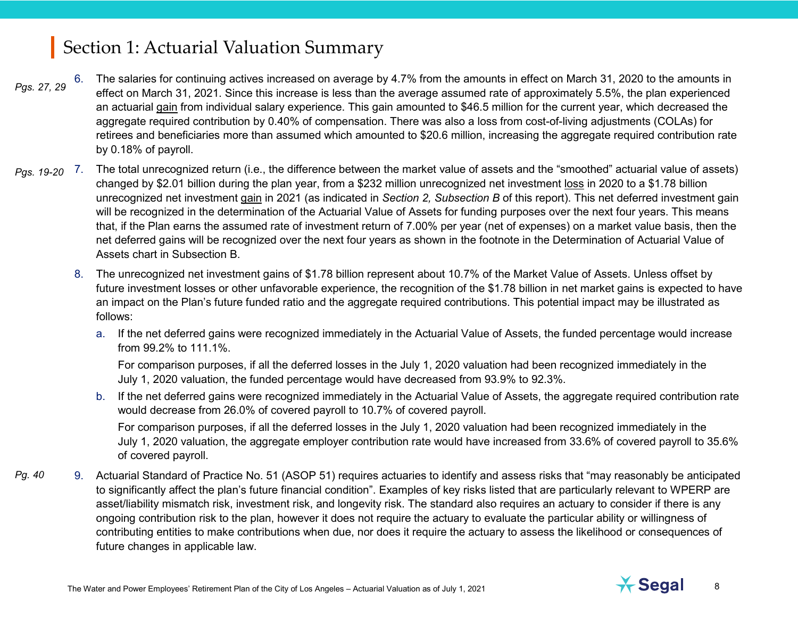- *Pgs. 27, 29* The salaries for continuing actives increased on average by 4.7% from the amounts in effect on March 31, 2020 to the amounts in effect on March 31, 2021. Since this increase is less than the average assumed rate of approximately 5.5%, the plan experienced an actuarial gain from individual salary experience. This gain amounted to \$46.5 million for the current year, which decreased the aggregate required contribution by 0.40% of compensation. There was also a loss from cost-of-living adjustments (COLAs) for retirees and beneficiaries more than assumed which amounted to \$20.6 million, increasing the aggregate required contribution rate by 0.18% of payroll.
- 7. The total unrecognized return (i.e., the difference between the market value of assets and the "smoothed" actuarial value of assets) changed by \$2.01 billion during the plan year, from a \$232 million unrecognized net investment loss in 2020 to a \$1.78 billion unrecognized net investment gain in 2021 (as indicated in *Section 2, Subsection B* of this report). This net deferred investment gain will be recognized in the determination of the Actuarial Value of Assets for funding purposes over the next four years. This means that, if the Plan earns the assumed rate of investment return of 7.00% per year (net of expenses) on a market value basis, then the net deferred gains will be recognized over the next four years as shown in the footnote in the Determination of Actuarial Value of Assets chart in Subsection B. *Pgs. 19-20*
	- 8. The unrecognized net investment gains of \$1.78 billion represent about 10.7% of the Market Value of Assets. Unless offset by future investment losses or other unfavorable experience, the recognition of the \$1.78 billion in net market gains is expected to have an impact on the Plan's future funded ratio and the aggregate required contributions. This potential impact may be illustrated as follows:
		- a. If the net deferred gains were recognized immediately in the Actuarial Value of Assets, the funded percentage would increase from 99.2% to 111.1%.

For comparison purposes, if all the deferred losses in the July 1, 2020 valuation had been recognized immediately in the July 1, 2020 valuation, the funded percentage would have decreased from 93.9% to 92.3%.

b. If the net deferred gains were recognized immediately in the Actuarial Value of Assets, the aggregate required contribution rate would decrease from 26.0% of covered payroll to 10.7% of covered payroll.

For comparison purposes, if all the deferred losses in the July 1, 2020 valuation had been recognized immediately in the July 1, 2020 valuation, the aggregate employer contribution rate would have increased from 33.6% of covered payroll to 35.6% of covered payroll.

9. Actuarial Standard of Practice No. 51 (ASOP 51) requires actuaries to identify and assess risks that "may reasonably be anticipated to significantly affect the plan's future financial condition". Examples of key risks listed that are particularly relevant to WPERP are asset/liability mismatch risk, investment risk, and longevity risk. The standard also requires an actuary to consider if there is any ongoing contribution risk to the plan, however it does not require the actuary to evaluate the particular ability or willingness of contributing entities to make contributions when due, nor does it require the actuary to assess the likelihood or consequences of future changes in applicable law. *Pg. 40*

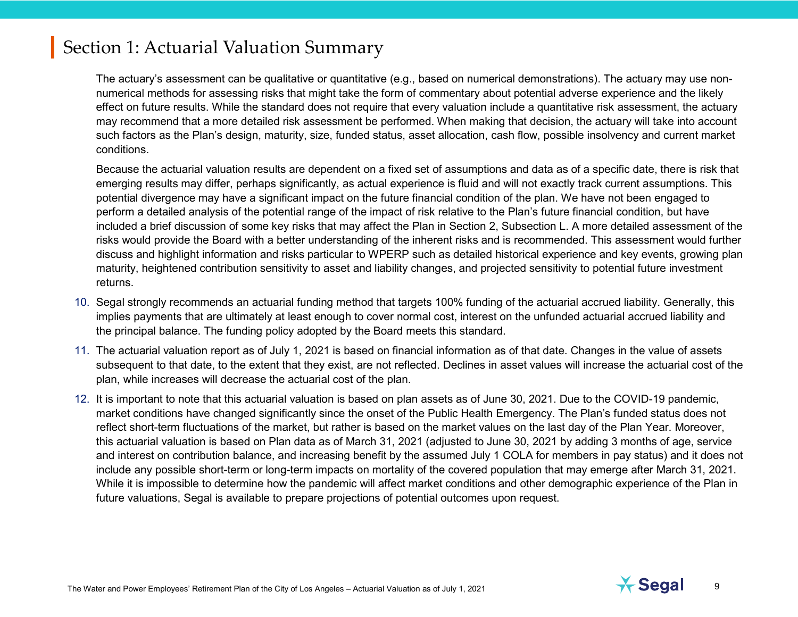The actuary's assessment can be qualitative or quantitative (e.g., based on numerical demonstrations). The actuary may use nonnumerical methods for assessing risks that might take the form of commentary about potential adverse experience and the likely effect on future results. While the standard does not require that every valuation include a quantitative risk assessment, the actuary may recommend that a more detailed risk assessment be performed. When making that decision, the actuary will take into account such factors as the Plan's design, maturity, size, funded status, asset allocation, cash flow, possible insolvency and current market conditions.

Because the actuarial valuation results are dependent on a fixed set of assumptions and data as of a specific date, there is risk that emerging results may differ, perhaps significantly, as actual experience is fluid and will not exactly track current assumptions. This potential divergence may have a significant impact on the future financial condition of the plan. We have not been engaged to perform a detailed analysis of the potential range of the impact of risk relative to the Plan's future financial condition, but have included a brief discussion of some key risks that may affect the Plan in Section 2, Subsection L. A more detailed assessment of the risks would provide the Board with a better understanding of the inherent risks and is recommended. This assessment would further discuss and highlight information and risks particular to WPERP such as detailed historical experience and key events, growing plan maturity, heightened contribution sensitivity to asset and liability changes, and projected sensitivity to potential future investment returns.

- 10. Segal strongly recommends an actuarial funding method that targets 100% funding of the actuarial accrued liability. Generally, this implies payments that are ultimately at least enough to cover normal cost, interest on the unfunded actuarial accrued liability and the principal balance. The funding policy adopted by the Board meets this standard.
- 11. The actuarial valuation report as of July 1, 2021 is based on financial information as of that date. Changes in the value of assets subsequent to that date, to the extent that they exist, are not reflected. Declines in asset values will increase the actuarial cost of the plan, while increases will decrease the actuarial cost of the plan.
- 12. It is important to note that this actuarial valuation is based on plan assets as of June 30, 2021. Due to the COVID-19 pandemic, market conditions have changed significantly since the onset of the Public Health Emergency. The Plan's funded status does not reflect short-term fluctuations of the market, but rather is based on the market values on the last day of the Plan Year. Moreover, this actuarial valuation is based on Plan data as of March 31, 2021 (adjusted to June 30, 2021 by adding 3 months of age, service and interest on contribution balance, and increasing benefit by the assumed July 1 COLA for members in pay status) and it does not include any possible short-term or long-term impacts on mortality of the covered population that may emerge after March 31, 2021. While it is impossible to determine how the pandemic will affect market conditions and other demographic experience of the Plan in future valuations, Segal is available to prepare projections of potential outcomes upon request.

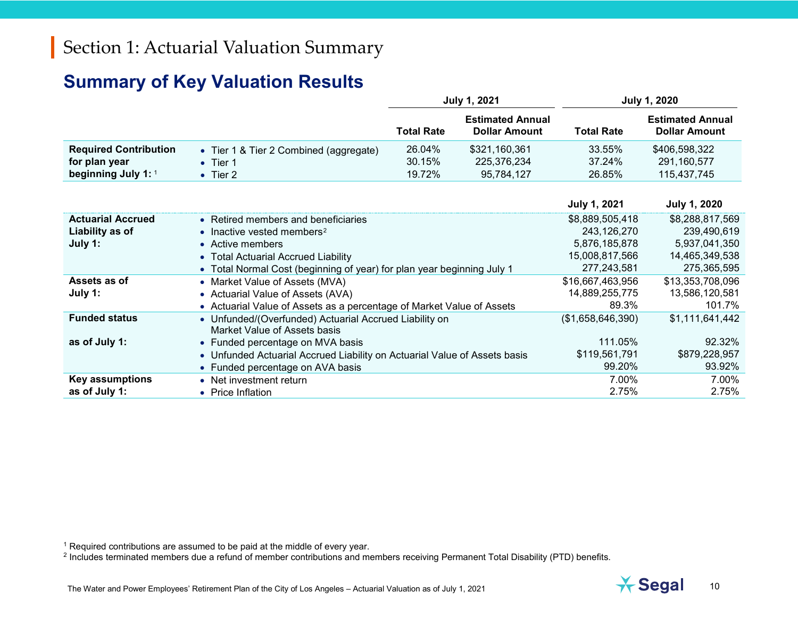### <span id="page-9-1"></span><span id="page-9-0"></span>**Summary of Key Valuation Results**

|                              |                                                                           | <b>July 1, 2021</b> |                                                 |                     | <b>July 1, 2020</b>                             |
|------------------------------|---------------------------------------------------------------------------|---------------------|-------------------------------------------------|---------------------|-------------------------------------------------|
|                              |                                                                           | <b>Total Rate</b>   | <b>Estimated Annual</b><br><b>Dollar Amount</b> | <b>Total Rate</b>   | <b>Estimated Annual</b><br><b>Dollar Amount</b> |
| <b>Required Contribution</b> | • Tier 1 & Tier 2 Combined (aggregate)                                    | 26.04%              | \$321,160,361                                   | 33.55%              | \$406,598,322                                   |
| for plan year                | $\bullet$ Tier 1                                                          | 30.15%              | 225,376,234                                     | 37.24%              | 291,160,577                                     |
| beginning July 1: 1          | $\bullet$ Tier 2                                                          | 19.72%              | 95,784,127                                      | 26.85%              | 115,437,745                                     |
|                              |                                                                           |                     |                                                 |                     |                                                 |
|                              |                                                                           |                     |                                                 | <b>July 1, 2021</b> | <b>July 1, 2020</b>                             |
| <b>Actuarial Accrued</b>     | • Retired members and beneficiaries                                       |                     |                                                 | \$8,889,505,418     | \$8,288,817,569                                 |
| Liability as of              | • Inactive vested members <sup>2</sup>                                    |                     |                                                 | 243,126,270         | 239,490,619                                     |
| July 1:                      | • Active members                                                          |                     |                                                 | 5,876,185,878       | 5,937,041,350                                   |
|                              | • Total Actuarial Accrued Liability                                       |                     |                                                 | 15,008,817,566      | 14,465,349,538                                  |
|                              | • Total Normal Cost (beginning of year) for plan year beginning July 1    |                     |                                                 | 277,243,581         | 275,365,595                                     |
| Assets as of                 | • Market Value of Assets (MVA)                                            |                     |                                                 | \$16,667,463,956    | \$13,353,708,096                                |
| July 1:                      | • Actuarial Value of Assets (AVA)                                         |                     |                                                 | 14,889,255,775      | 13,586,120,581                                  |
|                              | • Actuarial Value of Assets as a percentage of Market Value of Assets     |                     |                                                 | 89.3%               | 101.7%                                          |
| <b>Funded status</b>         | • Unfunded/(Overfunded) Actuarial Accrued Liability on                    |                     |                                                 | (\$1,658,646,390)   | \$1,111,641,442                                 |
|                              | Market Value of Assets basis                                              |                     |                                                 |                     |                                                 |
| as of July 1:                | • Funded percentage on MVA basis                                          |                     |                                                 | 111.05%             | 92.32%                                          |
|                              | • Unfunded Actuarial Accrued Liability on Actuarial Value of Assets basis |                     |                                                 | \$119,561,791       | \$879,228,957                                   |
|                              | • Funded percentage on AVA basis                                          |                     |                                                 | 99.20%              | 93.92%                                          |
| <b>Key assumptions</b>       | • Net investment return                                                   |                     |                                                 | 7.00%               | 7.00%                                           |
| as of July 1:                | <b>Price Inflation</b><br>$\bullet$                                       |                     |                                                 | 2.75%               | 2.75%                                           |

 $^{\rm 1}$  Required contributions are assumed to be paid at the middle of every year.

 $^2$  Includes terminated members due a refund of member contributions and members receiving Permanent Total Disability (PTD) benefits.

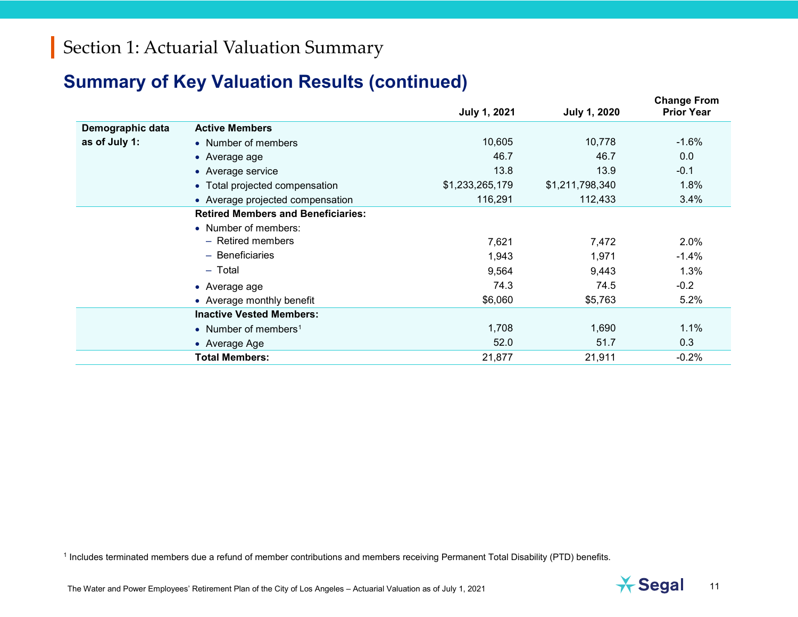### <span id="page-10-0"></span>**Summary of Key Valuation Results (continued)**

|                  |                                           | <b>July 1, 2021</b> | <b>July 1, 2020</b> | <b>Change From</b><br><b>Prior Year</b> |
|------------------|-------------------------------------------|---------------------|---------------------|-----------------------------------------|
| Demographic data | <b>Active Members</b>                     |                     |                     |                                         |
| as of July 1:    | • Number of members                       | 10,605              | 10,778              | $-1.6%$                                 |
|                  | • Average age                             | 46.7                | 46.7                | 0.0                                     |
|                  | • Average service                         | 13.8                | 13.9                | $-0.1$                                  |
|                  | • Total projected compensation            | \$1,233,265,179     | \$1,211,798,340     | 1.8%                                    |
|                  | • Average projected compensation          | 116,291             | 112,433             | 3.4%                                    |
|                  | <b>Retired Members and Beneficiaries:</b> |                     |                     |                                         |
|                  | • Number of members:                      |                     |                     |                                         |
|                  | - Retired members                         | 7,621               | 7,472               | 2.0%                                    |
|                  | - Beneficiaries                           | 1,943               | 1,971               | $-1.4%$                                 |
|                  | $-$ Total                                 | 9,564               | 9,443               | 1.3%                                    |
|                  | $\bullet$ Average age                     | 74.3                | 74.5                | $-0.2$                                  |
|                  | • Average monthly benefit                 | \$6,060             | \$5,763             | 5.2%                                    |
|                  | <b>Inactive Vested Members:</b>           |                     |                     |                                         |
|                  | • Number of members <sup>1</sup>          | 1,708               | 1,690               | 1.1%                                    |
|                  | • Average Age                             | 52.0                | 51.7                | 0.3                                     |
|                  | <b>Total Members:</b>                     | 21,877              | 21,911              | $-0.2%$                                 |

<sup>1</sup> Includes terminated members due a refund of member contributions and members receiving Permanent Total Disability (PTD) benefits.

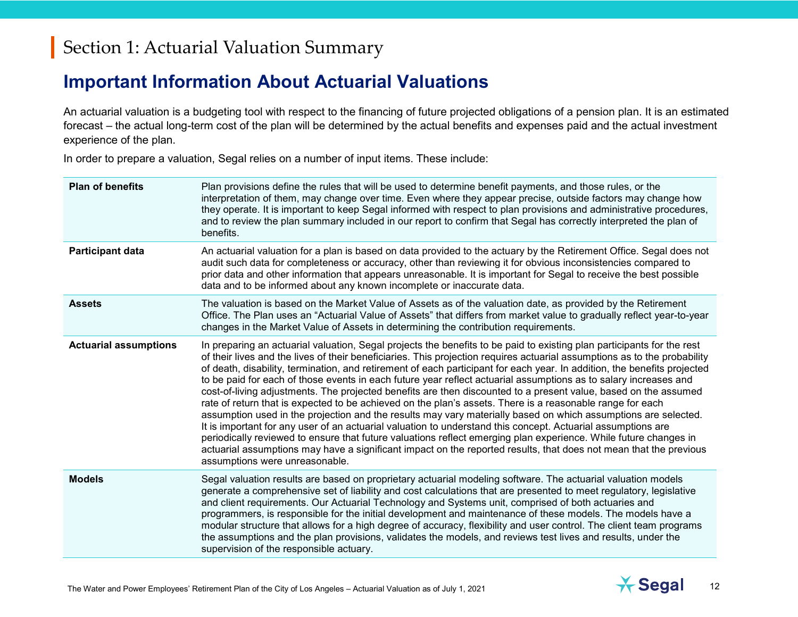### **Important Information About Actuarial Valuations**

An actuarial valuation is a budgeting tool with respect to the financing of future projected obligations of a pension plan. It is an estimated forecast – the actual long-term cost of the plan will be determined by the actual benefits and expenses paid and the actual investment experience of the plan.

In order to prepare a valuation, Segal relies on a number of input items. These include:

| <b>Plan of benefits</b>      | Plan provisions define the rules that will be used to determine benefit payments, and those rules, or the<br>interpretation of them, may change over time. Even where they appear precise, outside factors may change how<br>they operate. It is important to keep Segal informed with respect to plan provisions and administrative procedures,<br>and to review the plan summary included in our report to confirm that Segal has correctly interpreted the plan of<br>benefits.                                                                                                                                                                                                                                                                                                                                                                                                                                                                                                                                                                                                                                                                                                                                                               |
|------------------------------|--------------------------------------------------------------------------------------------------------------------------------------------------------------------------------------------------------------------------------------------------------------------------------------------------------------------------------------------------------------------------------------------------------------------------------------------------------------------------------------------------------------------------------------------------------------------------------------------------------------------------------------------------------------------------------------------------------------------------------------------------------------------------------------------------------------------------------------------------------------------------------------------------------------------------------------------------------------------------------------------------------------------------------------------------------------------------------------------------------------------------------------------------------------------------------------------------------------------------------------------------|
| <b>Participant data</b>      | An actuarial valuation for a plan is based on data provided to the actuary by the Retirement Office. Segal does not<br>audit such data for completeness or accuracy, other than reviewing it for obvious inconsistencies compared to<br>prior data and other information that appears unreasonable. It is important for Segal to receive the best possible<br>data and to be informed about any known incomplete or inaccurate data.                                                                                                                                                                                                                                                                                                                                                                                                                                                                                                                                                                                                                                                                                                                                                                                                             |
| <b>Assets</b>                | The valuation is based on the Market Value of Assets as of the valuation date, as provided by the Retirement<br>Office. The Plan uses an "Actuarial Value of Assets" that differs from market value to gradually reflect year-to-year<br>changes in the Market Value of Assets in determining the contribution requirements.                                                                                                                                                                                                                                                                                                                                                                                                                                                                                                                                                                                                                                                                                                                                                                                                                                                                                                                     |
| <b>Actuarial assumptions</b> | In preparing an actuarial valuation, Segal projects the benefits to be paid to existing plan participants for the rest<br>of their lives and the lives of their beneficiaries. This projection requires actuarial assumptions as to the probability<br>of death, disability, termination, and retirement of each participant for each year. In addition, the benefits projected<br>to be paid for each of those events in each future year reflect actuarial assumptions as to salary increases and<br>cost-of-living adjustments. The projected benefits are then discounted to a present value, based on the assumed<br>rate of return that is expected to be achieved on the plan's assets. There is a reasonable range for each<br>assumption used in the projection and the results may vary materially based on which assumptions are selected.<br>It is important for any user of an actuarial valuation to understand this concept. Actuarial assumptions are<br>periodically reviewed to ensure that future valuations reflect emerging plan experience. While future changes in<br>actuarial assumptions may have a significant impact on the reported results, that does not mean that the previous<br>assumptions were unreasonable. |
| <b>Models</b>                | Segal valuation results are based on proprietary actuarial modeling software. The actuarial valuation models<br>generate a comprehensive set of liability and cost calculations that are presented to meet regulatory, legislative<br>and client requirements. Our Actuarial Technology and Systems unit, comprised of both actuaries and<br>programmers, is responsible for the initial development and maintenance of these models. The models have a<br>modular structure that allows for a high degree of accuracy, flexibility and user control. The client team programs<br>the assumptions and the plan provisions, validates the models, and reviews test lives and results, under the<br>supervision of the responsible actuary.                                                                                                                                                                                                                                                                                                                                                                                                                                                                                                        |

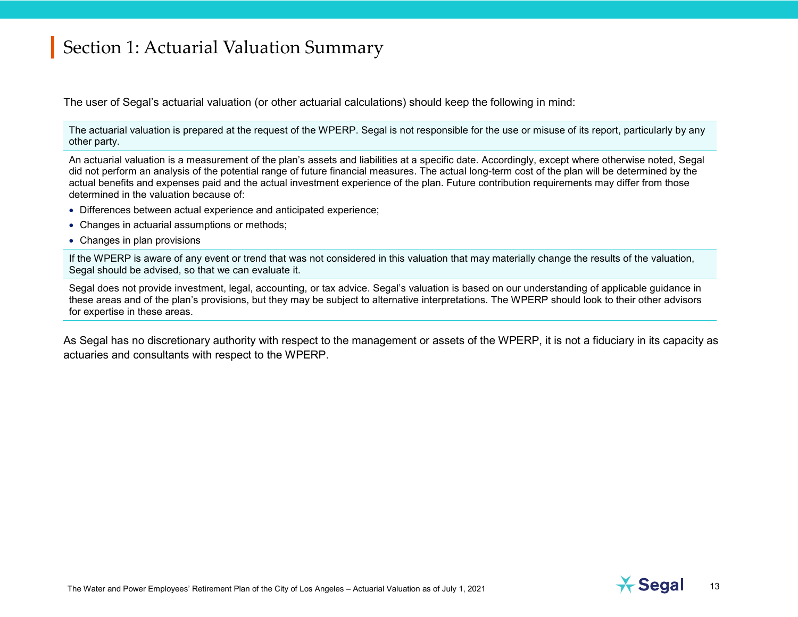The user of Segal's actuarial valuation (or other actuarial calculations) should keep the following in mind:

The actuarial valuation is prepared at the request of the WPERP. Segal is not responsible for the use or misuse of its report, particularly by any other party.

An actuarial valuation is a measurement of the plan's assets and liabilities at a specific date. Accordingly, except where otherwise noted, Segal did not perform an analysis of the potential range of future financial measures. The actual long-term cost of the plan will be determined by the actual benefits and expenses paid and the actual investment experience of the plan. Future contribution requirements may differ from those determined in the valuation because of:

- Differences between actual experience and anticipated experience;
- Changes in actuarial assumptions or methods;
- Changes in plan provisions

If the WPERP is aware of any event or trend that was not considered in this valuation that may materially change the results of the valuation, Segal should be advised, so that we can evaluate it.

Segal does not provide investment, legal, accounting, or tax advice. Segal's valuation is based on our understanding of applicable guidance in these areas and of the plan's provisions, but they may be subject to alternative interpretations. The WPERP should look to their other advisors for expertise in these areas.

As Segal has no discretionary authority with respect to the management or assets of the WPERP, it is not a fiduciary in its capacity as actuaries and consultants with respect to the WPERP.

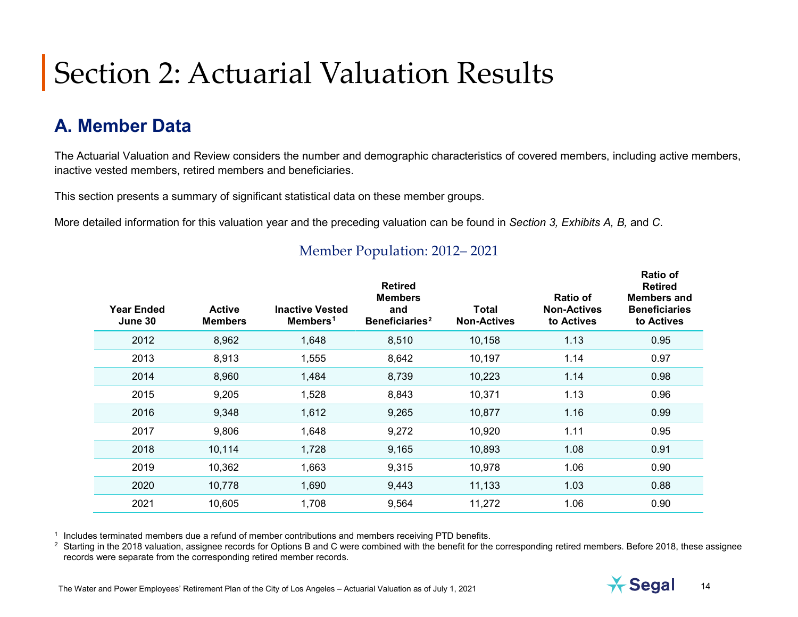# **A. Member Data**

The Actuarial Valuation and Review considers the number and demographic characteristics of covered members, including active members, inactive vested members, retired members and beneficiaries.

This section presents a summary of significant statistical data on these member groups.

More detailed information for this valuation year and the preceding valuation can be found in *Section 3, Exhibits A, B,* and *C*.

| <b>Year Ended</b><br>June 30 | <b>Active</b><br><b>Members</b> | <b>Inactive Vested</b><br>Members <sup>1</sup> | <b>Retired</b><br><b>Members</b><br>and<br>Beneficiaries <sup>2</sup> | Total<br><b>Non-Actives</b> | <b>Ratio of</b><br><b>Non-Actives</b><br>to Actives | <b>Ratio of</b><br><b>Retired</b><br><b>Members and</b><br><b>Beneficiaries</b><br>to Actives |
|------------------------------|---------------------------------|------------------------------------------------|-----------------------------------------------------------------------|-----------------------------|-----------------------------------------------------|-----------------------------------------------------------------------------------------------|
| 2012                         | 8,962                           | 1,648                                          | 8,510                                                                 | 10,158                      | 1.13                                                | 0.95                                                                                          |
| 2013                         | 8,913                           | 1,555                                          | 8,642                                                                 | 10,197                      | 1.14                                                | 0.97                                                                                          |
| 2014                         | 8,960                           | 1,484                                          | 8,739                                                                 | 10,223                      | 1.14                                                | 0.98                                                                                          |
| 2015                         | 9,205                           | 1,528                                          | 8,843                                                                 | 10,371                      | 1.13                                                | 0.96                                                                                          |
| 2016                         | 9,348                           | 1,612                                          | 9,265                                                                 | 10,877                      | 1.16                                                | 0.99                                                                                          |
| 2017                         | 9,806                           | 1,648                                          | 9,272                                                                 | 10,920                      | 1.11                                                | 0.95                                                                                          |
| 2018                         | 10,114                          | 1,728                                          | 9,165                                                                 | 10,893                      | 1.08                                                | 0.91                                                                                          |
| 2019                         | 10,362                          | 1,663                                          | 9,315                                                                 | 10,978                      | 1.06                                                | 0.90                                                                                          |
| 2020                         | 10,778                          | 1,690                                          | 9,443                                                                 | 11,133                      | 1.03                                                | 0.88                                                                                          |
| 2021                         | 10,605                          | 1,708                                          | 9,564                                                                 | 11,272                      | 1.06                                                | 0.90                                                                                          |

#### <span id="page-13-1"></span><span id="page-13-0"></span>Member Population: 2012– 2021

<sup>1</sup> Includes terminated members due a refund of member contributions and members receiving PTD benefits.

<sup>2</sup> Starting in the 2018 valuation, assignee records for Options B and C were combined with the benefit for the corresponding retired members. Before 2018, these assignee records were separate from the corresponding retired member records.

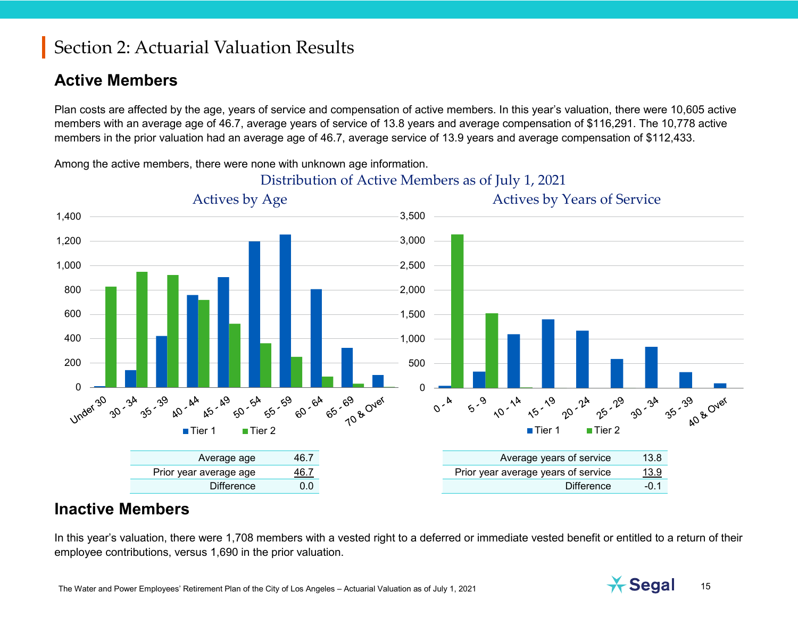### **Active Members**

Plan costs are affected by the age, years of service and compensation of active members. In this year's valuation, there were 10,605 active members with an average age of 46.7, average years of service of 13.8 years and average compensation of \$116,291. The 10,778 active members in the prior valuation had an average age of 46.7, average service of 13.9 years and average compensation of \$112,433.

Distribution of Active Members as of July 1, 2021 Actives by Age Actives by Years of Service 1,400 3,500 1,200 3,000 1,000 2,500 800 2,000 600 1,500 400 1,000 500 200 0 -  $\frac{1}{3}$ 0 \*<br>3<sup>5 - 39</sup>  $x = 6$ A<br>55-59 3 60-64  $\sqrt{2}$   $2^k$ 25-39 30<sup>-34</sup>  $\frac{3}{40}$   $\frac{6}{4}$ 3<br>50<sup>-54</sup> 70 & Over 25-29 A 65-69  $5.9$ **NO- 14** 15-19 30-34 **40 & Over**  $0^{-k}$ ■ Tier 1 ■ Tier 2 ■Tier 1 ■ Tier 2 Average age 46.7 Average years of service 13.8 Prior year average age 46.7 **Prior year average years of service** 13.9 Difference 0.0 Difference -0.1

Among the active members, there were none with unknown age information.

### **Inactive Members**

In this year's valuation, there were 1,708 members with a vested right to a deferred or immediate vested benefit or entitled to a return of their employee contributions, versus 1,690 in the prior valuation.

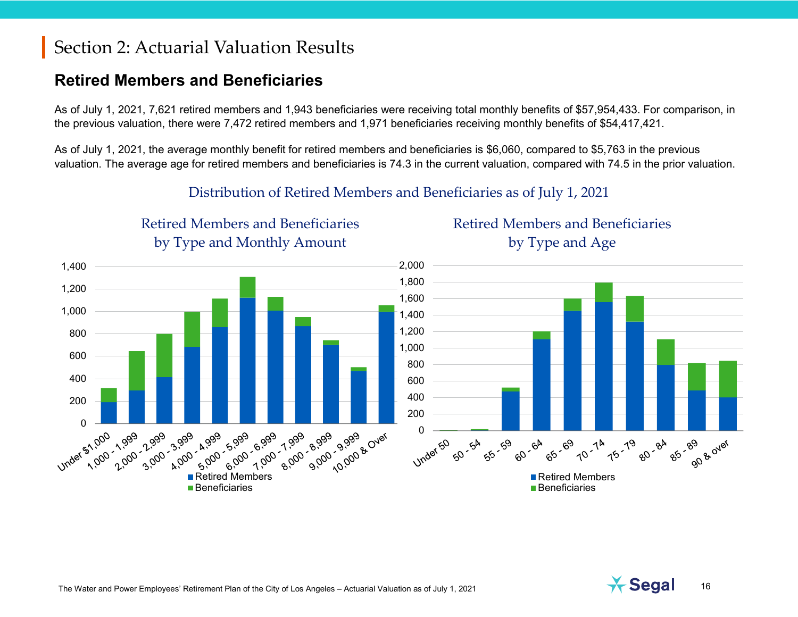Retired Members and Beneficiaries

### **Retired Members and Beneficiaries**

As of July 1, 2021, 7,621 retired members and 1,943 beneficiaries were receiving total monthly benefits of \$57,954,433. For comparison, in the previous valuation, there were 7,472 retired members and 1,971 beneficiaries receiving monthly benefits of \$54,417,421.

As of July 1, 2021, the average monthly benefit for retired members and beneficiaries is \$6,060, compared to \$5,763 in the previous valuation. The average age for retired members and beneficiaries is 74.3 in the current valuation, compared with 74.5 in the prior valuation.



#### Distribution of Retired Members and Beneficiaries as of July 1, 2021

The Water and Power Employees' Retirement Plan of the City of Los Angeles – Actuarial Valuation as of July 1, 2021 16



Retired Members and Beneficiaries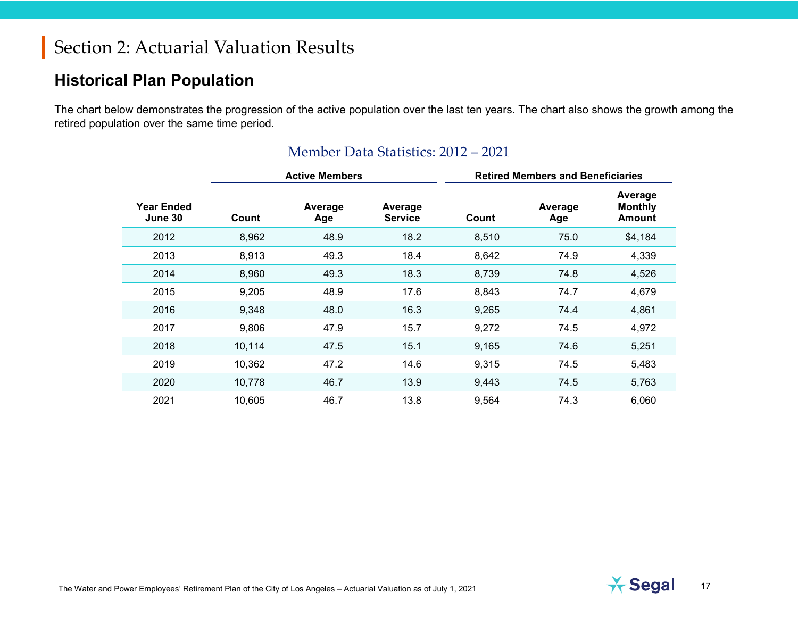### **Historical Plan Population**

The chart below demonstrates the progression of the active population over the last ten years. The chart also shows the growth among the retired population over the same time period.

|                              | <b>Active Members</b> |                |                           | <b>Retired Members and Beneficiaries</b> |                |                                            |
|------------------------------|-----------------------|----------------|---------------------------|------------------------------------------|----------------|--------------------------------------------|
| <b>Year Ended</b><br>June 30 | Count                 | Average<br>Age | Average<br><b>Service</b> | Count                                    | Average<br>Age | Average<br><b>Monthly</b><br><b>Amount</b> |
| 2012                         | 8,962                 | 48.9           | 18.2                      | 8,510                                    | 75.0           | \$4,184                                    |
| 2013                         | 8,913                 | 49.3           | 18.4                      | 8,642                                    | 74.9           | 4,339                                      |
| 2014                         | 8,960                 | 49.3           | 18.3                      | 8,739                                    | 74.8           | 4,526                                      |
| 2015                         | 9,205                 | 48.9           | 17.6                      | 8,843                                    | 74.7           | 4,679                                      |
| 2016                         | 9,348                 | 48.0           | 16.3                      | 9,265                                    | 74.4           | 4,861                                      |
| 2017                         | 9,806                 | 47.9           | 15.7                      | 9,272                                    | 74.5           | 4,972                                      |
| 2018                         | 10,114                | 47.5           | 15.1                      | 9,165                                    | 74.6           | 5,251                                      |
| 2019                         | 10,362                | 47.2           | 14.6                      | 9,315                                    | 74.5           | 5,483                                      |
| 2020                         | 10,778                | 46.7           | 13.9                      | 9,443                                    | 74.5           | 5,763                                      |
| 2021                         | 10,605                | 46.7           | 13.8                      | 9,564                                    | 74.3           | 6,060                                      |

#### Member Data Statistics: 2012 – 2021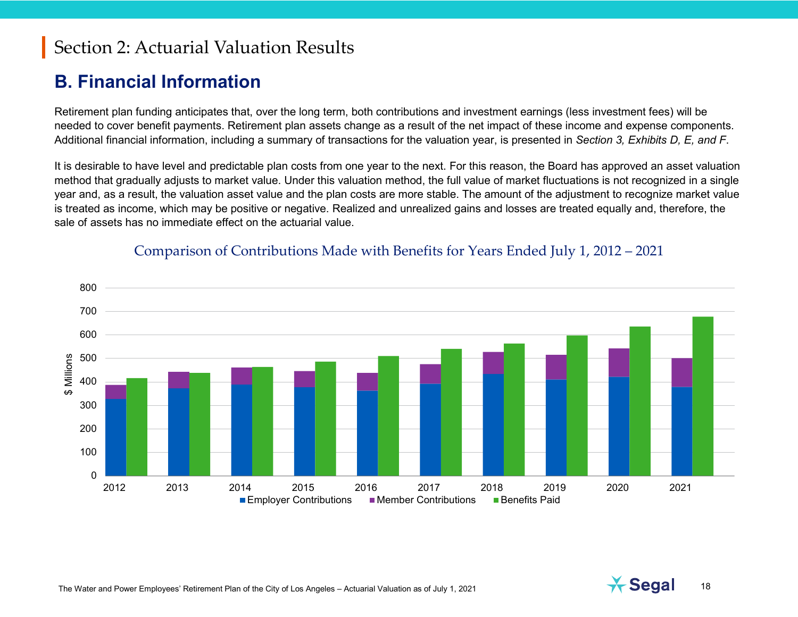### **B. Financial Information**

Retirement plan funding anticipates that, over the long term, both contributions and investment earnings (less investment fees) will be needed to cover benefit payments. Retirement plan assets change as a result of the net impact of these income and expense components. Additional financial information, including a summary of transactions for the valuation year, is presented in *Section 3, Exhibits D, E, and F*.

It is desirable to have level and predictable plan costs from one year to the next. For this reason, the Board has approved an asset valuation method that gradually adjusts to market value. Under this valuation method, the full value of market fluctuations is not recognized in a single year and, as a result, the valuation asset value and the plan costs are more stable. The amount of the adjustment to recognize market value is treated as income, which may be positive or negative. Realized and unrealized gains and losses are treated equally and, therefore, the sale of assets has no immediate effect on the actuarial value.



#### Comparison of Contributions Made with Benefits for Years Ended July 1, 2012 – 2021

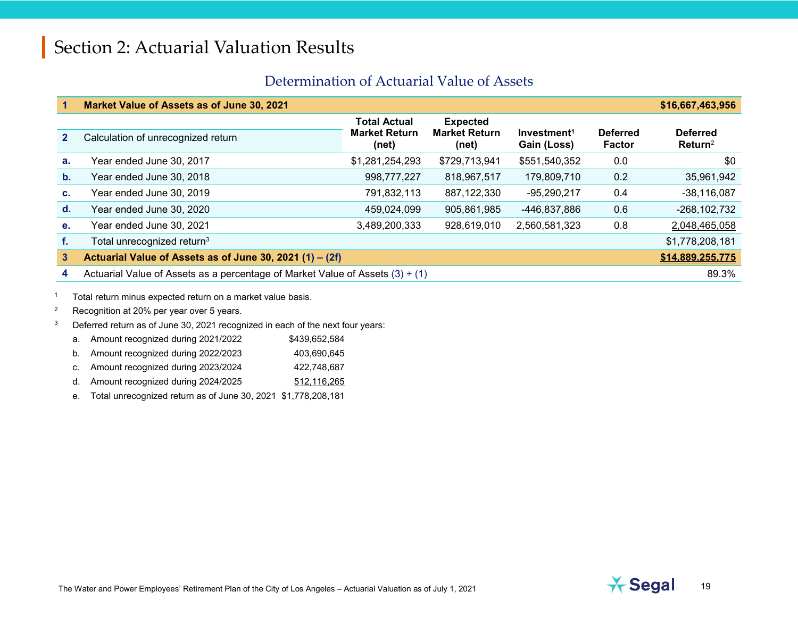#### Determination of Actuarial Value of Assets

|                | Market Value of Assets as of June 30, 2021                                         |                                                      |                                                  |                                        |                                  | \$16,667,463,956                       |
|----------------|------------------------------------------------------------------------------------|------------------------------------------------------|--------------------------------------------------|----------------------------------------|----------------------------------|----------------------------------------|
| 2 <sup>1</sup> | Calculation of unrecognized return                                                 | <b>Total Actual</b><br><b>Market Return</b><br>(net) | <b>Expected</b><br><b>Market Return</b><br>(net) | Investment <sup>1</sup><br>Gain (Loss) | <b>Deferred</b><br><b>Factor</b> | <b>Deferred</b><br>Return <sup>2</sup> |
| a.             | Year ended June 30, 2017                                                           | \$1,281,254,293                                      | \$729,713,941                                    | \$551,540,352                          | 0.0                              | \$0                                    |
| $\mathbf b$ .  | Year ended June 30, 2018                                                           | 998,777,227                                          | 818,967,517                                      | 179,809,710                            | 0.2                              | 35,961,942                             |
| C.             | Year ended June 30, 2019                                                           | 791,832,113                                          | 887, 122, 330                                    | $-95,290,217$                          | 0.4                              | $-38,116,087$                          |
| $\mathbf{d}$ . | Year ended June 30, 2020                                                           | 459,024,099                                          | 905,861,985                                      | -446,837,886                           | 0.6                              | $-268, 102, 732$                       |
| е.             | Year ended June 30, 2021                                                           | 3,489,200,333                                        | 928,619,010                                      | 2,560,581,323                          | 0.8                              | 2,048,465,058                          |
| f.             | Total unrecognized return <sup>3</sup>                                             |                                                      |                                                  |                                        |                                  | \$1,778,208,181                        |
| 3              | Actuarial Value of Assets as of June 30, 2021 (1) - (2f)                           |                                                      |                                                  |                                        |                                  | \$14,889,255,775                       |
| 4              | Actuarial Value of Assets as a percentage of Market Value of Assets $(3) \div (1)$ |                                                      |                                                  |                                        |                                  | 89.3%                                  |

<sup>1</sup> Total return minus expected return on a market value basis.

- <sup>2</sup> Recognition at 20% per year over 5 years.
- <sup>3</sup> Deferred return as of June 30, 2021 recognized in each of the next four years:
	- a. Amount recognized during 2021/2022 \$439,652,584
	- b. Amount recognized during 2022/2023 403,690,645
	- c. Amount recognized during 2023/2024 422,748,687
	- d. Amount recognized during 2024/2025 512,116,265

e. Total unrecognized return as of June 30, 2021 \$1,778,208,181

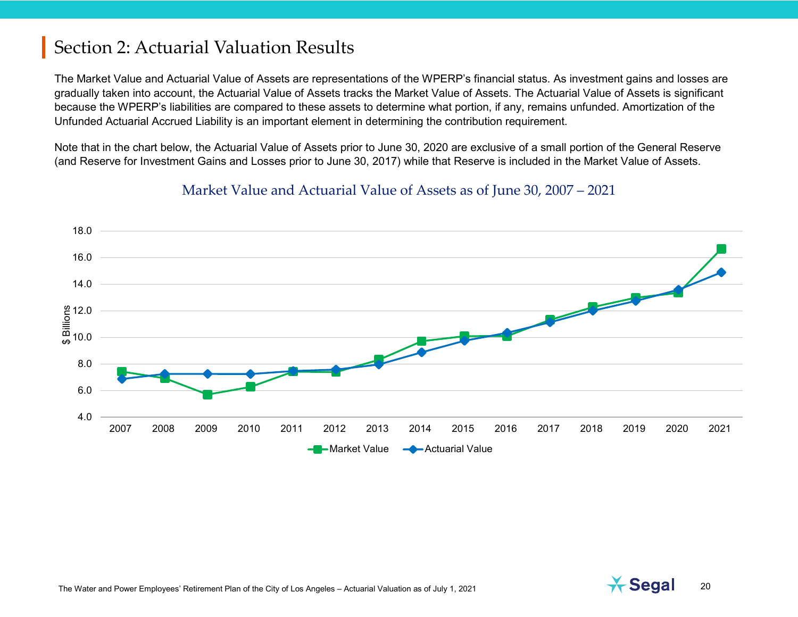The Market Value and Actuarial Value of Assets are representations of the WPERP's financial status. As investment gains and losses are gradually taken into account, the Actuarial Value of Assets tracks the Market Value of Assets. The Actuarial Value of Assets is significant because the WPERP's liabilities are compared to these assets to determine what portion, if any, remains unfunded. Amortization of the Unfunded Actuarial Accrued Liability is an important element in determining the contribution requirement.

Note that in the chart below, the Actuarial Value of Assets prior to June 30, 2020 are exclusive of a small portion of the General Reserve (and Reserve for Investment Gains and Losses prior to June 30, 2017) while that Reserve is included in the Market Value of Assets.



#### Market Value and Actuarial Value of Assets as of June 30, 2007 – 2021

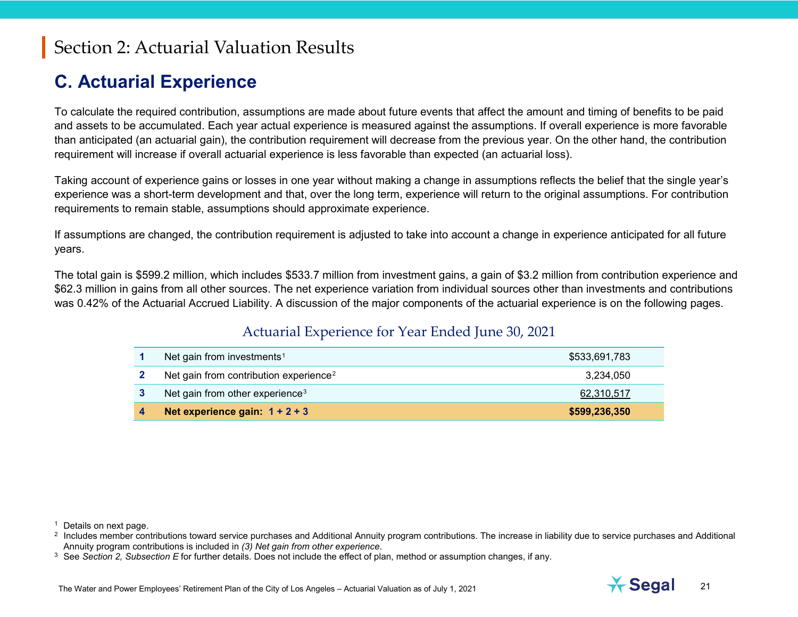### <span id="page-20-2"></span><span id="page-20-1"></span><span id="page-20-0"></span>**C. Actuarial Experience**

To calculate the required contribution, assumptions are made about future events that affect the amount and timing of benefits to be paid and assets to be accumulated. Each year actual experience is measured against the assumptions. If overall experience is more favorable than anticipated (an actuarial gain), the contribution requirement will decrease from the previous year. On the other hand, the contribution requirement will increase if overall actuarial experience is less favorable than expected (an actuarial loss).

Taking account of experience gains or losses in one year without making a change in assumptions reflects the belief that the single year's experience was a short-term development and that, over the long term, experience will return to the original assumptions. For contribution requirements to remain stable, assumptions should approximate experience.

If assumptions are changed, the contribution requirement is adjusted to take into account a change in experience anticipated for all future years.

The total gain is \$599.2 million, which includes \$533.7 million from investment gains, a gain of \$3.2 million from contribution experience and \$62.3 million in gains from all other sources. The net experience variation from individual sources other than investments and contributions was 0.42% of the Actuarial Accrued Liability. A discussion of the major components of the actuarial experience is on the following pages.

#### Actuarial Experience for Year Ended June 30, 2021

| Net gain from investments <sup>1</sup>             | \$533,691,783 |
|----------------------------------------------------|---------------|
| Net gain from contribution experience <sup>2</sup> | 3.234.050     |
| Net gain from other experience <sup>3</sup>        | 62,310,517    |
| Net experience gain: $1 + 2 + 3$                   | \$599,236,350 |

<sup>1</sup> Details on next page.



 $2\,$  Includes member contributions toward service purchases and Additional Annuity program contributions. The increase in liability due to service purchases and Additional Annuity program contributions is included in *(3) Net gain from other experience*.

<sup>3</sup> See *Section 2, Subsection E* for further details. Does not include the effect of plan, method or assumption changes, if any.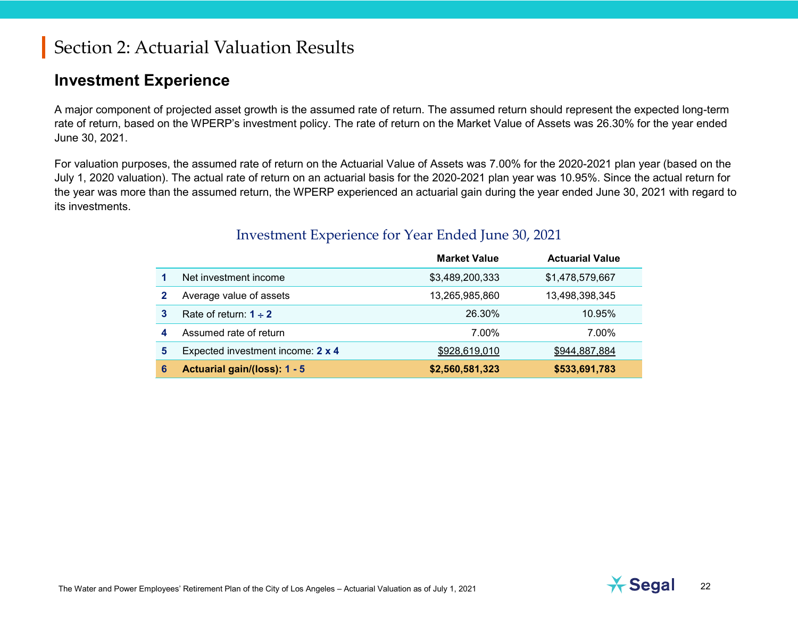### **Investment Experience**

A major component of projected asset growth is the assumed rate of return. The assumed return should represent the expected long-term rate of return, based on the WPERP's investment policy. The rate of return on the Market Value of Assets was 26.30% for the year ended June 30, 2021.

For valuation purposes, the assumed rate of return on the Actuarial Value of Assets was 7.00% for the 2020-2021 plan year (based on the July 1, 2020 valuation). The actual rate of return on an actuarial basis for the 2020-2021 plan year was 10.95%. Since the actual return for the year was more than the assumed return, the WPERP experienced an actuarial gain during the year ended June 30, 2021 with regard to its investments.

|   |                                   | <b>Market Value</b> | <b>Actuarial Value</b> |
|---|-----------------------------------|---------------------|------------------------|
|   | Net investment income             | \$3,489,200,333     | \$1,478,579,667        |
|   | Average value of assets           | 13,265,985,860      | 13,498,398,345         |
| 3 | Rate of return: $1 \div 2$        | 26.30%              | 10.95%                 |
| 4 | Assumed rate of return            | 7.00%               | 7.00%                  |
| 5 | Expected investment income: 2 x 4 | \$928,619,010       | \$944,887,884          |
| 6 | Actuarial gain/(loss): 1 - 5      | \$2,560,581,323     | \$533,691,783          |

#### Investment Experience for Year Ended June 30, 2021

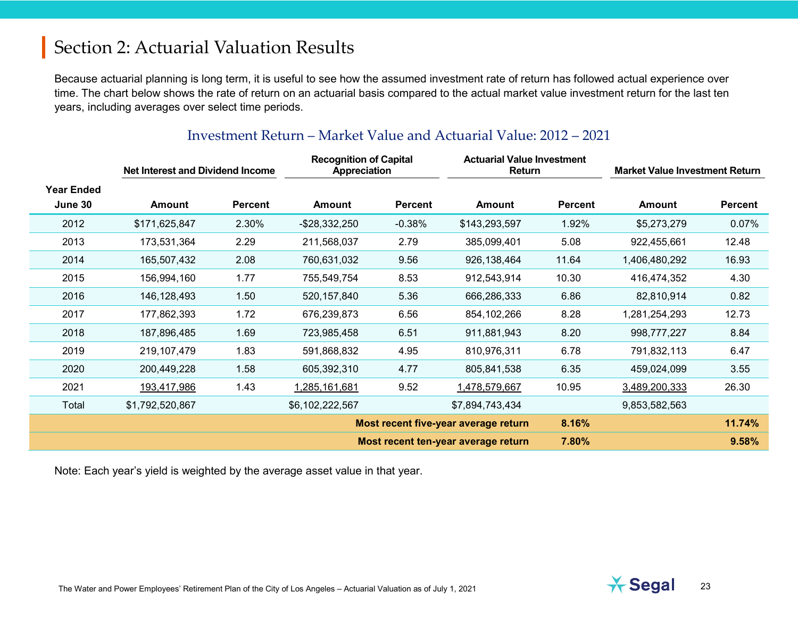Because actuarial planning is long term, it is useful to see how the assumed investment rate of return has followed actual experience over time. The chart below shows the rate of return on an actuarial basis compared to the actual market value investment return for the last ten years, including averages over select time periods.

|                              | <b>Net Interest and Dividend Income</b> |                | <b>Recognition of Capital</b><br><b>Appreciation</b> |                | <b>Actuarial Value Investment</b><br>Return |                | <b>Market Value Investment Return</b> |                |
|------------------------------|-----------------------------------------|----------------|------------------------------------------------------|----------------|---------------------------------------------|----------------|---------------------------------------|----------------|
| <b>Year Ended</b><br>June 30 | <b>Amount</b>                           | <b>Percent</b> | <b>Amount</b>                                        | <b>Percent</b> | Amount                                      | <b>Percent</b> | <b>Amount</b>                         | <b>Percent</b> |
| 2012                         | \$171,625,847                           | 2.30%          | $-$ \$28,332,250                                     | $-0.38%$       | \$143,293,597                               | 1.92%          | \$5,273,279                           | 0.07%          |
| 2013                         | 173,531,364                             | 2.29           | 211,568,037                                          | 2.79           | 385,099,401                                 | 5.08           | 922,455,661                           | 12.48          |
| 2014                         | 165,507,432                             | 2.08           | 760,631,032                                          | 9.56           | 926, 138, 464                               | 11.64          | 1,406,480,292                         | 16.93          |
| 2015                         | 156,994,160                             | 1.77           | 755,549,754                                          | 8.53           | 912,543,914                                 | 10.30          | 416,474,352                           | 4.30           |
| 2016                         | 146, 128, 493                           | 1.50           | 520, 157, 840                                        | 5.36           | 666,286,333                                 | 6.86           | 82,810,914                            | 0.82           |
| 2017                         | 177,862,393                             | 1.72           | 676,239,873                                          | 6.56           | 854, 102, 266                               | 8.28           | 1,281,254,293                         | 12.73          |
| 2018                         | 187,896,485                             | 1.69           | 723,985,458                                          | 6.51           | 911,881,943                                 | 8.20           | 998,777,227                           | 8.84           |
| 2019                         | 219,107,479                             | 1.83           | 591,868,832                                          | 4.95           | 810,976,311                                 | 6.78           | 791,832,113                           | 6.47           |
| 2020                         | 200,449,228                             | 1.58           | 605,392,310                                          | 4.77           | 805,841,538                                 | 6.35           | 459,024,099                           | 3.55           |
| 2021                         | 193,417,986                             | 1.43           | 1,285,161,681                                        | 9.52           | 1,478,579,667                               | 10.95          | 3,489,200,333                         | 26.30          |
| Total                        | \$1,792,520,867                         |                | \$6,102,222,567                                      |                | \$7,894,743,434                             |                | 9,853,582,563                         |                |
|                              |                                         |                | Most recent five-year average return                 |                |                                             | 8.16%          |                                       | 11.74%         |
|                              |                                         |                | Most recent ten-year average return                  |                |                                             | 7.80%          |                                       | 9.58%          |

#### Investment Return – Market Value and Actuarial Value: 2012 – 2021

Note: Each year's yield is weighted by the average asset value in that year.

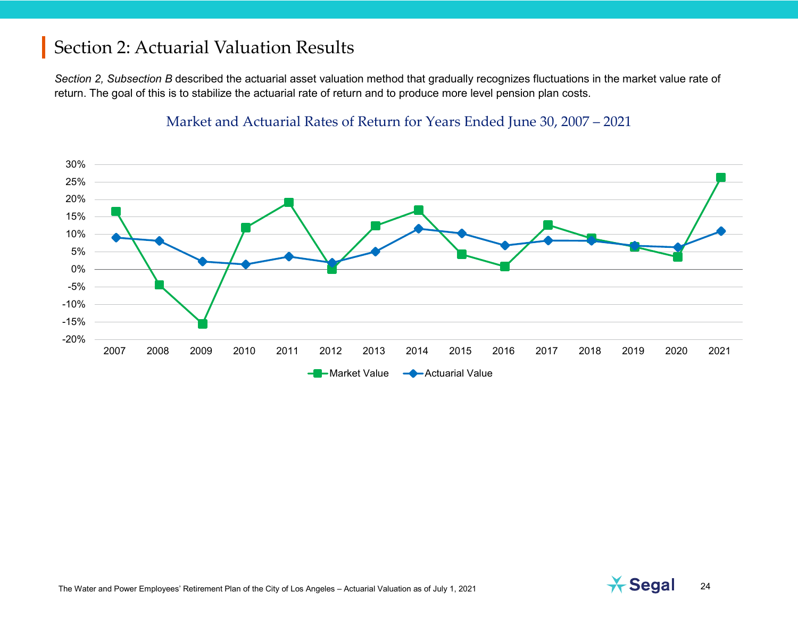*Section 2, Subsection B* described the actuarial asset valuation method that gradually recognizes fluctuations in the market value rate of return. The goal of this is to stabilize the actuarial rate of return and to produce more level pension plan costs.

#### Market and Actuarial Rates of Return for Years Ended June 30, 2007 – 2021



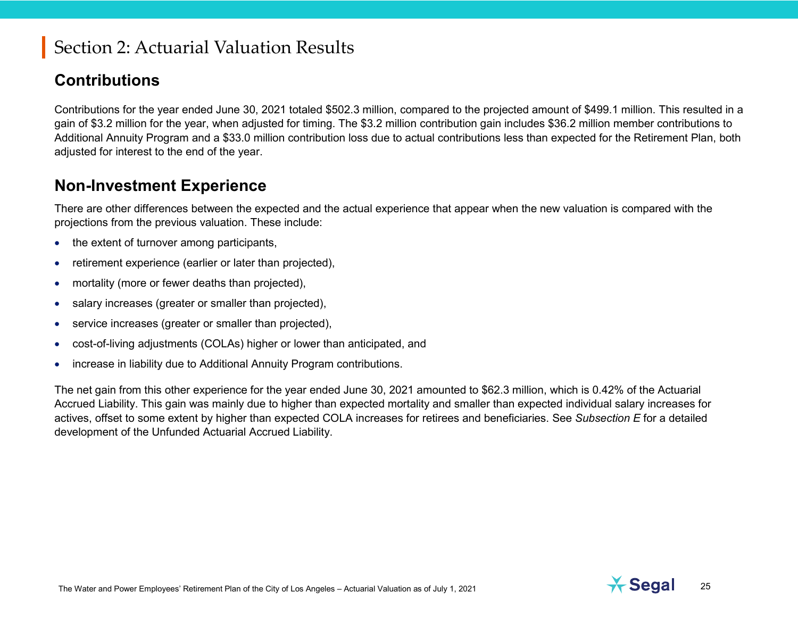### **Contributions**

Contributions for the year ended June 30, 2021 totaled \$502.3 million, compared to the projected amount of \$499.1 million. This resulted in a gain of \$3.2 million for the year, when adjusted for timing. The \$3.2 million contribution gain includes \$36.2 million member contributions to Additional Annuity Program and a \$33.0 million contribution loss due to actual contributions less than expected for the Retirement Plan, both adjusted for interest to the end of the year.

### **Non-Investment Experience**

There are other differences between the expected and the actual experience that appear when the new valuation is compared with the projections from the previous valuation. These include:

- the extent of turnover among participants,
- retirement experience (earlier or later than projected),
- mortality (more or fewer deaths than projected),
- salary increases (greater or smaller than projected),
- service increases (greater or smaller than projected),
- cost-of-living adjustments (COLAs) higher or lower than anticipated, and
- increase in liability due to Additional Annuity Program contributions.

The net gain from this other experience for the year ended June 30, 2021 amounted to \$62.3 million, which is 0.42% of the Actuarial Accrued Liability. This gain was mainly due to higher than expected mortality and smaller than expected individual salary increases for actives, offset to some extent by higher than expected COLA increases for retirees and beneficiaries. See *Subsection E* for a detailed development of the Unfunded Actuarial Accrued Liability.

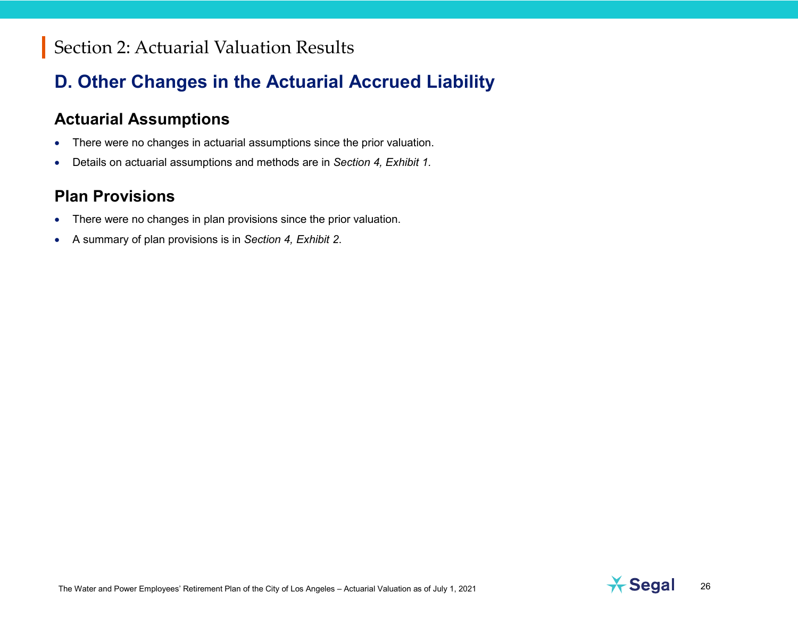# **D. Other Changes in the Actuarial Accrued Liability**

### **Actuarial Assumptions**

- There were no changes in actuarial assumptions since the prior valuation.
- Details on actuarial assumptions and methods are in *Section 4, Exhibit 1.*

### **Plan Provisions**

- There were no changes in plan provisions since the prior valuation.
- A summary of plan provisions is in *Section 4, Exhibit 2*.

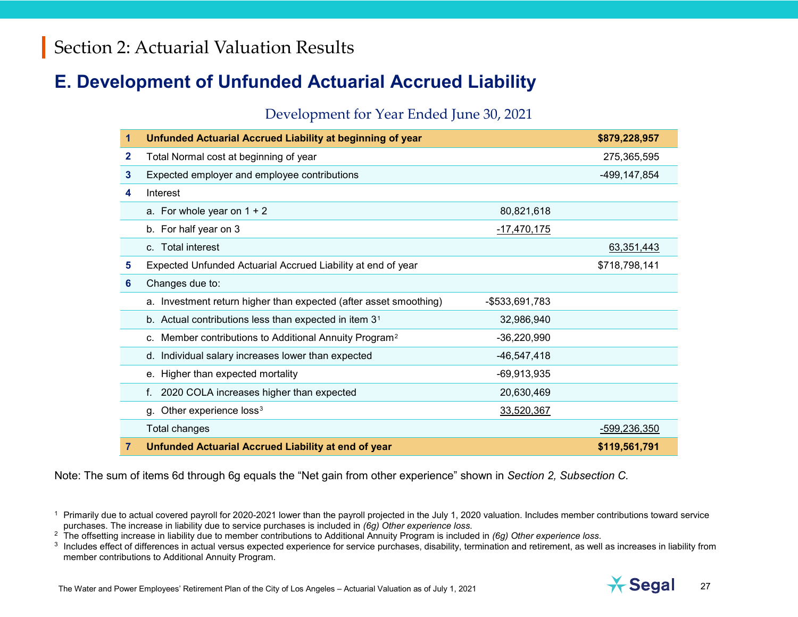### **E. Development of Unfunded Actuarial Accrued Liability**

#### <span id="page-26-2"></span><span id="page-26-1"></span><span id="page-26-0"></span>Development for Year Ended June 30, 2021

| 1            | <b>Unfunded Actuarial Accrued Liability at beginning of year</b>   |                | \$879,228,957  |
|--------------|--------------------------------------------------------------------|----------------|----------------|
| $\mathbf{2}$ | Total Normal cost at beginning of year                             |                | 275,365,595    |
| 3            | Expected employer and employee contributions                       |                | -499, 147, 854 |
| 4            | Interest                                                           |                |                |
|              | a. For whole year on $1 + 2$                                       | 80,821,618     |                |
|              | b. For half year on 3                                              | $-17,470,175$  |                |
|              | c. Total interest                                                  |                | 63,351,443     |
| 5            | Expected Unfunded Actuarial Accrued Liability at end of year       |                | \$718,798,141  |
| 6            | Changes due to:                                                    |                |                |
|              | a. Investment return higher than expected (after asset smoothing)  | -\$533,691,783 |                |
|              | b. Actual contributions less than expected in item $31$            | 32,986,940     |                |
|              | c. Member contributions to Additional Annuity Program <sup>2</sup> | $-36,220,990$  |                |
|              | d. Individual salary increases lower than expected                 | $-46,547,418$  |                |
|              | e. Higher than expected mortality                                  | $-69,913,935$  |                |
|              | 2020 COLA increases higher than expected<br>f.                     | 20,630,469     |                |
|              | Other experience loss <sup>3</sup><br>q.                           | 33,520,367     |                |
|              | Total changes                                                      |                | -599,236,350   |
| 7            | Unfunded Actuarial Accrued Liability at end of year                |                | \$119,561,791  |

Note: The sum of items 6d through 6g equals the "Net gain from other experience" shown in *Section 2, Subsection C.*



<sup>&</sup>lt;sup>1</sup> Primarily due to actual covered payroll for 2020-2021 lower than the payroll projected in the July 1, 2020 valuation. Includes member contributions toward service purchases. The increase in liability due to service purchases is included in *(6g) Other experience loss*.

<sup>&</sup>lt;sup>2</sup> The offsetting increase in liability due to member contributions to Additional Annuity Program is included in *(6g) Other experience loss*.

<sup>&</sup>lt;sup>3</sup> Includes effect of differences in actual versus expected experience for service purchases, disability, termination and retirement, as well as increases in liability from member contributions to Additional Annuity Program.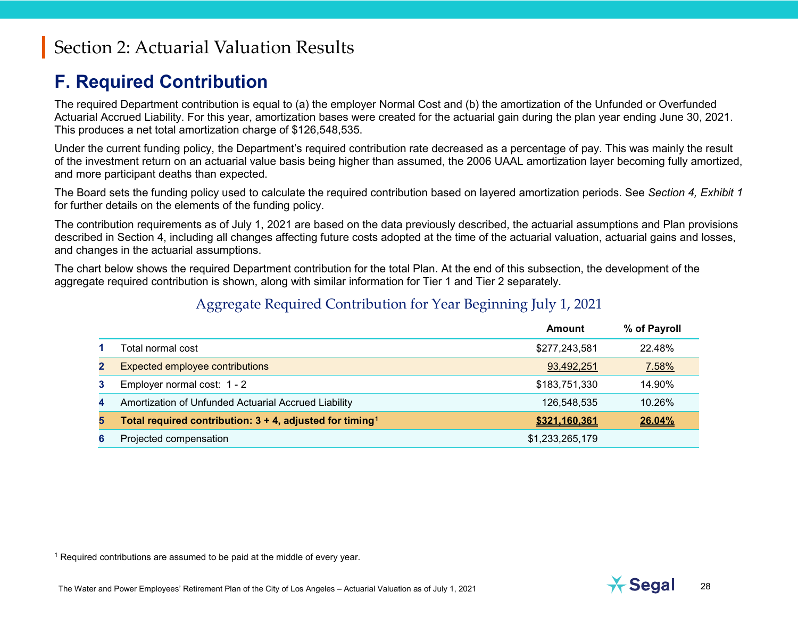### <span id="page-27-0"></span>**F. Required Contribution**

The required Department contribution is equal to (a) the employer Normal Cost and (b) the amortization of the Unfunded or Overfunded Actuarial Accrued Liability. For this year, amortization bases were created for the actuarial gain during the plan year ending June 30, 2021. This produces a net total amortization charge of \$126,548,535.

Under the current funding policy, the Department's required contribution rate decreased as a percentage of pay. This was mainly the result of the investment return on an actuarial value basis being higher than assumed, the 2006 UAAL amortization layer becoming fully amortized, and more participant deaths than expected.

The Board sets the funding policy used to calculate the required contribution based on layered amortization periods. See *Section 4, Exhibit 1* for further details on the elements of the funding policy.

The contribution requirements as of July 1, 2021 are based on the data previously described, the actuarial assumptions and Plan provisions described in Section 4, including all changes affecting future costs adopted at the time of the actuarial valuation, actuarial gains and losses, and changes in the actuarial assumptions.

The chart below shows the required Department contribution for the total Plan. At the end of this subsection, the development of the aggregate required contribution is shown, along with similar information for Tier 1 and Tier 2 separately.

#### Aggregate Required Contribution for Year Beginning July 1, 2021

|              |                                                                         | Amount          | % of Payroll |
|--------------|-------------------------------------------------------------------------|-----------------|--------------|
|              | Total normal cost                                                       | \$277,243,581   | 22.48%       |
| $\mathbf{2}$ | Expected employee contributions                                         | 93,492,251      | 7.58%        |
| 3            | Employer normal cost: 1 - 2                                             | \$183,751,330   | 14.90%       |
| 4            | Amortization of Unfunded Actuarial Accrued Liability                    | 126,548,535     | 10.26%       |
| 5            | Total required contribution: $3 + 4$ , adjusted for timing <sup>1</sup> | \$321,160,361   | 26.04%       |
| 6            | Projected compensation                                                  | \$1,233,265,179 |              |

 $1$  Required contributions are assumed to be paid at the middle of every year.

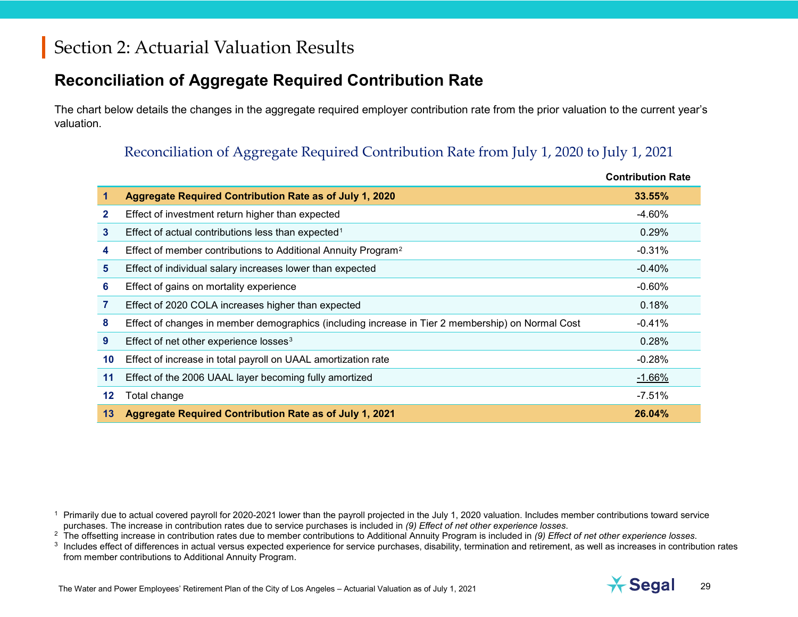### **Reconciliation of Aggregate Required Contribution Rate**

The chart below details the changes in the aggregate required employer contribution rate from the prior valuation to the current year's valuation.

### <span id="page-28-2"></span><span id="page-28-1"></span><span id="page-28-0"></span>Reconciliation of Aggregate Required Contribution Rate from July 1, 2020 to July 1, 2021

|    |                                                                                                   | <b>Contribution Rate</b> |
|----|---------------------------------------------------------------------------------------------------|--------------------------|
|    | Aggregate Required Contribution Rate as of July 1, 2020                                           | <b>33.55%</b>            |
| 2  | Effect of investment return higher than expected                                                  | -4.60%                   |
| 3  | Effect of actual contributions less than expected <sup>1</sup>                                    | 0.29%                    |
| 4  | Effect of member contributions to Additional Annuity Program <sup>2</sup>                         | $-0.31%$                 |
| 5  | Effect of individual salary increases lower than expected                                         | $-0.40%$                 |
| 6  | Effect of gains on mortality experience                                                           | $-0.60\%$                |
| 7  | Effect of 2020 COLA increases higher than expected                                                | 0.18%                    |
| 8  | Effect of changes in member demographics (including increase in Tier 2 membership) on Normal Cost | $-0.41%$                 |
| 9  | Effect of net other experience losses <sup>3</sup>                                                | 0.28%                    |
| 10 | Effect of increase in total payroll on UAAL amortization rate                                     | $-0.28%$                 |
| 11 | Effect of the 2006 UAAL layer becoming fully amortized                                            | $-1.66%$                 |
| 12 | Total change                                                                                      | $-7.51%$                 |
| 13 | Aggregate Required Contribution Rate as of July 1, 2021                                           | 26.04%                   |

<sup>1</sup> Primarily due to actual covered payroll for 2020-2021 lower than the payroll projected in the July 1, 2020 valuation. Includes member contributions toward service purchases. The increase in contribution rates due to service purchases is included in *(9) Effect of net other experience losses*.

<sup>2</sup> The offsetting increase in contribution rates due to member contributions to Additional Annuity Program is included in *(9) Effect of net other experience losses*.

<sup>3</sup> Includes effect of differences in actual versus expected experience for service purchases, disability, termination and retirement, as well as increases in contribution rates from member contributions to Additional Annuity Program.

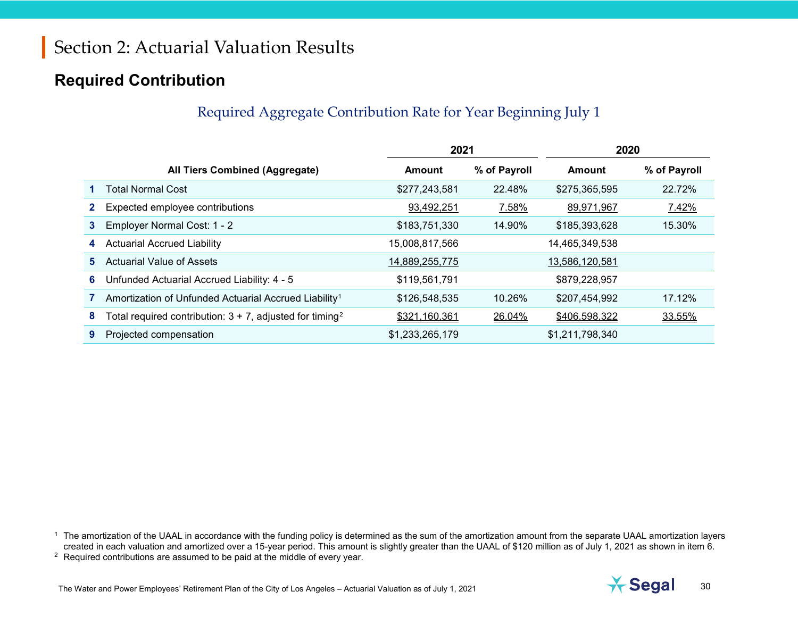### **Required Contribution**

### <span id="page-29-1"></span><span id="page-29-0"></span>Required Aggregate Contribution Rate for Year Beginning July 1

|              |                                                                         | 2021            |              | 2020            |              |
|--------------|-------------------------------------------------------------------------|-----------------|--------------|-----------------|--------------|
|              | All Tiers Combined (Aggregate)                                          | Amount          | % of Payroll | Amount          | % of Payroll |
|              | <b>Total Normal Cost</b>                                                | \$277,243,581   | 22.48%       | \$275,365,595   | 22.72%       |
| $\mathbf{2}$ | Expected employee contributions                                         | 93,492,251      | 7.58%        | 89,971,967      | 7.42%        |
| 3            | Employer Normal Cost: 1 - 2                                             | \$183,751,330   | 14.90%       | \$185,393,628   | 15.30%       |
| 4            | <b>Actuarial Accrued Liability</b>                                      | 15,008,817,566  |              | 14,465,349,538  |              |
| 5.           | <b>Actuarial Value of Assets</b>                                        | 14,889,255,775  |              | 13,586,120,581  |              |
| 6            | Unfunded Actuarial Accrued Liability: 4 - 5                             | \$119,561,791   |              | \$879,228,957   |              |
|              | Amortization of Unfunded Actuarial Accrued Liability <sup>1</sup>       | \$126,548,535   | 10.26%       | \$207,454,992   | 17.12%       |
| 8            | Total required contribution: $3 + 7$ , adjusted for timing <sup>2</sup> | \$321,160,361   | 26.04%       | \$406,598,322   | 33.55%       |
| 9            | Projected compensation                                                  | \$1,233,265,179 |              | \$1,211,798,340 |              |

<sup>1</sup> The amortization of the UAAL in accordance with the funding policy is determined as the sum of the amortization amount from the separate UAAL amortization layers created in each valuation and amortized over a 15-year period. This amount is slightly greater than the UAAL of \$120 million as of July 1, 2021 as shown in item 6. <sup>2</sup> Required contributions are assumed to be paid at the middle of every year.

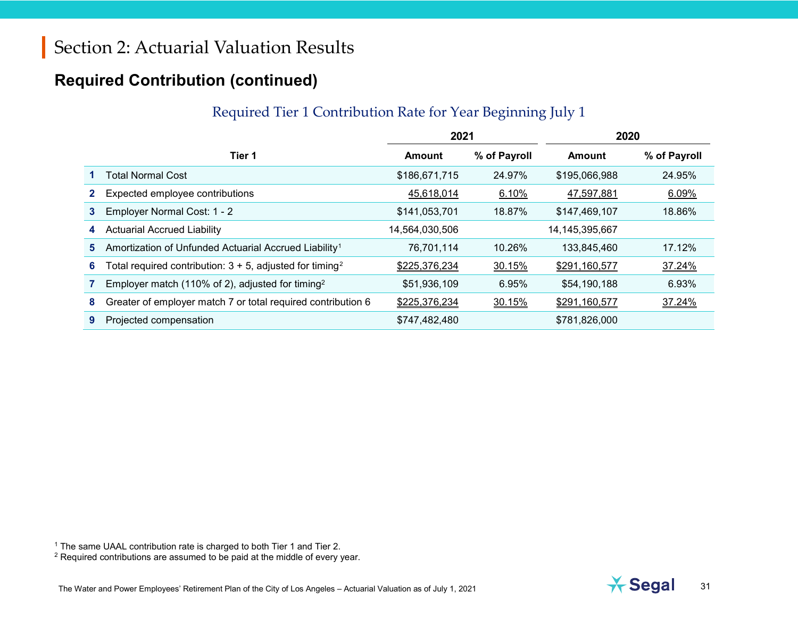### **Required Contribution (continued)**

#### <span id="page-30-1"></span><span id="page-30-0"></span>Required Tier 1 Contribution Rate for Year Beginning July 1

|              |                                                                         | 2021           |              | 2020              |              |
|--------------|-------------------------------------------------------------------------|----------------|--------------|-------------------|--------------|
|              | Tier 1                                                                  | <b>Amount</b>  | % of Payroll | Amount            | % of Payroll |
|              | Total Normal Cost                                                       | \$186,671,715  | 24.97%       | \$195,066,988     | 24.95%       |
| $\mathbf{2}$ | Expected employee contributions                                         | 45,618,014     | 6.10%        | 47,597,881        | 6.09%        |
| 3            | Employer Normal Cost: 1 - 2                                             | \$141,053,701  | 18.87%       | \$147,469,107     | 18.86%       |
| 4            | <b>Actuarial Accrued Liability</b>                                      | 14,564,030,506 |              | 14, 145, 395, 667 |              |
| 5.           | Amortization of Unfunded Actuarial Accrued Liability <sup>1</sup>       | 76,701,114     | 10.26%       | 133,845,460       | 17.12%       |
| 6            | Total required contribution: $3 + 5$ , adjusted for timing <sup>2</sup> | \$225,376,234  | 30.15%       | \$291,160,577     | 37.24%       |
|              | Employer match (110% of 2), adjusted for timing <sup>2</sup>            | \$51,936,109   | 6.95%        | \$54,190,188      | 6.93%        |
| 8            | Greater of employer match 7 or total required contribution 6            | \$225,376,234  | 30.15%       | \$291,160,577     | 37.24%       |
| 9            | Projected compensation                                                  | \$747,482,480  |              | \$781,826,000     |              |

The same UAAL contribution rate is charged to both Tier 1 and Tier 2.

<sup>2</sup> Required contributions are assumed to be paid at the middle of every year.

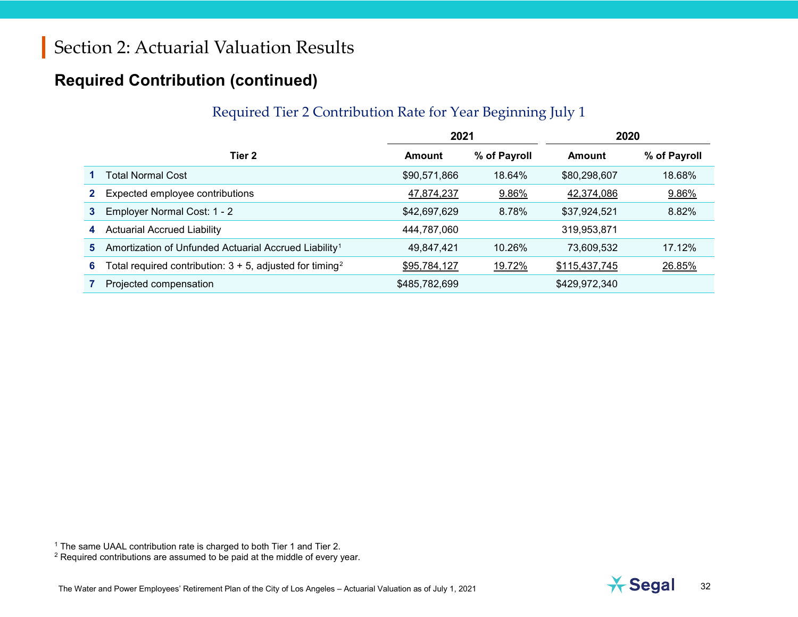### **Required Contribution (continued)**

#### <span id="page-31-1"></span><span id="page-31-0"></span>Required Tier 2 Contribution Rate for Year Beginning July 1

|              |                                                                         | 2021          |              | 2020          |              |
|--------------|-------------------------------------------------------------------------|---------------|--------------|---------------|--------------|
|              | Tier 2                                                                  | Amount        | % of Payroll | Amount        | % of Payroll |
|              | Total Normal Cost                                                       | \$90,571,866  | 18.64%       | \$80,298,607  | 18.68%       |
| $\mathbf{2}$ | Expected employee contributions                                         | 47,874,237    | 9.86%        | 42,374,086    | 9.86%        |
| 3            | Employer Normal Cost: 1 - 2                                             | \$42,697,629  | 8.78%        | \$37,924,521  | 8.82%        |
| 4            | <b>Actuarial Accrued Liability</b>                                      | 444,787,060   |              | 319,953,871   |              |
| 5.           | Amortization of Unfunded Actuarial Accrued Liability <sup>1</sup>       | 49,847,421    | 10.26%       | 73,609,532    | 17.12%       |
| 6            | Total required contribution: $3 + 5$ , adjusted for timing <sup>2</sup> | \$95,784,127  | 19.72%       | \$115,437,745 | 26.85%       |
|              | Projected compensation                                                  | \$485,782,699 |              | \$429,972,340 |              |



<sup>1</sup> The same UAAL contribution rate is charged to both Tier 1 and Tier 2.

<sup>&</sup>lt;sup>2</sup> Required contributions are assumed to be paid at the middle of every year.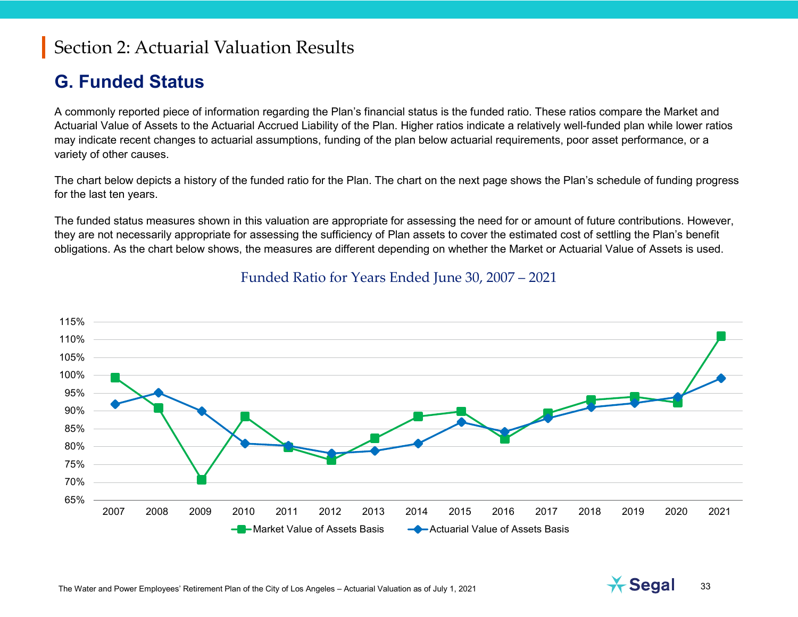### **G. Funded Status**

A commonly reported piece of information regarding the Plan's financial status is the funded ratio. These ratios compare the Market and Actuarial Value of Assets to the Actuarial Accrued Liability of the Plan. Higher ratios indicate a relatively well-funded plan while lower ratios may indicate recent changes to actuarial assumptions, funding of the plan below actuarial requirements, poor asset performance, or a variety of other causes.

The chart below depicts a history of the funded ratio for the Plan. The chart on the next page shows the Plan's schedule of funding progress for the last ten years.

The funded status measures shown in this valuation are appropriate for assessing the need for or amount of future contributions. However, they are not necessarily appropriate for assessing the sufficiency of Plan assets to cover the estimated cost of settling the Plan's benefit obligations. As the chart below shows, the measures are different depending on whether the Market or Actuarial Value of Assets is used.



#### Funded Ratio for Years Ended June 30, 2007 – 2021

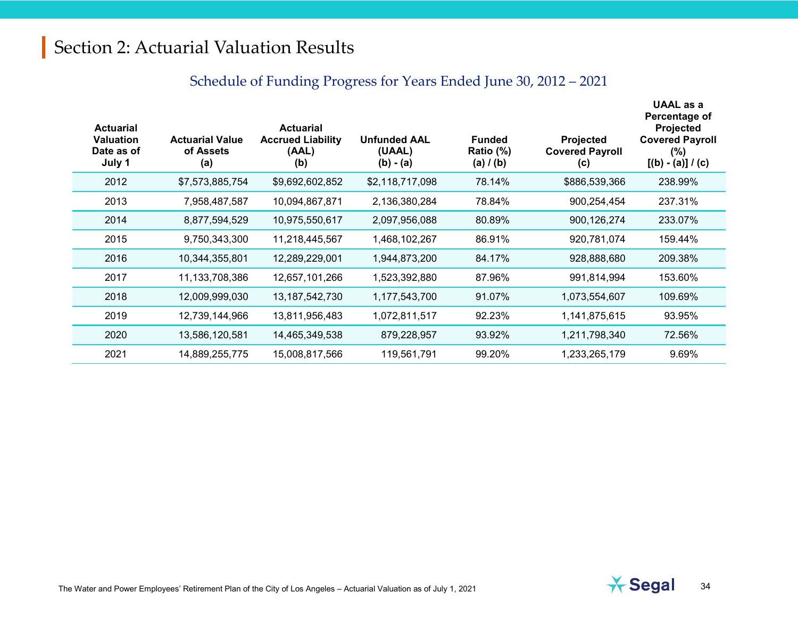### Schedule of Funding Progress for Years Ended June 30, 2012 – 2021

| <b>Actuarial</b><br><b>Valuation</b><br>Date as of<br>July 1 | <b>Actuarial Value</b><br>of Assets<br>(a) | <b>Actuarial</b><br><b>Accrued Liability</b><br>(AAL)<br>(b) | <b>Unfunded AAL</b><br>(UAAL)<br>$(b) - (a)$ | <b>Funded</b><br>Ratio (%)<br>(a) $I(b)$ | Projected<br><b>Covered Payroll</b><br>(c) | UAAL as a<br>Percentage of<br><b>Projected</b><br><b>Covered Payroll</b><br>$(\% )$<br>$[(b) - (a)] / (c)$ |
|--------------------------------------------------------------|--------------------------------------------|--------------------------------------------------------------|----------------------------------------------|------------------------------------------|--------------------------------------------|------------------------------------------------------------------------------------------------------------|
| 2012                                                         | \$7,573,885,754                            | \$9,692,602,852                                              | \$2,118,717,098                              | 78.14%                                   | \$886,539,366                              | 238.99%                                                                                                    |
| 2013                                                         | 7,958,487,587                              | 10,094,867,871                                               | 2,136,380,284                                | 78.84%                                   | 900,254,454                                | 237.31%                                                                                                    |
| 2014                                                         | 8,877,594,529                              | 10,975,550,617                                               | 2,097,956,088                                | 80.89%                                   | 900, 126, 274                              | 233.07%                                                                                                    |
| 2015                                                         | 9,750,343,300                              | 11,218,445,567                                               | 1,468,102,267                                | 86.91%                                   | 920,781,074                                | 159.44%                                                                                                    |
| 2016                                                         | 10,344,355,801                             | 12,289,229,001                                               | 1,944,873,200                                | 84.17%                                   | 928,888,680                                | 209.38%                                                                                                    |
| 2017                                                         | 11,133,708,386                             | 12,657,101,266                                               | 1,523,392,880                                | 87.96%                                   | 991,814,994                                | 153.60%                                                                                                    |
| 2018                                                         | 12,009,999,030                             | 13, 187, 542, 730                                            | 1,177,543,700                                | 91.07%                                   | 1,073,554,607                              | 109.69%                                                                                                    |
| 2019                                                         | 12,739,144,966                             | 13,811,956,483                                               | 1,072,811,517                                | 92.23%                                   | 1,141,875,615                              | 93.95%                                                                                                     |
| 2020                                                         | 13,586,120,581                             | 14,465,349,538                                               | 879,228,957                                  | 93.92%                                   | 1,211,798,340                              | 72.56%                                                                                                     |
| 2021                                                         | 14,889,255,775                             | 15,008,817,566                                               | 119,561,791                                  | 99.20%                                   | 1,233,265,179                              | 9.69%                                                                                                      |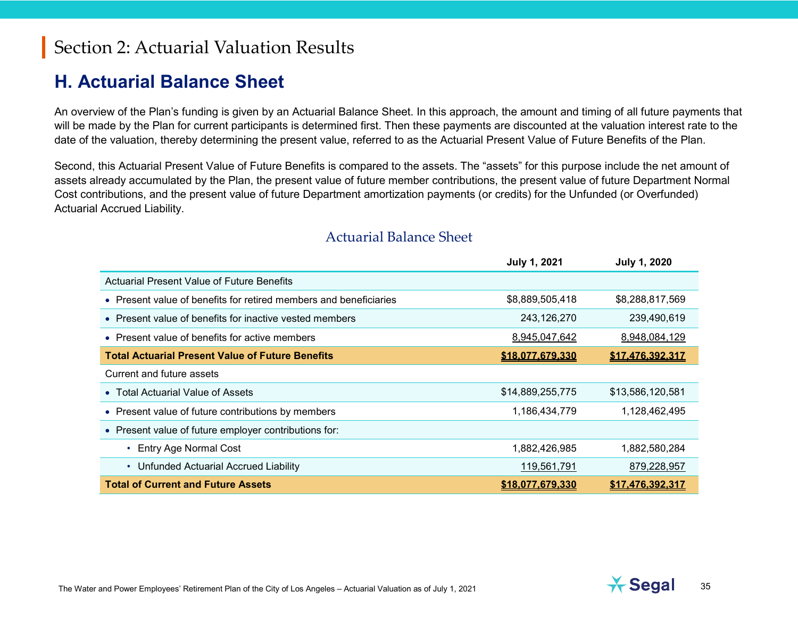### **H. Actuarial Balance Sheet**

An overview of the Plan's funding is given by an Actuarial Balance Sheet. In this approach, the amount and timing of all future payments that will be made by the Plan for current participants is determined first. Then these payments are discounted at the valuation interest rate to the date of the valuation, thereby determining the present value, referred to as the Actuarial Present Value of Future Benefits of the Plan.

Second, this Actuarial Present Value of Future Benefits is compared to the assets. The "assets" for this purpose include the net amount of assets already accumulated by the Plan, the present value of future member contributions, the present value of future Department Normal Cost contributions, and the present value of future Department amortization payments (or credits) for the Unfunded (or Overfunded) Actuarial Accrued Liability.

|                                                                   | <b>July 1, 2021</b> | <b>July 1, 2020</b> |
|-------------------------------------------------------------------|---------------------|---------------------|
| Actuarial Present Value of Future Benefits                        |                     |                     |
| • Present value of benefits for retired members and beneficiaries | \$8,889,505,418     | \$8,288,817,569     |
| • Present value of benefits for inactive vested members           | 243,126,270         | 239,490,619         |
| • Present value of benefits for active members                    | 8,945,047,642       | 8,948,084,129       |
| <b>Total Actuarial Present Value of Future Benefits</b>           | \$18,077,679,330    | \$17,476,392,317    |
| Current and future assets                                         |                     |                     |
| • Total Actuarial Value of Assets                                 | \$14,889,255,775    | \$13,586,120,581    |
| • Present value of future contributions by members                | 1,186,434,779       | 1,128,462,495       |
| • Present value of future employer contributions for:             |                     |                     |
| <b>Entry Age Normal Cost</b>                                      | 1,882,426,985       | 1,882,580,284       |
| Unfunded Actuarial Accrued Liability                              | 119,561,791         | 879,228,957         |
| <b>Total of Current and Future Assets</b>                         | \$18,077,679,330    | \$17,476,392,317    |

#### Actuarial Balance Sheet

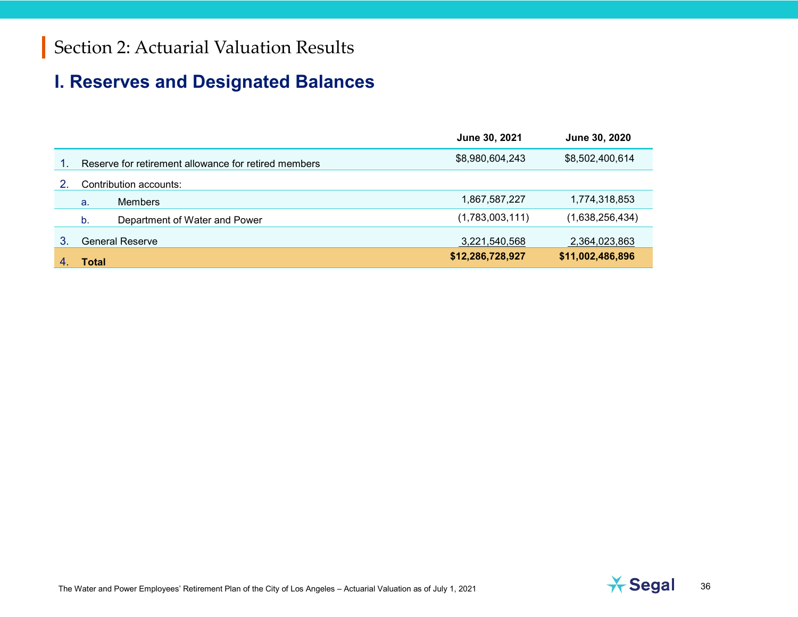### **I. Reserves and Designated Balances**

|   |                                                      | June 30, 2021    | June 30, 2020    |
|---|------------------------------------------------------|------------------|------------------|
|   | Reserve for retirement allowance for retired members | \$8,980,604,243  | \$8,502,400,614  |
|   | Contribution accounts:                               |                  |                  |
|   | <b>Members</b><br>a.                                 | 1,867,587,227    | 1,774,318,853    |
|   | Department of Water and Power<br>b.                  | (1,783,003,111)  | (1,638,256,434)  |
| 3 | <b>General Reserve</b>                               | 3,221,540,568    | 2,364,023,863    |
|   | Total                                                | \$12,286,728,927 | \$11,002,486,896 |

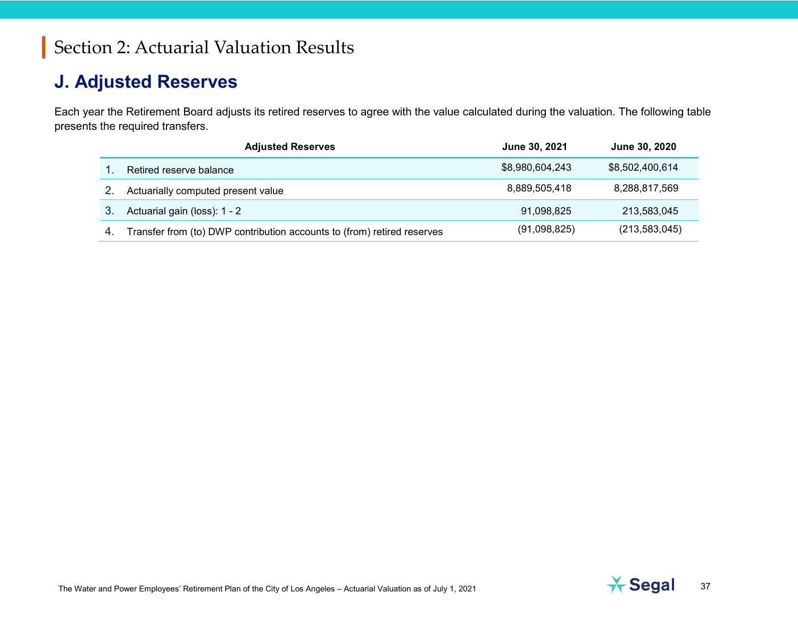#### **J. Adjusted Reserves**

Each year the Retirement Board adjusts its retired reserves to agree with the value calculated during the valuation. The following table presents the required transfers.

|     | <b>Adjusted Reserves</b>                                                | June 30, 2021   | June 30, 2020   |
|-----|-------------------------------------------------------------------------|-----------------|-----------------|
|     | Retired reserve balance                                                 | \$8,980,604,243 | \$8,502,400,614 |
|     | Actuarially computed present value                                      | 8,889,505,418   | 8,288,817,569   |
|     | Actuarial gain (loss): 1 - 2                                            | 91.098.825      | 213.583.045     |
| -4. | Transfer from (to) DWP contribution accounts to (from) retired reserves | (91,098,825)    | (213, 583, 045) |

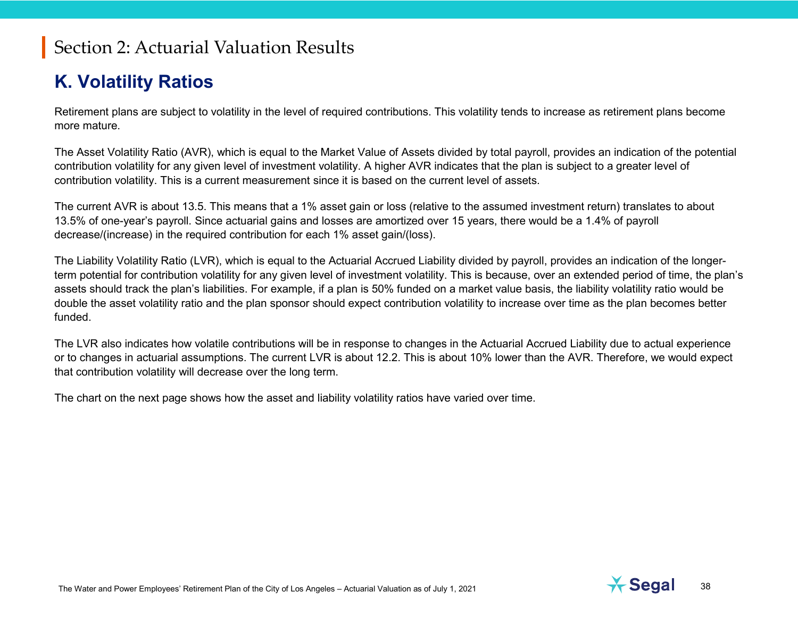#### **K. Volatility Ratios**

Retirement plans are subject to volatility in the level of required contributions. This volatility tends to increase as retirement plans become more mature.

The Asset Volatility Ratio (AVR), which is equal to the Market Value of Assets divided by total payroll, provides an indication of the potential contribution volatility for any given level of investment volatility. A higher AVR indicates that the plan is subject to a greater level of contribution volatility. This is a current measurement since it is based on the current level of assets.

The current AVR is about 13.5. This means that a 1% asset gain or loss (relative to the assumed investment return) translates to about 13.5% of one-year's payroll. Since actuarial gains and losses are amortized over 15 years, there would be a 1.4% of payroll decrease/(increase) in the required contribution for each 1% asset gain/(loss).

The Liability Volatility Ratio (LVR), which is equal to the Actuarial Accrued Liability divided by payroll, provides an indication of the longerterm potential for contribution volatility for any given level of investment volatility. This is because, over an extended period of time, the plan's assets should track the plan's liabilities. For example, if a plan is 50% funded on a market value basis, the liability volatility ratio would be double the asset volatility ratio and the plan sponsor should expect contribution volatility to increase over time as the plan becomes better funded.

The LVR also indicates how volatile contributions will be in response to changes in the Actuarial Accrued Liability due to actual experience or to changes in actuarial assumptions. The current LVR is about 12.2. This is about 10% lower than the AVR. Therefore, we would expect that contribution volatility will decrease over the long term.

The chart on the next page shows how the asset and liability volatility ratios have varied over time.

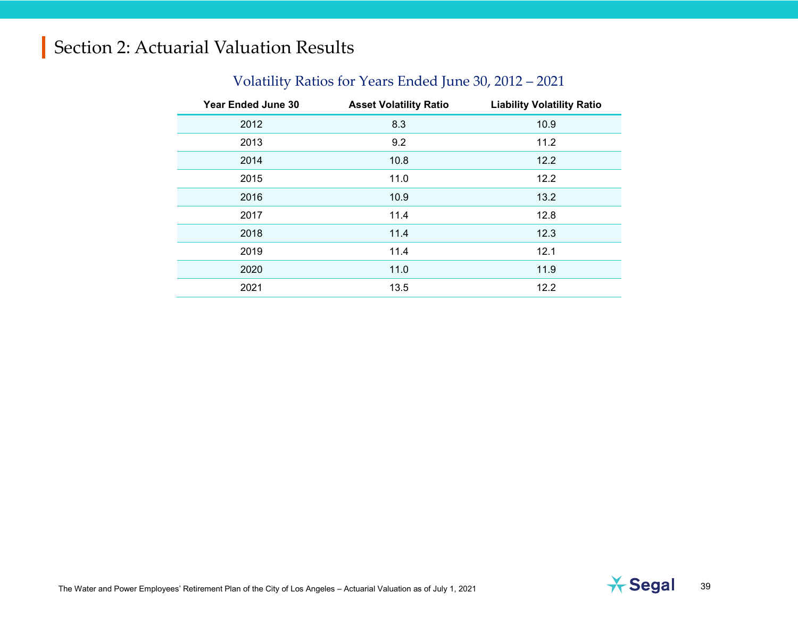#### Volatility Ratios for Years Ended June 30, 2012 – 2021

| <b>Year Ended June 30</b> | <b>Asset Volatility Ratio</b> | <b>Liability Volatility Ratio</b> |
|---------------------------|-------------------------------|-----------------------------------|
| 2012                      | 8.3                           | 10.9                              |
| 2013                      | 9.2                           | 11.2                              |
| 2014                      | 10.8                          | 12.2                              |
| 2015                      | 11.0                          | 12.2                              |
| 2016                      | 10.9                          | 13.2                              |
| 2017                      | 11.4                          | 12.8                              |
| 2018                      | 11.4                          | 12.3                              |
| 2019                      | 11.4                          | 12.1                              |
| 2020                      | 11.0                          | 11.9                              |
| 2021                      | 13.5                          | 12.2                              |

The Water and Power Employees' Retirement Plan of the City of Los Angeles – Actuarial Valuation as of July 1, 2021 **1999 10: 1, 2010** 39

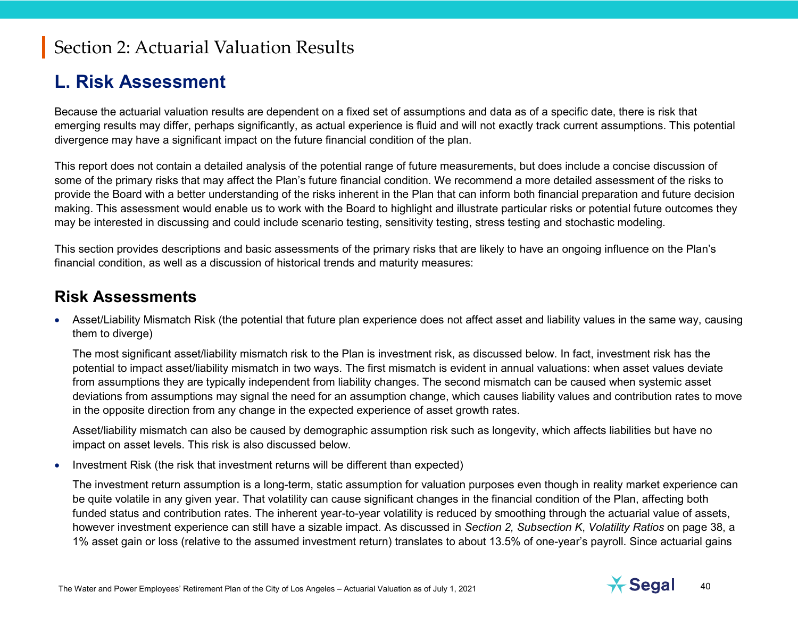#### **L. Risk Assessment**

Because the actuarial valuation results are dependent on a fixed set of assumptions and data as of a specific date, there is risk that emerging results may differ, perhaps significantly, as actual experience is fluid and will not exactly track current assumptions. This potential divergence may have a significant impact on the future financial condition of the plan.

This report does not contain a detailed analysis of the potential range of future measurements, but does include a concise discussion of some of the primary risks that may affect the Plan's future financial condition. We recommend a more detailed assessment of the risks to provide the Board with a better understanding of the risks inherent in the Plan that can inform both financial preparation and future decision making. This assessment would enable us to work with the Board to highlight and illustrate particular risks or potential future outcomes they may be interested in discussing and could include scenario testing, sensitivity testing, stress testing and stochastic modeling.

This section provides descriptions and basic assessments of the primary risks that are likely to have an ongoing influence on the Plan's financial condition, as well as a discussion of historical trends and maturity measures:

#### **Risk Assessments**

• Asset/Liability Mismatch Risk (the potential that future plan experience does not affect asset and liability values in the same way, causing them to diverge)

The most significant asset/liability mismatch risk to the Plan is investment risk, as discussed below. In fact, investment risk has the potential to impact asset/liability mismatch in two ways. The first mismatch is evident in annual valuations: when asset values deviate from assumptions they are typically independent from liability changes. The second mismatch can be caused when systemic asset deviations from assumptions may signal the need for an assumption change, which causes liability values and contribution rates to move in the opposite direction from any change in the expected experience of asset growth rates.

Asset/liability mismatch can also be caused by demographic assumption risk such as longevity, which affects liabilities but have no impact on asset levels. This risk is also discussed below.

• Investment Risk (the risk that investment returns will be different than expected)

The investment return assumption is a long-term, static assumption for valuation purposes even though in reality market experience can be quite volatile in any given year. That volatility can cause significant changes in the financial condition of the Plan, affecting both funded status and contribution rates. The inherent year-to-year volatility is reduced by smoothing through the actuarial value of assets, however investment experience can still have a sizable impact. As discussed in *Section 2, Subsection K*, *Volatility Ratios* on page 38, a 1% asset gain or loss (relative to the assumed investment return) translates to about 13.5% of one-year's payroll. Since actuarial gains

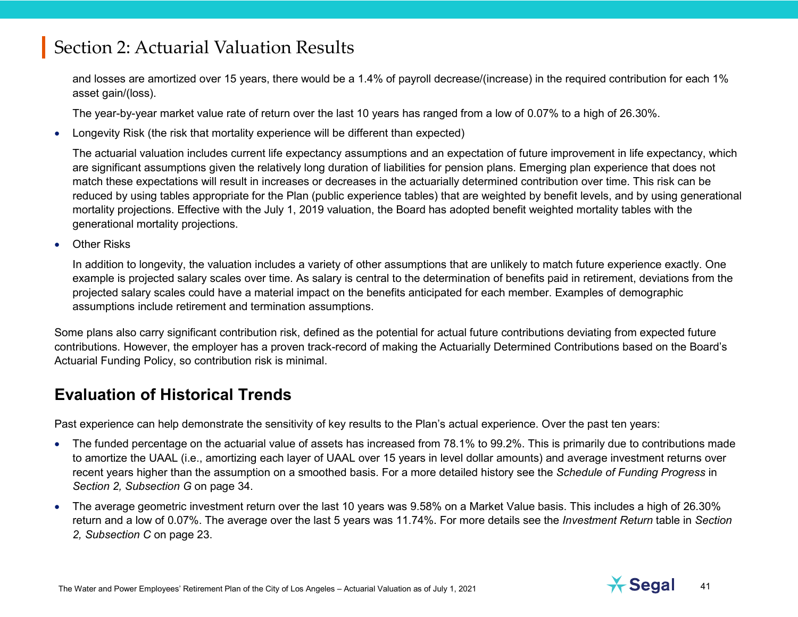and losses are amortized over 15 years, there would be a 1.4% of payroll decrease/(increase) in the required contribution for each 1% asset gain/(loss).

The year-by-year market value rate of return over the last 10 years has ranged from a low of 0.07% to a high of 26.30%.

• Longevity Risk (the risk that mortality experience will be different than expected)

The actuarial valuation includes current life expectancy assumptions and an expectation of future improvement in life expectancy, which are significant assumptions given the relatively long duration of liabilities for pension plans. Emerging plan experience that does not match these expectations will result in increases or decreases in the actuarially determined contribution over time. This risk can be reduced by using tables appropriate for the Plan (public experience tables) that are weighted by benefit levels, and by using generational mortality projections. Effective with the July 1, 2019 valuation, the Board has adopted benefit weighted mortality tables with the generational mortality projections.

• Other Risks

In addition to longevity, the valuation includes a variety of other assumptions that are unlikely to match future experience exactly. One example is projected salary scales over time. As salary is central to the determination of benefits paid in retirement, deviations from the projected salary scales could have a material impact on the benefits anticipated for each member. Examples of demographic assumptions include retirement and termination assumptions.

Some plans also carry significant contribution risk, defined as the potential for actual future contributions deviating from expected future contributions. However, the employer has a proven track-record of making the Actuarially Determined Contributions based on the Board's Actuarial Funding Policy, so contribution risk is minimal.

#### **Evaluation of Historical Trends**

Past experience can help demonstrate the sensitivity of key results to the Plan's actual experience. Over the past ten years:

- The funded percentage on the actuarial value of assets has increased from 78.1% to 99.2%. This is primarily due to contributions made to amortize the UAAL (i.e., amortizing each layer of UAAL over 15 years in level dollar amounts) and average investment returns over recent years higher than the assumption on a smoothed basis. For a more detailed history see the *Schedule of Funding Progress* in *Section 2, Subsection G* on page 34.
- The average geometric investment return over the last 10 years was 9.58% on a Market Value basis. This includes a high of 26.30% return and a low of 0.07%. The average over the last 5 years was 11.74%. For more details see the *Investment Return* table in *Section 2, Subsection C* on page 23.

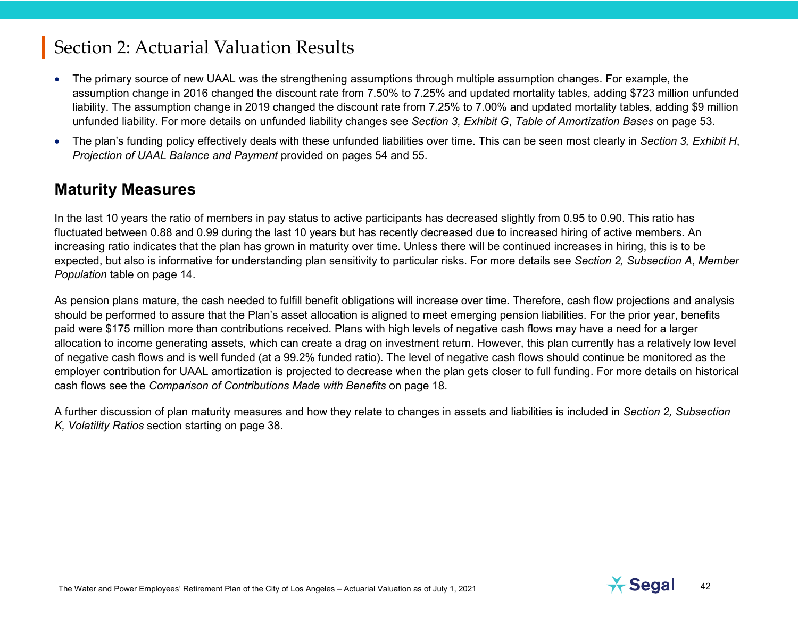- The primary source of new UAAL was the strengthening assumptions through multiple assumption changes. For example, the assumption change in 2016 changed the discount rate from 7.50% to 7.25% and updated mortality tables, adding \$723 million unfunded liability. The assumption change in 2019 changed the discount rate from 7.25% to 7.00% and updated mortality tables, adding \$9 million unfunded liability. For more details on unfunded liability changes see *Section 3, Exhibit G*, *Table of Amortization Bases* on page 53.
- The plan's funding policy effectively deals with these unfunded liabilities over time. This can be seen most clearly in *Section 3, Exhibit H*, *Projection of UAAL Balance and Payment* provided on pages 54 and 55.

#### **Maturity Measures**

In the last 10 years the ratio of members in pay status to active participants has decreased slightly from 0.95 to 0.90. This ratio has fluctuated between 0.88 and 0.99 during the last 10 years but has recently decreased due to increased hiring of active members. An increasing ratio indicates that the plan has grown in maturity over time. Unless there will be continued increases in hiring, this is to be expected, but also is informative for understanding plan sensitivity to particular risks. For more details see *Section 2, Subsection A*, *Member Population* table on page 14.

As pension plans mature, the cash needed to fulfill benefit obligations will increase over time. Therefore, cash flow projections and analysis should be performed to assure that the Plan's asset allocation is aligned to meet emerging pension liabilities. For the prior year, benefits paid were \$175 million more than contributions received. Plans with high levels of negative cash flows may have a need for a larger allocation to income generating assets, which can create a drag on investment return. However, this plan currently has a relatively low level of negative cash flows and is well funded (at a 99.2% funded ratio). The level of negative cash flows should continue be monitored as the employer contribution for UAAL amortization is projected to decrease when the plan gets closer to full funding. For more details on historical cash flows see the *Comparison of Contributions Made with Benefits* on page 18.

A further discussion of plan maturity measures and how they relate to changes in assets and liabilities is included in *Section 2, Subsection K, Volatility Ratios* section starting on page 38.

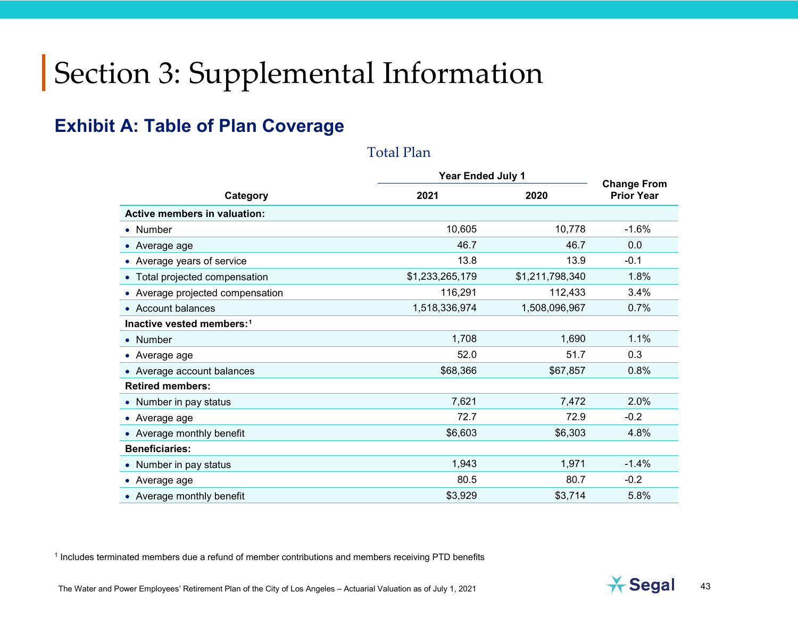#### **Exhibit A: Table of Plan Coverage**

#### <span id="page-42-0"></span>Total Plan

|                                     | <b>Year Ended July 1</b> | <b>Change From</b> |                   |
|-------------------------------------|--------------------------|--------------------|-------------------|
| Category                            | 2021                     | 2020               | <b>Prior Year</b> |
| <b>Active members in valuation:</b> |                          |                    |                   |
| • Number                            | 10,605                   | 10,778             | $-1.6%$           |
| • Average age                       | 46.7                     | 46.7               | 0.0               |
| • Average years of service          | 13.8                     | 13.9               | $-0.1$            |
| • Total projected compensation      | \$1,233,265,179          | \$1,211,798,340    | 1.8%              |
| • Average projected compensation    | 116,291                  | 112,433            | 3.4%              |
| • Account balances                  | 1,518,336,974            | 1,508,096,967      | 0.7%              |
| Inactive vested members:1           |                          |                    |                   |
| • Number                            | 1,708                    | 1,690              | 1.1%              |
| • Average age                       | 52.0                     | 51.7               | 0.3               |
| • Average account balances          | \$68,366                 | \$67,857           | 0.8%              |
| <b>Retired members:</b>             |                          |                    |                   |
| • Number in pay status              | 7,621                    | 7,472              | 2.0%              |
| • Average age                       | 72.7                     | 72.9               | $-0.2$            |
| • Average monthly benefit           | \$6,603                  | \$6,303            | 4.8%              |
| <b>Beneficiaries:</b>               |                          |                    |                   |
| • Number in pay status              | 1,943                    | 1,971              | $-1.4%$           |
| • Average age                       | 80.5                     | 80.7               | $-0.2$            |
| • Average monthly benefit           | \$3,929                  | \$3,714            | 5.8%              |

<sup>1</sup> Includes terminated members due a refund of member contributions and members receiving PTD benefits

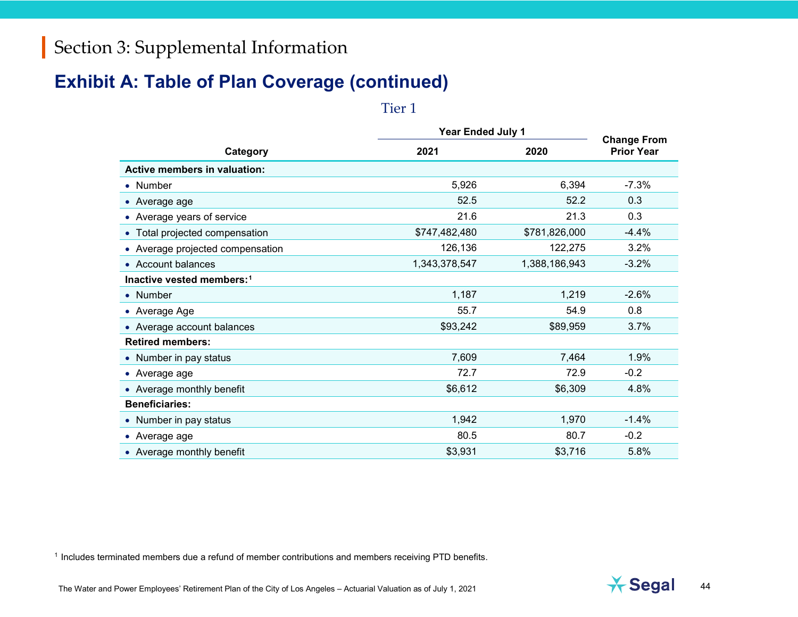#### **Exhibit A: Table of Plan Coverage (continued)**

<span id="page-43-0"></span>Tier 1

|                                       |               | <b>Year Ended July 1</b> |                                         |  |  |  |
|---------------------------------------|---------------|--------------------------|-----------------------------------------|--|--|--|
| Category                              | 2021          | 2020                     | <b>Change From</b><br><b>Prior Year</b> |  |  |  |
| Active members in valuation:          |               |                          |                                         |  |  |  |
| • Number                              | 5,926         | 6,394                    | $-7.3%$                                 |  |  |  |
| • Average age                         | 52.5          | 52.2                     | 0.3                                     |  |  |  |
| • Average years of service            | 21.6          | 21.3                     | 0.3                                     |  |  |  |
| • Total projected compensation        | \$747,482,480 | \$781,826,000            | $-4.4%$                                 |  |  |  |
| • Average projected compensation      | 126,136       | 122,275                  | 3.2%                                    |  |  |  |
| • Account balances                    | 1,343,378,547 | 1,388,186,943            | $-3.2%$                                 |  |  |  |
| Inactive vested members: <sup>1</sup> |               |                          |                                         |  |  |  |
| • Number                              | 1,187         | 1,219                    | $-2.6%$                                 |  |  |  |
| • Average Age                         | 55.7          | 54.9                     | 0.8                                     |  |  |  |
| • Average account balances            | \$93,242      | \$89,959                 | 3.7%                                    |  |  |  |
| <b>Retired members:</b>               |               |                          |                                         |  |  |  |
| • Number in pay status                | 7,609         | 7,464                    | 1.9%                                    |  |  |  |
| • Average age                         | 72.7          | 72.9                     | $-0.2$                                  |  |  |  |
| • Average monthly benefit             | \$6,612       | \$6,309                  | 4.8%                                    |  |  |  |
| <b>Beneficiaries:</b>                 |               |                          |                                         |  |  |  |
| • Number in pay status                | 1,942         | 1,970                    | $-1.4%$                                 |  |  |  |
| • Average age                         | 80.5          | 80.7                     | $-0.2$                                  |  |  |  |
| • Average monthly benefit             | \$3,931       | \$3,716                  | 5.8%                                    |  |  |  |

<sup>1</sup> Includes terminated members due a refund of member contributions and members receiving PTD benefits.

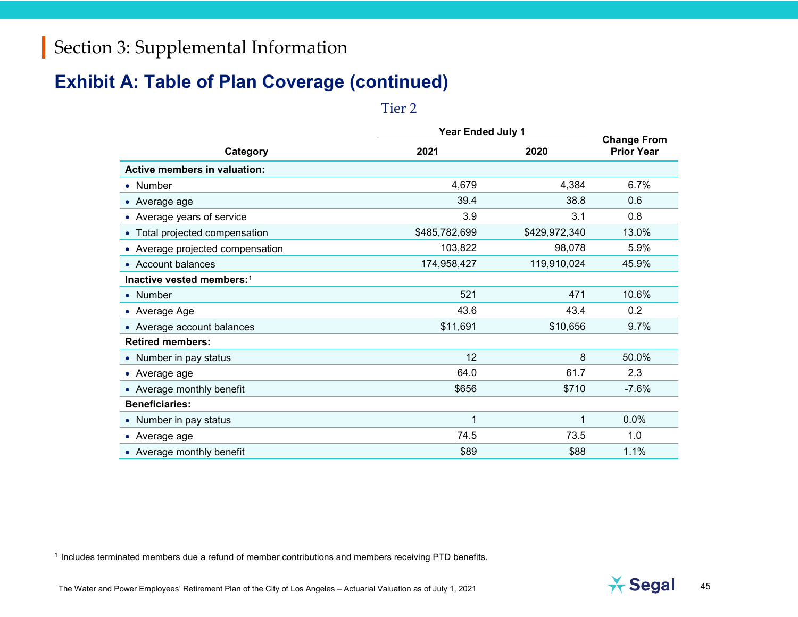#### **Exhibit A: Table of Plan Coverage (continued)**

<span id="page-44-0"></span>Tier 2

|                                       | <b>Year Ended July 1</b> | <b>Change From</b> |                   |  |
|---------------------------------------|--------------------------|--------------------|-------------------|--|
| Category                              | 2021                     | 2020               | <b>Prior Year</b> |  |
| <b>Active members in valuation:</b>   |                          |                    |                   |  |
| • Number                              | 4,679                    | 4,384              | 6.7%              |  |
| • Average age                         | 39.4                     | 38.8               | 0.6               |  |
| • Average years of service            | 3.9                      | 3.1                | 0.8               |  |
| • Total projected compensation        | \$485,782,699            | \$429,972,340      | 13.0%             |  |
| • Average projected compensation      | 103,822                  | 98,078             | 5.9%              |  |
| • Account balances                    | 174,958,427              | 119,910,024        | 45.9%             |  |
| Inactive vested members: <sup>1</sup> |                          |                    |                   |  |
| • Number                              | 521                      | 471                | 10.6%             |  |
| • Average Age                         | 43.6                     | 43.4               | 0.2               |  |
| • Average account balances            | \$11,691                 | \$10,656           | 9.7%              |  |
| <b>Retired members:</b>               |                          |                    |                   |  |
| • Number in pay status                | 12                       | 8                  | 50.0%             |  |
| • Average age                         | 64.0                     | 61.7               | 2.3               |  |
| • Average monthly benefit             | \$656                    | \$710              | $-7.6%$           |  |
| <b>Beneficiaries:</b>                 |                          |                    |                   |  |
| • Number in pay status                | 1                        | 1                  | 0.0%              |  |
| • Average age                         | 74.5                     | 73.5               | 1.0               |  |
| • Average monthly benefit             | \$89                     | \$88               | 1.1%              |  |

<sup>1</sup> Includes terminated members due a refund of member contributions and members receiving PTD benefits.

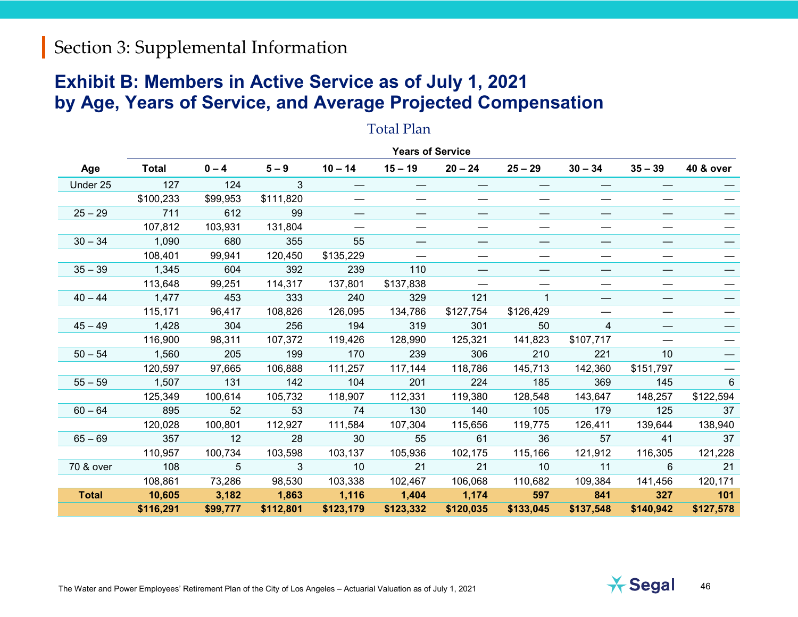#### **Exhibit B: Members in Active Service as of July 1, 2021 by Age, Years of Service, and Average Projected Compensation**

#### **Years of Service Age Total 0 – 4 5 – 9 10 – 14 15 – 19 20 – 24 25 – 29 30 – 34 35 – 39 40 & over** Under 25 127 124 3 — — — — — — — \$100,233 \$99,953 \$111,820 — — — — — — — 25 – 29 711 612 99 — — — — — — — 107,812 103,931 131,804 — — — — — — — 30 – 34 1,090 680 355 55 — — — — — — 108,401 99,941 120,450 \$135,229 — — — — — — 35 – 39 1,345 604 392 239 110 — — — — — 113,648 99,251 114,317 137,801 \$137,838 — — — — — 40 – 44 1,477 453 333 240 329 121 1 — — — 115,171 96,417 108,826 126,095 134,786 \$127,754 \$126,429 — — — 45-49 1,428 304 256 194 319 301 50 4 — — 116,900 98,311 107,372 119,426 128,990 125,321 141,823 \$107,717 — — 50 – 54 1,560 205 199 170 239 306 210 221 10 — 120,597 97,665 106,888 111,257 117,144 118,786 145,713 142,360 \$151,797 — 55 – 59 1,507 131 142 104 201 224 185 369 145 6 125,349 100,614 105,732 118,907 112,331 119,380 128,548 143,647 148,257 \$122,594 60 – 64 895 52 53 74 130 140 105 179 125 37 120,028 100,801 112,927 111,584 107,304 115,656 119,775 126,411 139,644 138,940 65 – 69 357 12 28 30 55 61 36 57 41 37 110,957 100,734 103,598 103,137 105,936 102,175 115,166 121,912 116,305 121,228 70 & over 108 5 3 10 21 21 10 11 6 21 108,861 73,286 98,530 103,338 102,467 106,068 110,682 109,384 141,456 120,171 **Total 10,605 3,182 1,863 1,116 1,404 1,174 597 841 327 101 \$116,291 \$99,777 \$112,801 \$123,179 \$123,332 \$120,035 \$133,045 \$137,548 \$140,942 \$127,578**

#### Total Plan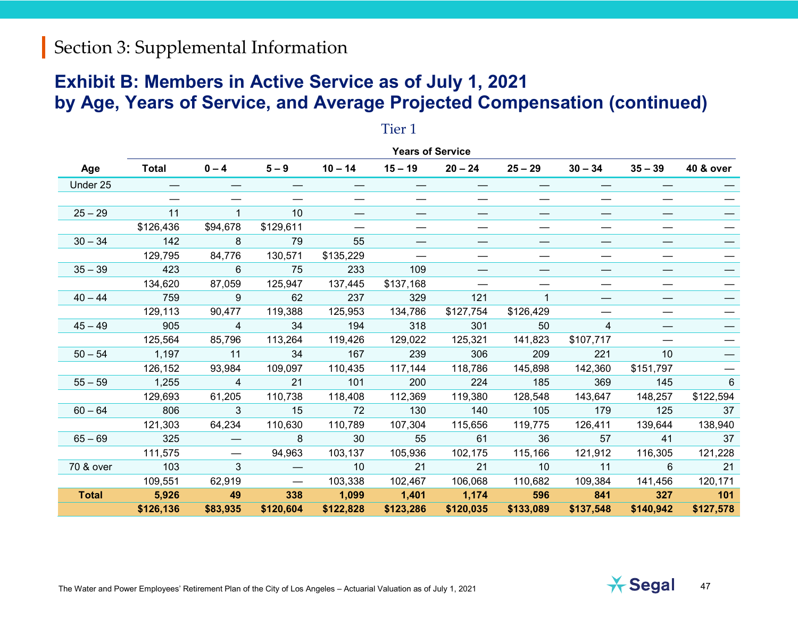#### **Exhibit B: Members in Active Service as of July 1, 2021 by Age, Years of Service, and Average Projected Compensation (continued)**

|              | <b>Years of Service</b> |          |                   |           |           |           |                          |                |           |                      |
|--------------|-------------------------|----------|-------------------|-----------|-----------|-----------|--------------------------|----------------|-----------|----------------------|
| Age          | <b>Total</b>            | $0 - 4$  | $5 - 9$           | $10 - 14$ | $15 - 19$ | $20 - 24$ | $25 - 29$                | $30 - 34$      | $35 - 39$ | <b>40 &amp; over</b> |
| Under 25     |                         |          |                   |           |           |           |                          |                |           |                      |
|              |                         |          |                   |           |           |           |                          |                |           |                      |
| $25 - 29$    | 11                      |          | 10                | —         | —         |           | $\overline{\phantom{0}}$ | --             |           |                      |
|              | \$126,436               | \$94,678 | \$129,611         |           |           |           |                          | —              |           |                      |
| $30 - 34$    | 142                     | 8        | 79                | 55        |           |           |                          |                |           |                      |
|              | 129,795                 | 84,776   | 130,571           | \$135,229 |           |           |                          |                |           |                      |
| $35 - 39$    | 423                     | 6        | 75                | 233       | 109       |           |                          |                |           |                      |
|              | 134,620                 | 87,059   | 125,947           | 137,445   | \$137,168 |           |                          |                |           |                      |
| $40 - 44$    | 759                     | 9        | 62                | 237       | 329       | 121       |                          |                |           |                      |
|              | 129,113                 | 90,477   | 119,388           | 125,953   | 134,786   | \$127,754 | \$126,429                |                |           |                      |
| $45 - 49$    | 905                     | 4        | 34                | 194       | 318       | 301       | 50                       | $\overline{4}$ |           |                      |
|              | 125,564                 | 85,796   | 113,264           | 119,426   | 129,022   | 125,321   | 141,823                  | \$107,717      |           |                      |
| $50 - 54$    | 1,197                   | 11       | 34                | 167       | 239       | 306       | 209                      | 221            | 10        |                      |
|              | 126,152                 | 93,984   | 109,097           | 110,435   | 117,144   | 118,786   | 145,898                  | 142,360        | \$151,797 |                      |
| $55 - 59$    | 1,255                   | 4        | 21                | 101       | 200       | 224       | 185                      | 369            | 145       | 6                    |
|              | 129,693                 | 61,205   | 110,738           | 118,408   | 112,369   | 119,380   | 128,548                  | 143,647        | 148,257   | \$122,594            |
| $60 - 64$    | 806                     | 3        | 15                | 72        | 130       | 140       | 105                      | 179            | 125       | 37                   |
|              | 121,303                 | 64,234   | 110,630           | 110,789   | 107,304   | 115,656   | 119,775                  | 126,411        | 139,644   | 138,940              |
| $65 - 69$    | 325                     |          | 8                 | 30        | 55        | 61        | 36                       | 57             | 41        | 37                   |
|              | 111,575                 |          | 94,963            | 103,137   | 105,936   | 102,175   | 115,166                  | 121,912        | 116,305   | 121,228              |
| 70 & over    | 103                     | 3        |                   | 10        | 21        | 21        | 10                       | 11             | 6         | 21                   |
|              | 109,551                 | 62,919   | $\hspace{0.05cm}$ | 103,338   | 102,467   | 106,068   | 110,682                  | 109,384        | 141,456   | 120,171              |
| <b>Total</b> | 5,926                   | 49       | 338               | 1,099     | 1,401     | 1,174     | 596                      | 841            | 327       | $-101$               |
|              | \$126,136               | \$83,935 | \$120,604         | \$122,828 | \$123,286 | \$120,035 | \$133,089                | \$137,548      | \$140,942 | \$127,578            |

#### Tier 1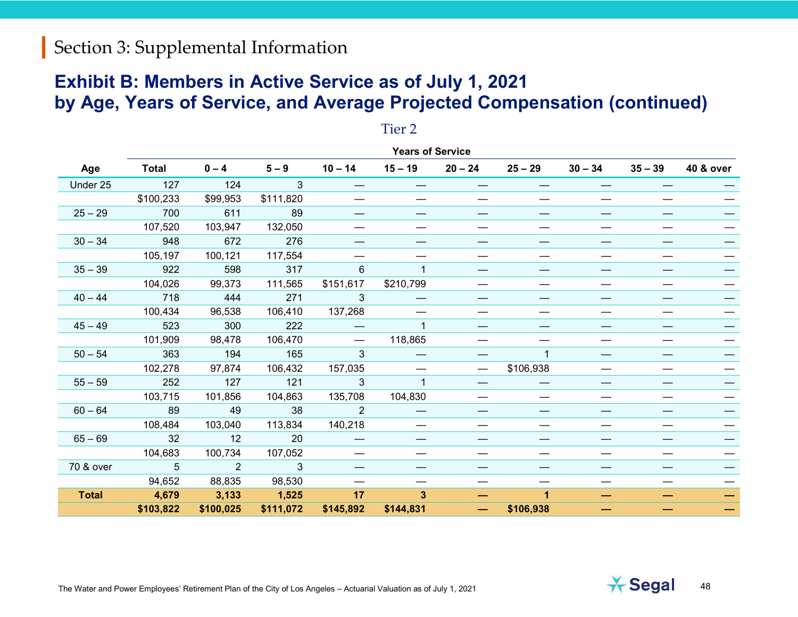#### **Exhibit B: Members in Active Service as of July 1, 2021 by Age, Years of Service, and Average Projected Compensation (continued)**

|              | <b>Years of Service</b> |                |              |           |              |           |                          |           |           |           |
|--------------|-------------------------|----------------|--------------|-----------|--------------|-----------|--------------------------|-----------|-----------|-----------|
| Age          | <b>Total</b>            | $0 - 4$        | $5 - 9$      | $10 - 14$ | $15 - 19$    | $20 - 24$ | $25 - 29$                | $30 - 34$ | $35 - 39$ | 40 & over |
| Under 25     | 127                     | 124            | $\mathbf{3}$ |           |              |           |                          |           |           |           |
|              | \$100,233               | \$99,953       | \$111,820    |           |              |           | —                        |           |           |           |
| $25 - 29$    | 700                     | 611            | 89           |           |              |           |                          |           |           |           |
|              | 107,520                 | 103,947        | 132,050      |           |              |           |                          |           |           |           |
| $30 - 34$    | 948                     | 672            | 276          |           |              |           |                          |           |           |           |
|              | 105,197                 | 100,121        | 117,554      |           |              |           |                          |           |           |           |
| $35 - 39$    | 922                     | 598            | 317          | 6         | 1            |           | —                        |           |           |           |
|              | 104,026                 | 99,373         | 111,565      | \$151,617 | \$210,799    |           |                          |           |           |           |
| $40 - 44$    | 718                     | 444            | 271          | 3         |              |           | —                        | —         |           |           |
|              | 100,434                 | 96,538         | 106,410      | 137,268   |              |           | —                        |           |           |           |
| $45 - 49$    | 523                     | 300            | 222          |           | $\mathbf{1}$ |           |                          |           |           |           |
|              | 101,909                 | 98,478         | 106,470      |           | 118,865      |           |                          |           |           |           |
| $50 - 54$    | 363                     | 194            | 165          | 3         |              |           |                          | —         |           |           |
|              | 102,278                 | 97,874         | 106,432      | 157,035   |              |           | \$106,938                |           |           |           |
| $55 - 59$    | 252                     | 127            | 121          | 3         | $\mathbf{1}$ |           | $\hspace{0.05cm}$        | —         |           |           |
|              | 103,715                 | 101,856        | 104,863      | 135,708   | 104,830      | —         | $\overline{\phantom{m}}$ | —         |           |           |
| $60 - 64$    | 89                      | 49             | 38           | 2         |              |           |                          |           |           |           |
|              | 108,484                 | 103,040        | 113,834      | 140,218   |              |           |                          |           |           |           |
| $65 - 69$    | 32                      | 12             | 20           |           |              |           |                          |           |           |           |
|              | 104,683                 | 100,734        | 107,052      |           |              |           |                          |           |           |           |
| 70 & over    | 5                       | $\overline{2}$ | $\mathbf{3}$ |           |              |           | —                        |           |           |           |
|              | 94,652                  | 88,835         | 98,530       |           |              |           |                          |           |           |           |
| <b>Total</b> | 4,679                   | 3,133          | 1,525        | 17        | $\mathbf{3}$ |           | 1                        | -         |           |           |
|              | \$103,822               | \$100,025      | \$111,072    | \$145,892 | \$144,831    |           | \$106,938                |           |           |           |
|              |                         |                |              |           |              |           |                          |           |           |           |

#### Tier 2

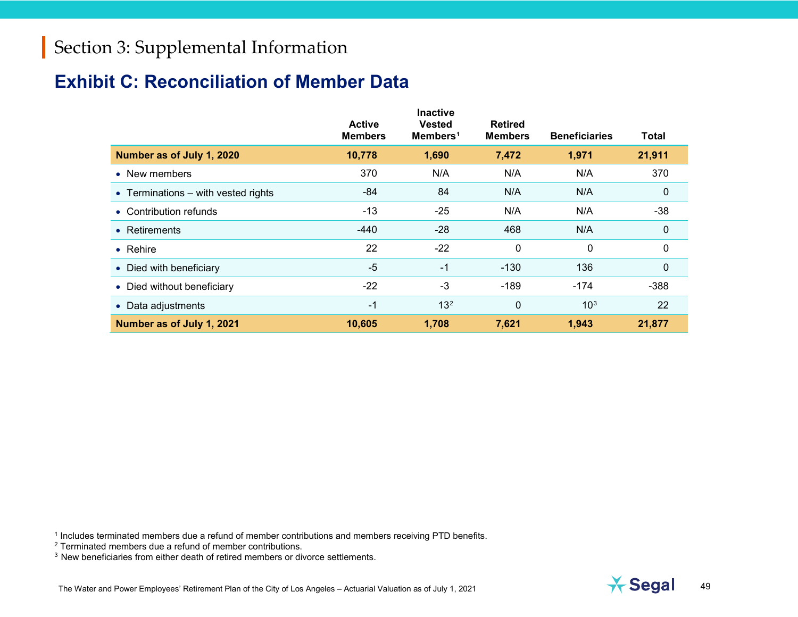#### **Exhibit C: Reconciliation of Member Data**

<span id="page-48-2"></span><span id="page-48-1"></span><span id="page-48-0"></span>

|                                       | <b>Active</b><br><b>Members</b> | <b>Inactive</b><br><b>Vested</b><br>Members <sup>1</sup> | <b>Retired</b><br><b>Members</b> | <b>Beneficiaries</b> | <b>Total</b> |
|---------------------------------------|---------------------------------|----------------------------------------------------------|----------------------------------|----------------------|--------------|
| Number as of July 1, 2020             | 10,778                          | 1,690                                                    | 7,472                            | 1,971                | 21,911       |
| • New members                         | 370                             | N/A                                                      | N/A                              | N/A                  | 370          |
| • Terminations $-$ with vested rights | $-84$                           | 84                                                       | N/A                              | N/A                  | $\mathbf 0$  |
| • Contribution refunds                | $-13$                           | $-25$                                                    | N/A                              | N/A                  | $-38$        |
| • Retirements                         | $-440$                          | $-28$                                                    | 468                              | N/A                  | 0            |
| $\bullet$ Rehire                      | 22                              | $-22$                                                    | 0                                | $\mathbf 0$          | 0            |
| • Died with beneficiary               | $-5$                            | $-1$                                                     | $-130$                           | 136                  | $\mathbf 0$  |
| • Died without beneficiary            | $-22$                           | $-3$                                                     | $-189$                           | $-174$               | $-388$       |
| • Data adjustments                    | $-1$                            | 13 <sup>2</sup>                                          | 0                                | 10 <sup>3</sup>      | 22           |
| Number as of July 1, 2021             | 10,605                          | 1,708                                                    | 7,621                            | 1,943                | 21,877       |

<sup>1</sup> Includes terminated members due a refund of member contributions and members receiving PTD benefits.



<sup>2</sup> Terminated members due a refund of member contributions.

<sup>3</sup> New beneficiaries from either death of retired members or divorce settlements.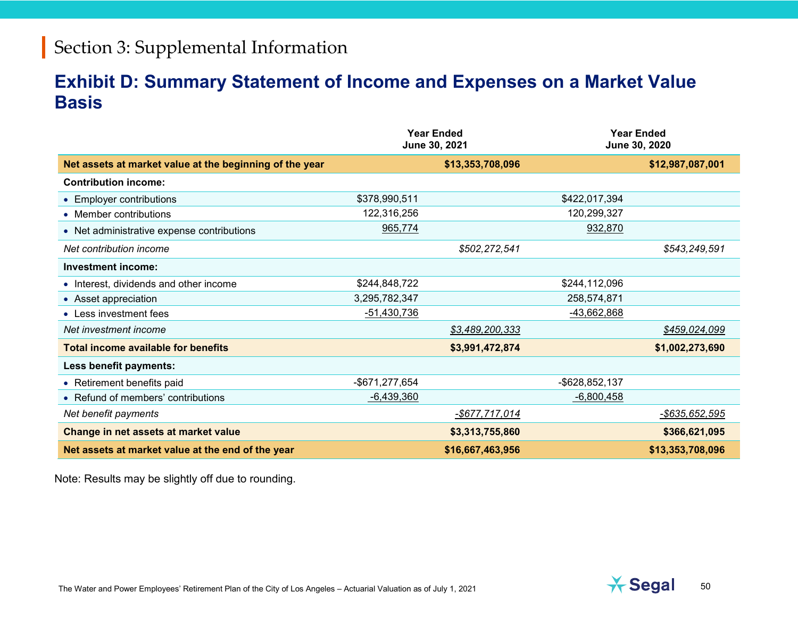#### **Exhibit D: Summary Statement of Income and Expenses on a Market Value Basis**

|                                                         |                | <b>Year Ended</b><br>June 30, 2021 |                | <b>Year Ended</b><br>June 30, 2020 |
|---------------------------------------------------------|----------------|------------------------------------|----------------|------------------------------------|
| Net assets at market value at the beginning of the year |                | \$13,353,708,096                   |                | \$12,987,087,001                   |
| <b>Contribution income:</b>                             |                |                                    |                |                                    |
| • Employer contributions                                | \$378,990,511  |                                    | \$422,017,394  |                                    |
| • Member contributions                                  | 122,316,256    |                                    | 120,299,327    |                                    |
| • Net administrative expense contributions              | 965,774        |                                    | 932,870        |                                    |
| Net contribution income                                 |                | \$502,272,541                      |                | \$543,249,591                      |
| Investment income:                                      |                |                                    |                |                                    |
| • Interest, dividends and other income                  | \$244,848,722  |                                    | \$244,112,096  |                                    |
| • Asset appreciation                                    | 3,295,782,347  |                                    | 258,574,871    |                                    |
| • Less investment fees                                  | $-51,430,736$  |                                    | -43,662,868    |                                    |
| Net investment income                                   |                | \$3,489,200,333                    |                | \$459,024,099                      |
| <b>Total income available for benefits</b>              |                | \$3,991,472,874                    |                | \$1,002,273,690                    |
| Less benefit payments:                                  |                |                                    |                |                                    |
| • Retirement benefits paid                              | -\$671,277,654 |                                    | -\$628,852,137 |                                    |
| • Refund of members' contributions                      | $-6,439,360$   |                                    | $-6,800,458$   |                                    |
| Net benefit payments                                    |                | <u>-\$677,717,014</u>              |                | -\$635.652.595                     |
| Change in net assets at market value                    |                | \$3,313,755,860                    |                | \$366,621,095                      |
| Net assets at market value at the end of the year       |                | \$16,667,463,956                   |                | \$13,353,708,096                   |

Note: Results may be slightly off due to rounding.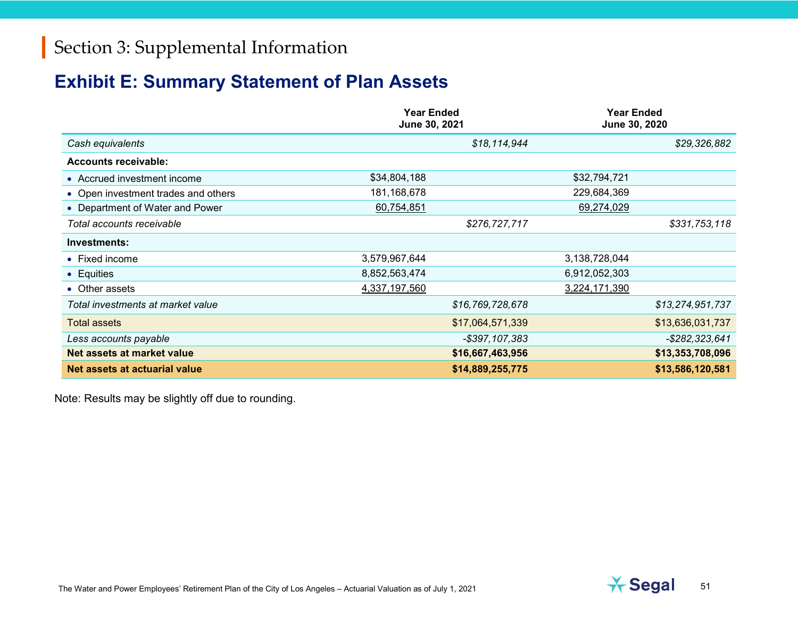#### **Exhibit E: Summary Statement of Plan Assets**

|                                     | <b>Year Ended</b><br>June 30, 2021 |                   | <b>Year Ended</b><br>June 30, 2020 |
|-------------------------------------|------------------------------------|-------------------|------------------------------------|
| Cash equivalents                    |                                    | \$18,114,944      | \$29,326,882                       |
| <b>Accounts receivable:</b>         |                                    |                   |                                    |
| • Accrued investment income         | \$34,804,188                       | \$32,794,721      |                                    |
| • Open investment trades and others | 181,168,678                        | 229,684,369       |                                    |
| • Department of Water and Power     | 60,754,851                         | 69,274,029        |                                    |
| Total accounts receivable           |                                    | \$276,727,717     | \$331,753,118                      |
| Investments:                        |                                    |                   |                                    |
| $\bullet$ Fixed income              | 3,579,967,644                      | 3,138,728,044     |                                    |
| • Equities                          | 8,852,563,474                      | 6,912,052,303     |                                    |
| • Other assets                      | 4,337,197,560                      | 3,224,171,390     |                                    |
| Total investments at market value   |                                    | \$16,769,728,678  | \$13,274,951,737                   |
| <b>Total assets</b>                 |                                    | \$17,064,571,339  | \$13,636,031,737                   |
| Less accounts payable               |                                    | $-$ \$397,107,383 | $-$ \$282,323,641                  |
| Net assets at market value          |                                    | \$16,667,463,956  | \$13,353,708,096                   |
| Net assets at actuarial value       |                                    | \$14,889,255,775  | \$13,586,120,581                   |

Note: Results may be slightly off due to rounding.

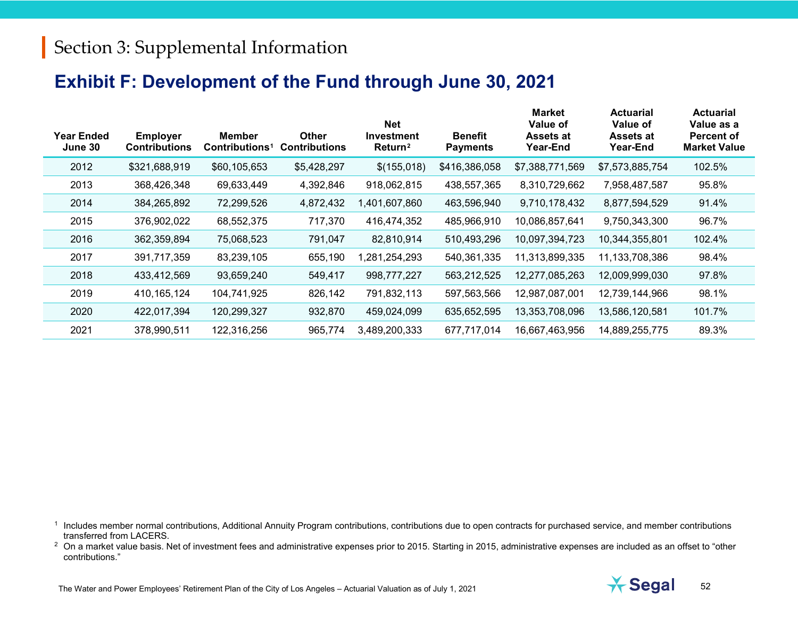#### <span id="page-51-1"></span><span id="page-51-0"></span>**Exhibit F: Development of the Fund through June 30, 2021**

| <b>Year Ended</b><br>June 30 | <b>Employer</b><br><b>Contributions</b> | <b>Member</b><br>Contributions <sup>1</sup> | Other<br><b>Contributions</b> | <b>Net</b><br><b>Investment</b><br>Return <sup>2</sup> | <b>Benefit</b><br><b>Payments</b> | <b>Market</b><br>Value of<br>Assets at<br>Year-End | <b>Actuarial</b><br>Value of<br>Assets at<br>Year-End | <b>Actuarial</b><br>Value as a<br><b>Percent of</b><br><b>Market Value</b> |
|------------------------------|-----------------------------------------|---------------------------------------------|-------------------------------|--------------------------------------------------------|-----------------------------------|----------------------------------------------------|-------------------------------------------------------|----------------------------------------------------------------------------|
| 2012                         | \$321,688,919                           | \$60,105,653                                | \$5,428,297                   | \$(155,018)                                            | \$416,386,058                     | \$7,388,771,569                                    | \$7,573,885,754                                       | 102.5%                                                                     |
| 2013                         | 368,426,348                             | 69,633,449                                  | 4,392,846                     | 918,062,815                                            | 438,557,365                       | 8,310,729,662                                      | 7,958,487,587                                         | 95.8%                                                                      |
| 2014                         | 384,265,892                             | 72,299,526                                  | 4,872,432                     | 1,401,607,860                                          | 463,596,940                       | 9,710,178,432                                      | 8,877,594,529                                         | 91.4%                                                                      |
| 2015                         | 376,902,022                             | 68,552,375                                  | 717,370                       | 416,474,352                                            | 485,966,910                       | 10,086,857,641                                     | 9,750,343,300                                         | 96.7%                                                                      |
| 2016                         | 362,359,894                             | 75,068,523                                  | 791,047                       | 82,810,914                                             | 510,493,296                       | 10,097,394,723                                     | 10,344,355,801                                        | 102.4%                                                                     |
| 2017                         | 391,717,359                             | 83,239,105                                  | 655,190                       | ,281,254,293                                           | 540,361,335                       | 11,313,899,335                                     | 11,133,708,386                                        | 98.4%                                                                      |
| 2018                         | 433,412,569                             | 93,659,240                                  | 549,417                       | 998,777,227                                            | 563,212,525                       | 12,277,085,263                                     | 12,009,999,030                                        | 97.8%                                                                      |
| 2019                         | 410, 165, 124                           | 104,741,925                                 | 826,142                       | 791,832,113                                            | 597,563,566                       | 12,987,087,001                                     | 12,739,144,966                                        | 98.1%                                                                      |
| 2020                         | 422,017,394                             | 120,299,327                                 | 932,870                       | 459,024,099                                            | 635,652,595                       | 13,353,708,096                                     | 13,586,120,581                                        | 101.7%                                                                     |
| 2021                         | 378,990,511                             | 122,316,256                                 | 965,774                       | 3,489,200,333                                          | 677,717,014                       | 16,667,463,956                                     | 14,889,255,775                                        | 89.3%                                                                      |

<sup>1</sup> Includes member normal contributions, Additional Annuity Program contributions, contributions due to open contracts for purchased service, and member contributions transferred from LACERS.

<sup>2</sup> On a market value basis. Net of investment fees and administrative expenses prior to 2015. Starting in 2015, administrative expenses are included as an offset to "other contributions."

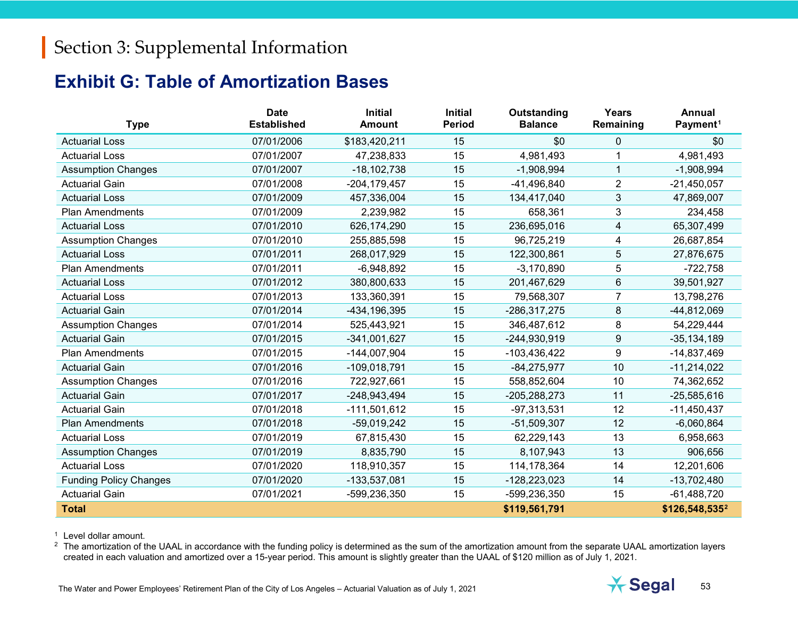#### <span id="page-52-1"></span><span id="page-52-0"></span>**Exhibit G: Table of Amortization Bases**

| <b>Type</b>                   | <b>Date</b><br><b>Established</b> | <b>Initial</b><br><b>Amount</b> | <b>Initial</b><br><b>Period</b> | Outstanding<br><b>Balance</b> | <b>Years</b><br>Remaining | <b>Annual</b><br>Payment <sup>1</sup> |
|-------------------------------|-----------------------------------|---------------------------------|---------------------------------|-------------------------------|---------------------------|---------------------------------------|
| <b>Actuarial Loss</b>         | 07/01/2006                        | \$183,420,211                   | 15                              | \$0                           | 0                         | \$0                                   |
| <b>Actuarial Loss</b>         | 07/01/2007                        | 47,238,833                      | 15                              | 4,981,493                     |                           | 4,981,493                             |
| <b>Assumption Changes</b>     | 07/01/2007                        | $-18, 102, 738$                 | 15                              | $-1,908,994$                  | $\mathbf 1$               | $-1,908,994$                          |
| <b>Actuarial Gain</b>         | 07/01/2008                        | $-204, 179, 457$                | 15                              | -41,496,840                   | $\overline{2}$            | $-21,450,057$                         |
| <b>Actuarial Loss</b>         | 07/01/2009                        | 457,336,004                     | 15                              | 134,417,040                   | 3                         | 47,869,007                            |
| <b>Plan Amendments</b>        | 07/01/2009                        | 2,239,982                       | 15                              | 658,361                       | 3                         | 234,458                               |
| <b>Actuarial Loss</b>         | 07/01/2010                        | 626,174,290                     | 15                              | 236,695,016                   | 4                         | 65,307,499                            |
| <b>Assumption Changes</b>     | 07/01/2010                        | 255,885,598                     | 15                              | 96,725,219                    | 4                         | 26,687,854                            |
| <b>Actuarial Loss</b>         | 07/01/2011                        | 268,017,929                     | 15                              | 122,300,861                   | 5                         | 27,876,675                            |
| <b>Plan Amendments</b>        | 07/01/2011                        | $-6,948,892$                    | 15                              | $-3,170,890$                  | 5                         | $-722,758$                            |
| <b>Actuarial Loss</b>         | 07/01/2012                        | 380,800,633                     | 15                              | 201,467,629                   | 6                         | 39,501,927                            |
| <b>Actuarial Loss</b>         | 07/01/2013                        | 133,360,391                     | 15                              | 79,568,307                    | $\overline{7}$            | 13,798,276                            |
| <b>Actuarial Gain</b>         | 07/01/2014                        | -434, 196, 395                  | 15                              | -286,317,275                  | 8                         | -44,812,069                           |
| <b>Assumption Changes</b>     | 07/01/2014                        | 525,443,921                     | 15                              | 346,487,612                   | 8                         | 54,229,444                            |
| <b>Actuarial Gain</b>         | 07/01/2015                        | $-341,001,627$                  | 15                              | -244,930,919                  | 9                         | $-35, 134, 189$                       |
| <b>Plan Amendments</b>        | 07/01/2015                        | $-144,007,904$                  | 15                              | -103,436,422                  | 9                         | $-14,837,469$                         |
| <b>Actuarial Gain</b>         | 07/01/2016                        | $-109,018,791$                  | 15                              | $-84,275,977$                 | 10                        | $-11,214,022$                         |
| <b>Assumption Changes</b>     | 07/01/2016                        | 722,927,661                     | 15                              | 558,852,604                   | 10                        | 74,362,652                            |
| <b>Actuarial Gain</b>         | 07/01/2017                        | -248,943,494                    | 15                              | -205,288,273                  | 11                        | $-25,585,616$                         |
| <b>Actuarial Gain</b>         | 07/01/2018                        | $-111,501,612$                  | 15                              | $-97,313,531$                 | 12                        | $-11,450,437$                         |
| <b>Plan Amendments</b>        | 07/01/2018                        | $-59,019,242$                   | 15                              | $-51,509,307$                 | 12                        | $-6,060,864$                          |
| <b>Actuarial Loss</b>         | 07/01/2019                        | 67,815,430                      | 15                              | 62,229,143                    | 13                        | 6,958,663                             |
| <b>Assumption Changes</b>     | 07/01/2019                        | 8,835,790                       | 15                              | 8,107,943                     | 13                        | 906,656                               |
| <b>Actuarial Loss</b>         | 07/01/2020                        | 118,910,357                     | 15                              | 114, 178, 364                 | 14                        | 12,201,606                            |
| <b>Funding Policy Changes</b> | 07/01/2020                        | -133,537,081                    | 15                              | $-128,223,023$                | 14                        | $-13,702,480$                         |
| <b>Actuarial Gain</b>         | 07/01/2021                        | -599,236,350                    | 15                              | -599,236,350                  | 15                        | $-61,488,720$                         |
| <b>Total</b>                  |                                   |                                 |                                 | \$119,561,791                 |                           | \$126,548,535 <sup>2</sup>            |

<sup>1</sup> Level dollar amount.

<sup>2</sup> The amortization of the UAAL in accordance with the funding policy is determined as the sum of the amortization amount from the separate UAAL amortization layers created in each valuation and amortized over a 15-year period. This amount is slightly greater than the UAAL of \$120 million as of July 1, 2021.

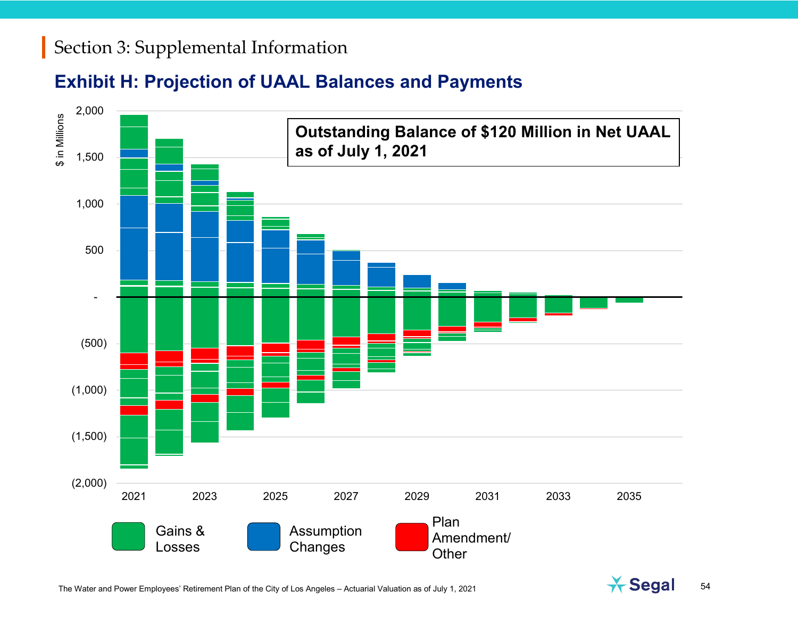#### **Exhibit H: Projection of UAAL Balances and Payments**



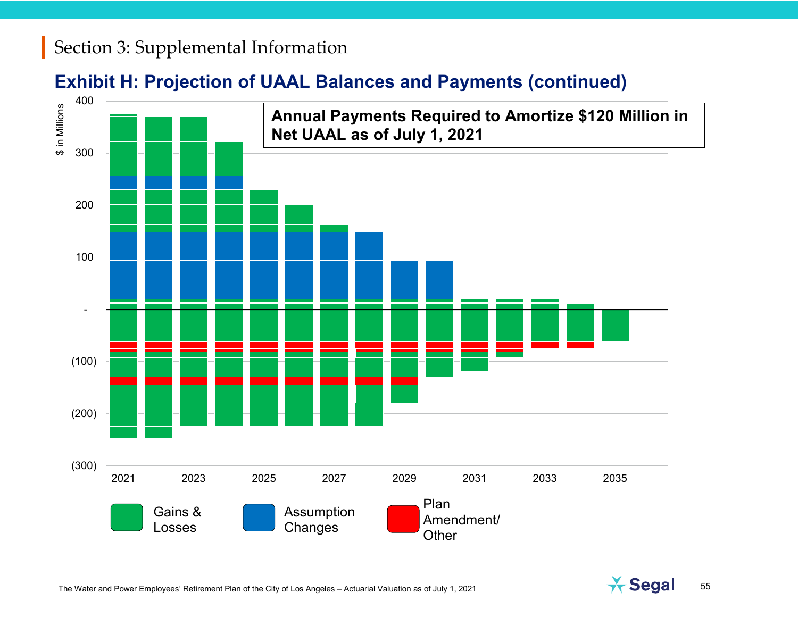#### **Exhibit H: Projection of UAAL Balances and Payments (continued)**



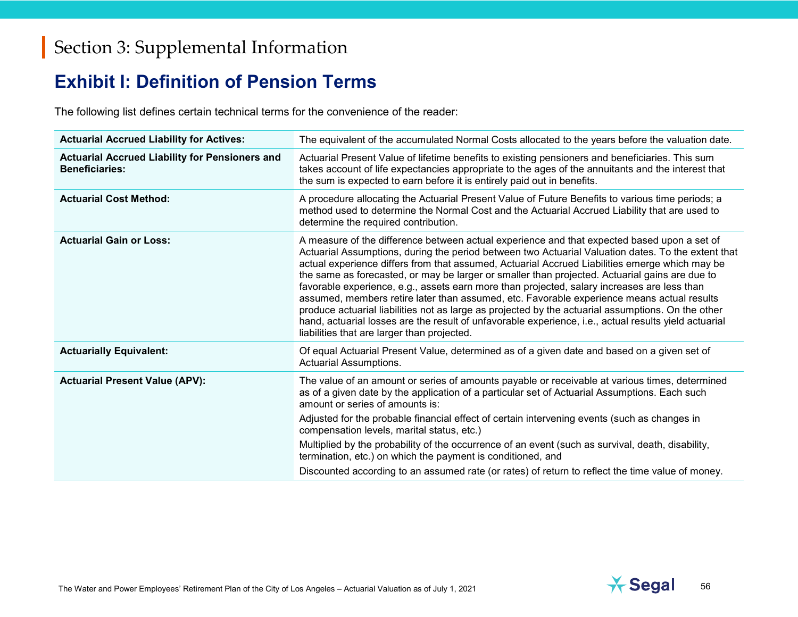#### **Exhibit I: Definition of Pension Terms**

The following list defines certain technical terms for the convenience of the reader:

| <b>Actuarial Accrued Liability for Actives:</b>                                | The equivalent of the accumulated Normal Costs allocated to the years before the valuation date.                                                                                                                                                                                                                                                                                                                                                                                                                                                                                                                                                                                                                                                                                                                                                                 |
|--------------------------------------------------------------------------------|------------------------------------------------------------------------------------------------------------------------------------------------------------------------------------------------------------------------------------------------------------------------------------------------------------------------------------------------------------------------------------------------------------------------------------------------------------------------------------------------------------------------------------------------------------------------------------------------------------------------------------------------------------------------------------------------------------------------------------------------------------------------------------------------------------------------------------------------------------------|
| <b>Actuarial Accrued Liability for Pensioners and</b><br><b>Beneficiaries:</b> | Actuarial Present Value of lifetime benefits to existing pensioners and beneficiaries. This sum<br>takes account of life expectancies appropriate to the ages of the annuitants and the interest that<br>the sum is expected to earn before it is entirely paid out in benefits.                                                                                                                                                                                                                                                                                                                                                                                                                                                                                                                                                                                 |
| <b>Actuarial Cost Method:</b>                                                  | A procedure allocating the Actuarial Present Value of Future Benefits to various time periods; a<br>method used to determine the Normal Cost and the Actuarial Accrued Liability that are used to<br>determine the required contribution.                                                                                                                                                                                                                                                                                                                                                                                                                                                                                                                                                                                                                        |
| <b>Actuarial Gain or Loss:</b>                                                 | A measure of the difference between actual experience and that expected based upon a set of<br>Actuarial Assumptions, during the period between two Actuarial Valuation dates. To the extent that<br>actual experience differs from that assumed, Actuarial Accrued Liabilities emerge which may be<br>the same as forecasted, or may be larger or smaller than projected. Actuarial gains are due to<br>favorable experience, e.g., assets earn more than projected, salary increases are less than<br>assumed, members retire later than assumed, etc. Favorable experience means actual results<br>produce actuarial liabilities not as large as projected by the actuarial assumptions. On the other<br>hand, actuarial losses are the result of unfavorable experience, i.e., actual results yield actuarial<br>liabilities that are larger than projected. |
| <b>Actuarially Equivalent:</b>                                                 | Of equal Actuarial Present Value, determined as of a given date and based on a given set of<br><b>Actuarial Assumptions.</b>                                                                                                                                                                                                                                                                                                                                                                                                                                                                                                                                                                                                                                                                                                                                     |
| <b>Actuarial Present Value (APV):</b>                                          | The value of an amount or series of amounts payable or receivable at various times, determined<br>as of a given date by the application of a particular set of Actuarial Assumptions. Each such<br>amount or series of amounts is:<br>Adjusted for the probable financial effect of certain intervening events (such as changes in<br>compensation levels, marital status, etc.)<br>Multiplied by the probability of the occurrence of an event (such as survival, death, disability,<br>termination, etc.) on which the payment is conditioned, and                                                                                                                                                                                                                                                                                                             |
|                                                                                | Discounted according to an assumed rate (or rates) of return to reflect the time value of money.                                                                                                                                                                                                                                                                                                                                                                                                                                                                                                                                                                                                                                                                                                                                                                 |

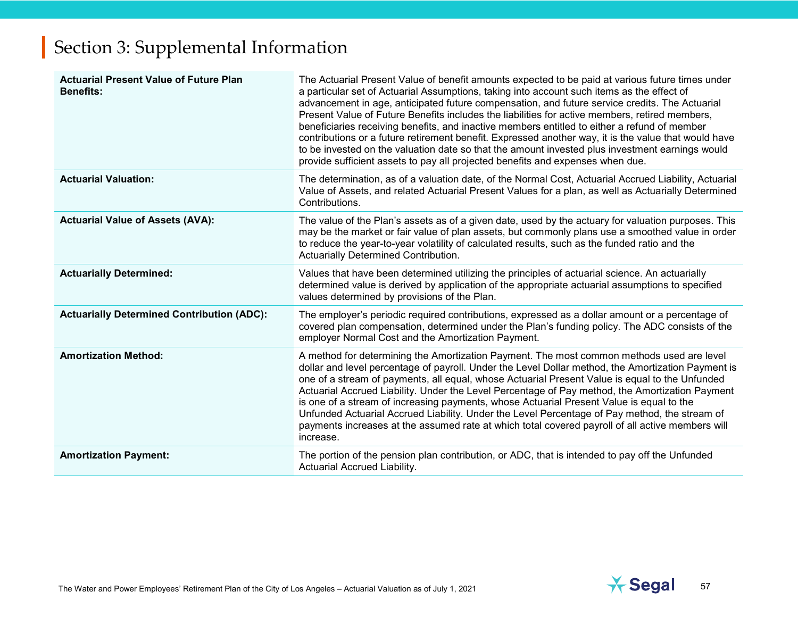| <b>Actuarial Present Value of Future Plan</b><br><b>Benefits:</b> | The Actuarial Present Value of benefit amounts expected to be paid at various future times under<br>a particular set of Actuarial Assumptions, taking into account such items as the effect of<br>advancement in age, anticipated future compensation, and future service credits. The Actuarial<br>Present Value of Future Benefits includes the liabilities for active members, retired members,<br>beneficiaries receiving benefits, and inactive members entitled to either a refund of member<br>contributions or a future retirement benefit. Expressed another way, it is the value that would have<br>to be invested on the valuation date so that the amount invested plus investment earnings would<br>provide sufficient assets to pay all projected benefits and expenses when due. |
|-------------------------------------------------------------------|-------------------------------------------------------------------------------------------------------------------------------------------------------------------------------------------------------------------------------------------------------------------------------------------------------------------------------------------------------------------------------------------------------------------------------------------------------------------------------------------------------------------------------------------------------------------------------------------------------------------------------------------------------------------------------------------------------------------------------------------------------------------------------------------------|
| <b>Actuarial Valuation:</b>                                       | The determination, as of a valuation date, of the Normal Cost, Actuarial Accrued Liability, Actuarial<br>Value of Assets, and related Actuarial Present Values for a plan, as well as Actuarially Determined<br>Contributions.                                                                                                                                                                                                                                                                                                                                                                                                                                                                                                                                                                  |
| <b>Actuarial Value of Assets (AVA):</b>                           | The value of the Plan's assets as of a given date, used by the actuary for valuation purposes. This<br>may be the market or fair value of plan assets, but commonly plans use a smoothed value in order<br>to reduce the year-to-year volatility of calculated results, such as the funded ratio and the<br>Actuarially Determined Contribution.                                                                                                                                                                                                                                                                                                                                                                                                                                                |
| <b>Actuarially Determined:</b>                                    | Values that have been determined utilizing the principles of actuarial science. An actuarially<br>determined value is derived by application of the appropriate actuarial assumptions to specified<br>values determined by provisions of the Plan.                                                                                                                                                                                                                                                                                                                                                                                                                                                                                                                                              |
| <b>Actuarially Determined Contribution (ADC):</b>                 | The employer's periodic required contributions, expressed as a dollar amount or a percentage of<br>covered plan compensation, determined under the Plan's funding policy. The ADC consists of the<br>employer Normal Cost and the Amortization Payment.                                                                                                                                                                                                                                                                                                                                                                                                                                                                                                                                         |
| <b>Amortization Method:</b>                                       | A method for determining the Amortization Payment. The most common methods used are level<br>dollar and level percentage of payroll. Under the Level Dollar method, the Amortization Payment is<br>one of a stream of payments, all equal, whose Actuarial Present Value is equal to the Unfunded<br>Actuarial Accrued Liability. Under the Level Percentage of Pay method, the Amortization Payment<br>is one of a stream of increasing payments, whose Actuarial Present Value is equal to the<br>Unfunded Actuarial Accrued Liability. Under the Level Percentage of Pay method, the stream of<br>payments increases at the assumed rate at which total covered payroll of all active members will<br>increase.                                                                              |
| <b>Amortization Payment:</b>                                      | The portion of the pension plan contribution, or ADC, that is intended to pay off the Unfunded<br>Actuarial Accrued Liability.                                                                                                                                                                                                                                                                                                                                                                                                                                                                                                                                                                                                                                                                  |

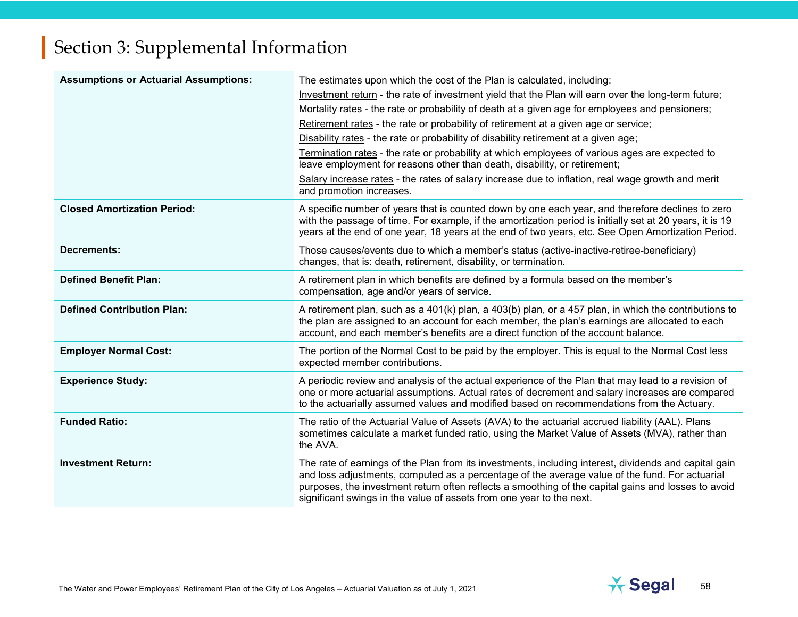| <b>Assumptions or Actuarial Assumptions:</b> | The estimates upon which the cost of the Plan is calculated, including:<br>Investment return - the rate of investment yield that the Plan will earn over the long-term future;<br>Mortality rates - the rate or probability of death at a given age for employees and pensioners;<br>Retirement rates - the rate or probability of retirement at a given age or service;<br>Disability rates - the rate or probability of disability retirement at a given age;<br>Termination rates - the rate or probability at which employees of various ages are expected to<br>leave employment for reasons other than death, disability, or retirement;<br>Salary increase rates - the rates of salary increase due to inflation, real wage growth and merit<br>and promotion increases. |
|----------------------------------------------|---------------------------------------------------------------------------------------------------------------------------------------------------------------------------------------------------------------------------------------------------------------------------------------------------------------------------------------------------------------------------------------------------------------------------------------------------------------------------------------------------------------------------------------------------------------------------------------------------------------------------------------------------------------------------------------------------------------------------------------------------------------------------------|
| <b>Closed Amortization Period:</b>           | A specific number of years that is counted down by one each year, and therefore declines to zero<br>with the passage of time. For example, if the amortization period is initially set at 20 years, it is 19<br>years at the end of one year, 18 years at the end of two years, etc. See Open Amortization Period.                                                                                                                                                                                                                                                                                                                                                                                                                                                              |
| <b>Decrements:</b>                           | Those causes/events due to which a member's status (active-inactive-retiree-beneficiary)<br>changes, that is: death, retirement, disability, or termination.                                                                                                                                                                                                                                                                                                                                                                                                                                                                                                                                                                                                                    |
| <b>Defined Benefit Plan:</b>                 | A retirement plan in which benefits are defined by a formula based on the member's<br>compensation, age and/or years of service.                                                                                                                                                                                                                                                                                                                                                                                                                                                                                                                                                                                                                                                |
| <b>Defined Contribution Plan:</b>            | A retirement plan, such as a $401(k)$ plan, a $403(b)$ plan, or a 457 plan, in which the contributions to<br>the plan are assigned to an account for each member, the plan's earnings are allocated to each<br>account, and each member's benefits are a direct function of the account balance.                                                                                                                                                                                                                                                                                                                                                                                                                                                                                |
| <b>Employer Normal Cost:</b>                 | The portion of the Normal Cost to be paid by the employer. This is equal to the Normal Cost less<br>expected member contributions.                                                                                                                                                                                                                                                                                                                                                                                                                                                                                                                                                                                                                                              |
| <b>Experience Study:</b>                     | A periodic review and analysis of the actual experience of the Plan that may lead to a revision of<br>one or more actuarial assumptions. Actual rates of decrement and salary increases are compared<br>to the actuarially assumed values and modified based on recommendations from the Actuary.                                                                                                                                                                                                                                                                                                                                                                                                                                                                               |
| <b>Funded Ratio:</b>                         | The ratio of the Actuarial Value of Assets (AVA) to the actuarial accrued liability (AAL). Plans<br>sometimes calculate a market funded ratio, using the Market Value of Assets (MVA), rather than<br>the AVA.                                                                                                                                                                                                                                                                                                                                                                                                                                                                                                                                                                  |
| <b>Investment Return:</b>                    | The rate of earnings of the Plan from its investments, including interest, dividends and capital gain<br>and loss adjustments, computed as a percentage of the average value of the fund. For actuarial<br>purposes, the investment return often reflects a smoothing of the capital gains and losses to avoid<br>significant swings in the value of assets from one year to the next.                                                                                                                                                                                                                                                                                                                                                                                          |

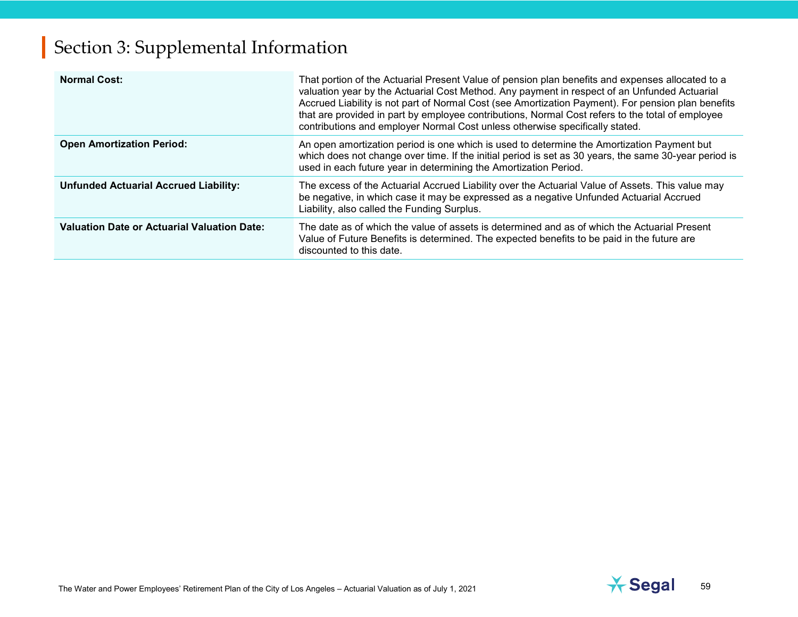| <b>Normal Cost:</b>                                | That portion of the Actuarial Present Value of pension plan benefits and expenses allocated to a<br>valuation year by the Actuarial Cost Method. Any payment in respect of an Unfunded Actuarial<br>Accrued Liability is not part of Normal Cost (see Amortization Payment). For pension plan benefits<br>that are provided in part by employee contributions, Normal Cost refers to the total of employee<br>contributions and employer Normal Cost unless otherwise specifically stated. |
|----------------------------------------------------|--------------------------------------------------------------------------------------------------------------------------------------------------------------------------------------------------------------------------------------------------------------------------------------------------------------------------------------------------------------------------------------------------------------------------------------------------------------------------------------------|
| <b>Open Amortization Period:</b>                   | An open amortization period is one which is used to determine the Amortization Payment but<br>which does not change over time. If the initial period is set as 30 years, the same 30-year period is<br>used in each future year in determining the Amortization Period.                                                                                                                                                                                                                    |
| <b>Unfunded Actuarial Accrued Liability:</b>       | The excess of the Actuarial Accrued Liability over the Actuarial Value of Assets. This value may<br>be negative, in which case it may be expressed as a negative Unfunded Actuarial Accrued<br>Liability, also called the Funding Surplus.                                                                                                                                                                                                                                                 |
| <b>Valuation Date or Actuarial Valuation Date:</b> | The date as of which the value of assets is determined and as of which the Actuarial Present<br>Value of Future Benefits is determined. The expected benefits to be paid in the future are<br>discounted to this date.                                                                                                                                                                                                                                                                     |

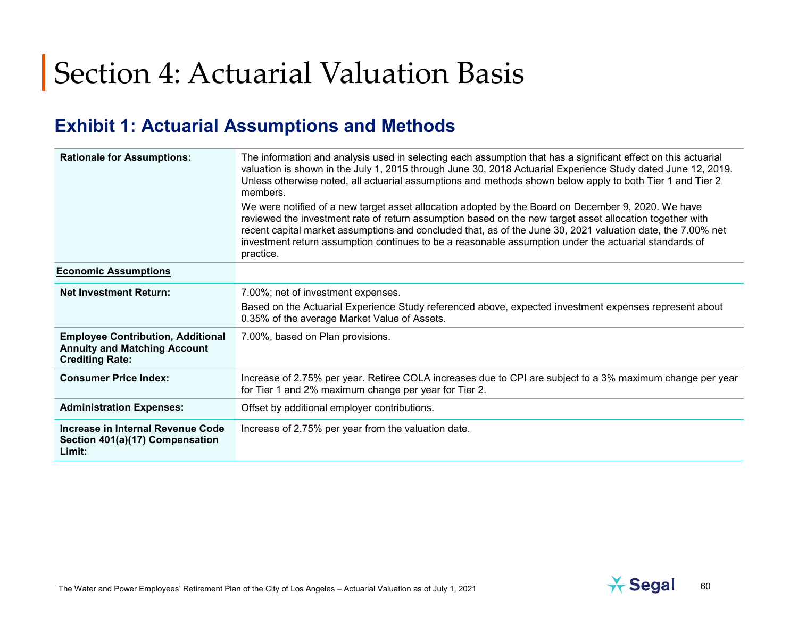#### **Exhibit 1: Actuarial Assumptions and Methods**

| <b>Rationale for Assumptions:</b>                                                                         | The information and analysis used in selecting each assumption that has a significant effect on this actuarial<br>valuation is shown in the July 1, 2015 through June 30, 2018 Actuarial Experience Study dated June 12, 2019.<br>Unless otherwise noted, all actuarial assumptions and methods shown below apply to both Tier 1 and Tier 2<br>members.<br>We were notified of a new target asset allocation adopted by the Board on December 9, 2020. We have<br>reviewed the investment rate of return assumption based on the new target asset allocation together with<br>recent capital market assumptions and concluded that, as of the June 30, 2021 valuation date, the 7.00% net<br>investment return assumption continues to be a reasonable assumption under the actuarial standards of |
|-----------------------------------------------------------------------------------------------------------|----------------------------------------------------------------------------------------------------------------------------------------------------------------------------------------------------------------------------------------------------------------------------------------------------------------------------------------------------------------------------------------------------------------------------------------------------------------------------------------------------------------------------------------------------------------------------------------------------------------------------------------------------------------------------------------------------------------------------------------------------------------------------------------------------|
|                                                                                                           | practice.                                                                                                                                                                                                                                                                                                                                                                                                                                                                                                                                                                                                                                                                                                                                                                                          |
| <b>Economic Assumptions</b>                                                                               |                                                                                                                                                                                                                                                                                                                                                                                                                                                                                                                                                                                                                                                                                                                                                                                                    |
| <b>Net Investment Return:</b>                                                                             | 7.00%; net of investment expenses.                                                                                                                                                                                                                                                                                                                                                                                                                                                                                                                                                                                                                                                                                                                                                                 |
|                                                                                                           | Based on the Actuarial Experience Study referenced above, expected investment expenses represent about<br>0.35% of the average Market Value of Assets.                                                                                                                                                                                                                                                                                                                                                                                                                                                                                                                                                                                                                                             |
| <b>Employee Contribution, Additional</b><br><b>Annuity and Matching Account</b><br><b>Crediting Rate:</b> | 7.00%, based on Plan provisions.                                                                                                                                                                                                                                                                                                                                                                                                                                                                                                                                                                                                                                                                                                                                                                   |
| <b>Consumer Price Index:</b>                                                                              | Increase of 2.75% per year. Retiree COLA increases due to CPI are subject to a 3% maximum change per year<br>for Tier 1 and 2% maximum change per year for Tier 2.                                                                                                                                                                                                                                                                                                                                                                                                                                                                                                                                                                                                                                 |
| <b>Administration Expenses:</b>                                                                           | Offset by additional employer contributions.                                                                                                                                                                                                                                                                                                                                                                                                                                                                                                                                                                                                                                                                                                                                                       |
| Increase in Internal Revenue Code<br>Section 401(a)(17) Compensation<br>Limit:                            | Increase of 2.75% per year from the valuation date.                                                                                                                                                                                                                                                                                                                                                                                                                                                                                                                                                                                                                                                                                                                                                |

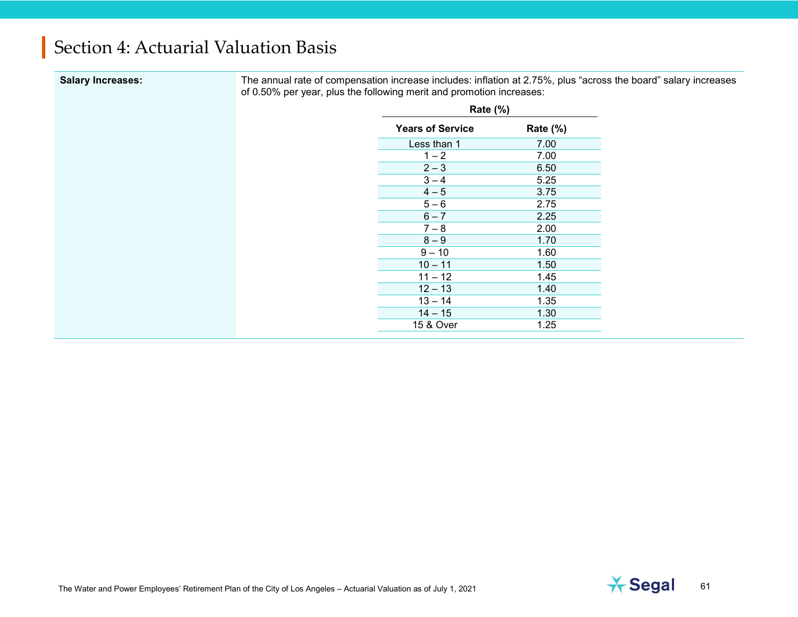| <b>Salary Increases:</b> |  |
|--------------------------|--|
|                          |  |

**Salary Increases:** The annual rate of compensation increase includes: inflation at 2.75%, plus "across the board" salary increases of 0.50% per year, plus the following merit and promotion increases:

| <b>Rate (%)</b>         |          |  |
|-------------------------|----------|--|
| <b>Years of Service</b> | Rate (%) |  |
| Less than 1             | 7.00     |  |
| $1 - 2$                 | 7.00     |  |
| $2 - 3$                 | 6.50     |  |
| $3 - 4$                 | 5.25     |  |
| $4 - 5$                 | 3.75     |  |
| $5 - 6$                 | 2.75     |  |
| $6 - 7$                 | 2.25     |  |
| $7 - 8$                 | 2.00     |  |
| $8 - 9$                 | 1.70     |  |
| $9 - 10$                | 1.60     |  |
| $10 - 11$               | 1.50     |  |
| $11 - 12$               | 1.45     |  |
| $12 - 13$               | 1.40     |  |
| $13 - 14$               | 1.35     |  |
| $14 - 15$               | 1.30     |  |
| 15 & Over               | 1.25     |  |

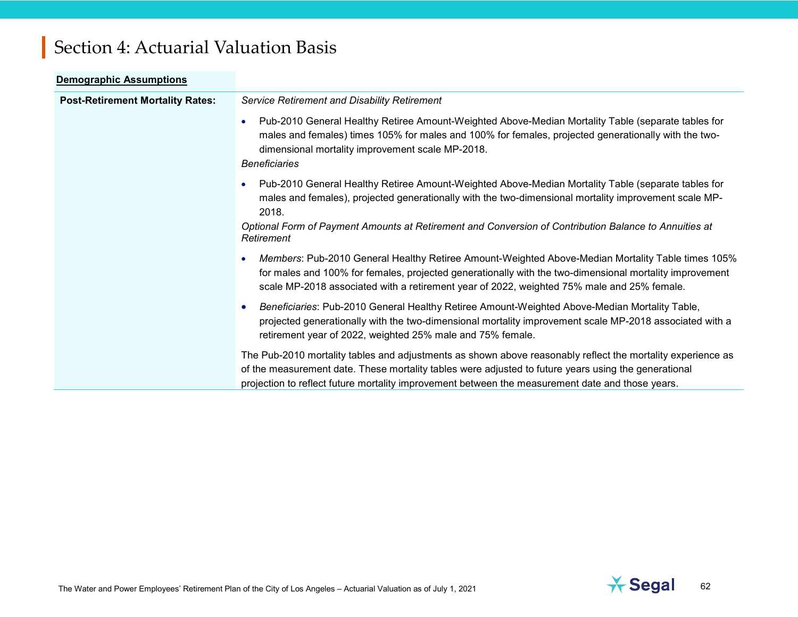| <b>Demographic Assumptions</b>          |                                                                                                                                                                                                                                                                                                                                             |  |  |  |
|-----------------------------------------|---------------------------------------------------------------------------------------------------------------------------------------------------------------------------------------------------------------------------------------------------------------------------------------------------------------------------------------------|--|--|--|
| <b>Post-Retirement Mortality Rates:</b> | Service Retirement and Disability Retirement                                                                                                                                                                                                                                                                                                |  |  |  |
|                                         | Pub-2010 General Healthy Retiree Amount-Weighted Above-Median Mortality Table (separate tables for<br>males and females) times 105% for males and 100% for females, projected generationally with the two-<br>dimensional mortality improvement scale MP-2018.<br><b>Beneficiaries</b>                                                      |  |  |  |
|                                         | Pub-2010 General Healthy Retiree Amount-Weighted Above-Median Mortality Table (separate tables for<br>males and females), projected generationally with the two-dimensional mortality improvement scale MP-<br>2018.<br>Optional Form of Payment Amounts at Retirement and Conversion of Contribution Balance to Annuities at<br>Retirement |  |  |  |
|                                         | Members: Pub-2010 General Healthy Retiree Amount-Weighted Above-Median Mortality Table times 105%<br>for males and 100% for females, projected generationally with the two-dimensional mortality improvement<br>scale MP-2018 associated with a retirement year of 2022, weighted 75% male and 25% female.                                  |  |  |  |
|                                         | Beneficiaries: Pub-2010 General Healthy Retiree Amount-Weighted Above-Median Mortality Table,<br>projected generationally with the two-dimensional mortality improvement scale MP-2018 associated with a<br>retirement year of 2022, weighted 25% male and 75% female.                                                                      |  |  |  |
|                                         | The Pub-2010 mortality tables and adjustments as shown above reasonably reflect the mortality experience as<br>of the measurement date. These mortality tables were adjusted to future years using the generational<br>projection to reflect future mortality improvement between the measurement date and those years.                     |  |  |  |

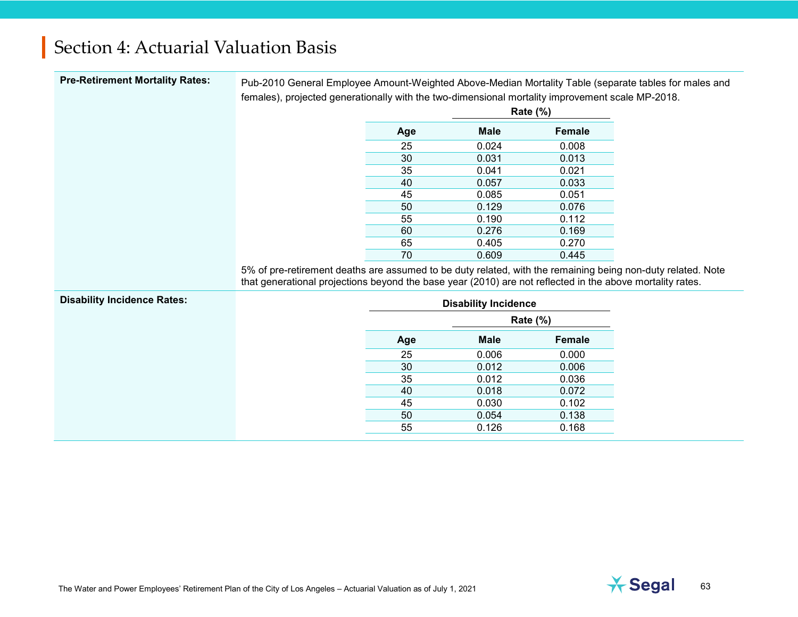| <b>Pre-Retirement Mortality Rates:</b> | Pub-2010 General Employee Amount-Weighted Above-Median Mortality Table (separate tables for males and<br>females), projected generationally with the two-dimensional mortality improvement scale MP-2018.                |     |                             |                 |  |
|----------------------------------------|--------------------------------------------------------------------------------------------------------------------------------------------------------------------------------------------------------------------------|-----|-----------------------------|-----------------|--|
|                                        |                                                                                                                                                                                                                          |     |                             | <b>Rate (%)</b> |  |
|                                        |                                                                                                                                                                                                                          | Age | <b>Male</b>                 | <b>Female</b>   |  |
|                                        |                                                                                                                                                                                                                          | 25  | 0.024                       | 0.008           |  |
|                                        |                                                                                                                                                                                                                          | 30  | 0.031                       | 0.013           |  |
|                                        |                                                                                                                                                                                                                          | 35  | 0.041                       | 0.021           |  |
|                                        |                                                                                                                                                                                                                          | 40  | 0.057                       | 0.033           |  |
|                                        |                                                                                                                                                                                                                          | 45  | 0.085                       | 0.051           |  |
|                                        |                                                                                                                                                                                                                          | 50  | 0.129                       | 0.076           |  |
|                                        |                                                                                                                                                                                                                          | 55  | 0.190                       | 0.112           |  |
|                                        |                                                                                                                                                                                                                          | 60  | 0.276                       | 0.169           |  |
|                                        |                                                                                                                                                                                                                          | 65  | 0.405                       | 0.270           |  |
|                                        |                                                                                                                                                                                                                          | 70  | 0.609                       | 0.445           |  |
|                                        | 5% of pre-retirement deaths are assumed to be duty related, with the remaining being non-duty related. Note<br>that generational projections beyond the base year (2010) are not reflected in the above mortality rates. |     |                             |                 |  |
| <b>Disability Incidence Rates:</b>     |                                                                                                                                                                                                                          |     | <b>Disability Incidence</b> |                 |  |
|                                        |                                                                                                                                                                                                                          |     | Rate $(\%)$                 |                 |  |
|                                        |                                                                                                                                                                                                                          | Age | <b>Male</b>                 | Female          |  |
|                                        |                                                                                                                                                                                                                          | 25  | 0.006                       | 0.000           |  |
|                                        |                                                                                                                                                                                                                          | 30  | 0.012                       | 0.006           |  |
|                                        |                                                                                                                                                                                                                          | 35  | 0.012                       | 0.036           |  |
|                                        |                                                                                                                                                                                                                          | 40  | 0.018                       | 0.072           |  |
|                                        |                                                                                                                                                                                                                          | 45  | 0.030                       | 0.102           |  |
|                                        |                                                                                                                                                                                                                          | 50  | 0.054                       | 0.138           |  |
|                                        |                                                                                                                                                                                                                          | 55  | 0.126                       | 0.168           |  |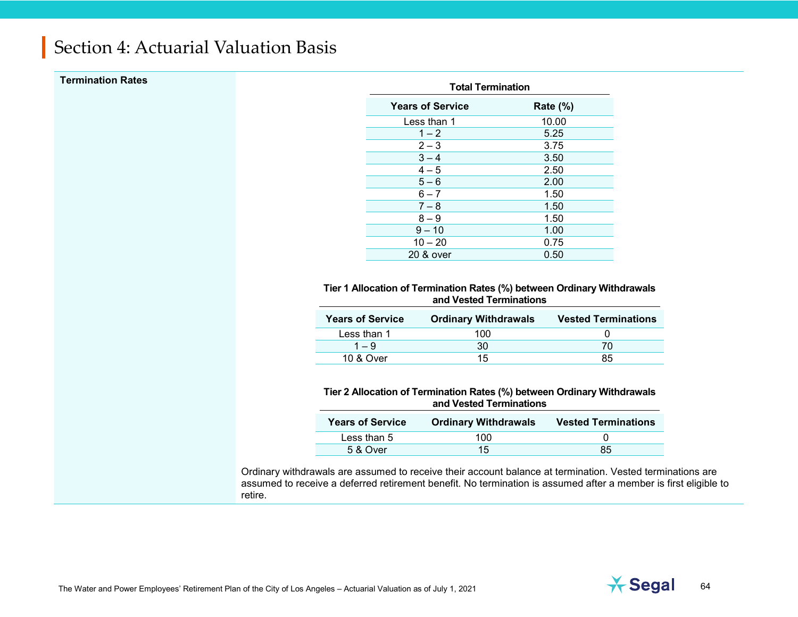| <b>Termination Rates</b> | <b>Total Termination</b> |                                                                                                                 |                            |
|--------------------------|--------------------------|-----------------------------------------------------------------------------------------------------------------|----------------------------|
|                          |                          | <b>Years of Service</b>                                                                                         | Rate $(\%)$                |
|                          |                          | Less than 1                                                                                                     | 10.00                      |
|                          |                          | $1 - 2$                                                                                                         | 5.25                       |
|                          |                          | $2 - 3$                                                                                                         | 3.75                       |
|                          |                          | $3 - 4$                                                                                                         | 3.50                       |
|                          |                          | $4 - 5$                                                                                                         | 2.50                       |
|                          |                          | $5 - 6$                                                                                                         | 2.00                       |
|                          |                          | $6 - 7$                                                                                                         | 1.50                       |
|                          |                          | $7 - 8$                                                                                                         | 1.50                       |
|                          |                          | $8 - 9$                                                                                                         | 1.50                       |
|                          |                          | $9 - 10$                                                                                                        | 1.00                       |
|                          |                          | $10 - 20$                                                                                                       | 0.75                       |
|                          |                          |                                                                                                                 |                            |
|                          |                          | 20 & over<br>Tier 1 Allocation of Termination Rates (%) between Ordinary Withdrawals<br>and Vested Terminations | 0.50                       |
|                          | <b>Years of Service</b>  | <b>Ordinary Withdrawals</b>                                                                                     | <b>Vested Terminations</b> |
|                          | Less than 1              |                                                                                                                 | 0                          |
|                          | $1 - 9$                  | 100<br>30                                                                                                       | 70                         |
|                          | 10 & Over                | 15                                                                                                              | 85                         |
|                          |                          | Tier 2 Allocation of Termination Rates (%) between Ordinary Withdrawals<br>and Vested Terminations              |                            |
|                          | <b>Years of Service</b>  | <b>Ordinary Withdrawals</b>                                                                                     | <b>Vested Terminations</b> |
|                          | Less than 5              | 100                                                                                                             | 0                          |

retire.

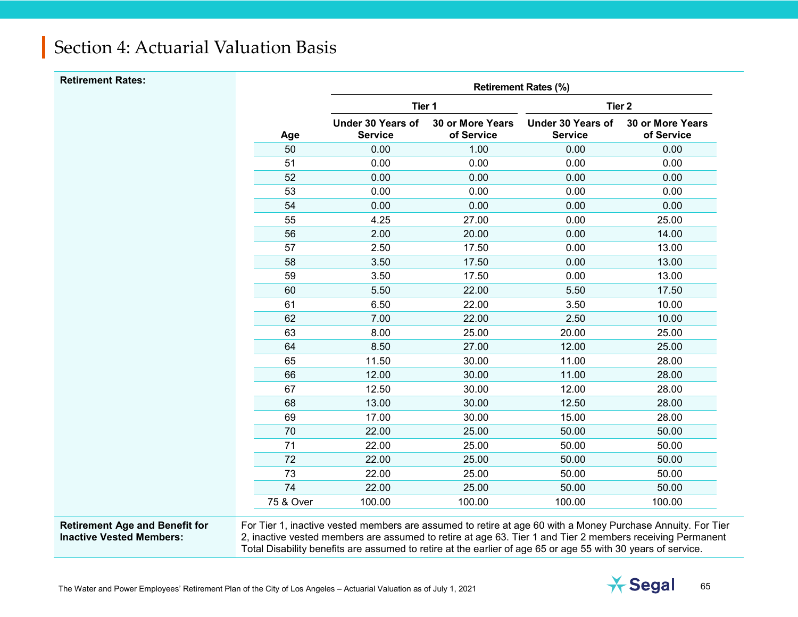| <b>Retirement Rates:</b> |           |                                            |                                       | <b>Retirement Rates (%)</b>                |                                       |
|--------------------------|-----------|--------------------------------------------|---------------------------------------|--------------------------------------------|---------------------------------------|
|                          |           | Tier 1                                     |                                       | Tier <sub>2</sub>                          |                                       |
|                          | Age       | <b>Under 30 Years of</b><br><b>Service</b> | <b>30 or More Years</b><br>of Service | <b>Under 30 Years of</b><br><b>Service</b> | <b>30 or More Years</b><br>of Service |
|                          | 50        | 0.00                                       | 1.00                                  | 0.00                                       | 0.00                                  |
|                          | 51        | 0.00                                       | 0.00                                  | 0.00                                       | 0.00                                  |
|                          | 52        | 0.00                                       | 0.00                                  | 0.00                                       | 0.00                                  |
|                          | 53        | 0.00                                       | 0.00                                  | 0.00                                       | 0.00                                  |
|                          | 54        | 0.00                                       | 0.00                                  | 0.00                                       | 0.00                                  |
|                          | 55        | 4.25                                       | 27.00                                 | 0.00                                       | 25.00                                 |
|                          | 56        | 2.00                                       | 20.00                                 | 0.00                                       | 14.00                                 |
|                          | 57        | 2.50                                       | 17.50                                 | 0.00                                       | 13.00                                 |
|                          | 58        | 3.50                                       | 17.50                                 | 0.00                                       | 13.00                                 |
|                          | 59        | 3.50                                       | 17.50                                 | 0.00                                       | 13.00                                 |
|                          | 60        | 5.50                                       | 22.00                                 | 5.50                                       | 17.50                                 |
|                          | 61        | 6.50                                       | 22.00                                 | 3.50                                       | 10.00                                 |
|                          | 62        | 7.00                                       | 22.00                                 | 2.50                                       | 10.00                                 |
|                          | 63        | 8.00                                       | 25.00                                 | 20.00                                      | 25.00                                 |
|                          | 64        | 8.50                                       | 27.00                                 | 12.00                                      | 25.00                                 |
|                          | 65        | 11.50                                      | 30.00                                 | 11.00                                      | 28.00                                 |
|                          | 66        | 12.00                                      | 30.00                                 | 11.00                                      | 28.00                                 |
|                          | 67        | 12.50                                      | 30.00                                 | 12.00                                      | 28.00                                 |
|                          | 68        | 13.00                                      | 30.00                                 | 12.50                                      | 28.00                                 |
|                          | 69        | 17.00                                      | 30.00                                 | 15.00                                      | 28.00                                 |
|                          | 70        | 22.00                                      | 25.00                                 | 50.00                                      | 50.00                                 |
|                          | 71        | 22.00                                      | 25.00                                 | 50.00                                      | 50.00                                 |
|                          | 72        | 22.00                                      | 25.00                                 | 50.00                                      | 50.00                                 |
|                          | 73        | 22.00                                      | 25.00                                 | 50.00                                      | 50.00                                 |
|                          | 74        | 22.00                                      | 25.00                                 | 50.00                                      | 50.00                                 |
|                          | 75 & Over | 100.00                                     | 100.00                                | 100.00                                     | 100.00                                |
|                          |           |                                            |                                       |                                            |                                       |

#### **Retirement Age and Benefit for Inactive Vested Members:**

For Tier 1, inactive vested members are assumed to retire at age 60 with a Money Purchase Annuity. For Tier 2, inactive vested members are assumed to retire at age 63. Tier 1 and Tier 2 members receiving Permanent Total Disability benefits are assumed to retire at the earlier of age 65 or age 55 with 30 years of service.

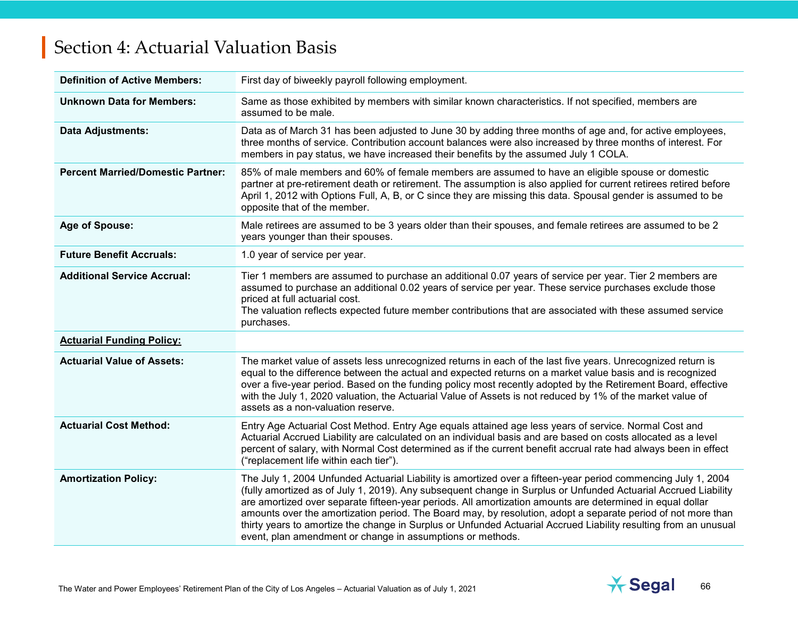| <b>Definition of Active Members:</b>     | First day of biweekly payroll following employment.                                                                                                                                                                                                                                                                                                                                                                                                                                                                                                                                                                                            |
|------------------------------------------|------------------------------------------------------------------------------------------------------------------------------------------------------------------------------------------------------------------------------------------------------------------------------------------------------------------------------------------------------------------------------------------------------------------------------------------------------------------------------------------------------------------------------------------------------------------------------------------------------------------------------------------------|
| <b>Unknown Data for Members:</b>         | Same as those exhibited by members with similar known characteristics. If not specified, members are<br>assumed to be male.                                                                                                                                                                                                                                                                                                                                                                                                                                                                                                                    |
| <b>Data Adjustments:</b>                 | Data as of March 31 has been adjusted to June 30 by adding three months of age and, for active employees,<br>three months of service. Contribution account balances were also increased by three months of interest. For<br>members in pay status, we have increased their benefits by the assumed July 1 COLA.                                                                                                                                                                                                                                                                                                                                |
| <b>Percent Married/Domestic Partner:</b> | 85% of male members and 60% of female members are assumed to have an eligible spouse or domestic<br>partner at pre-retirement death or retirement. The assumption is also applied for current retirees retired before<br>April 1, 2012 with Options Full, A, B, or C since they are missing this data. Spousal gender is assumed to be<br>opposite that of the member.                                                                                                                                                                                                                                                                         |
| Age of Spouse:                           | Male retirees are assumed to be 3 years older than their spouses, and female retirees are assumed to be 2<br>years younger than their spouses.                                                                                                                                                                                                                                                                                                                                                                                                                                                                                                 |
| <b>Future Benefit Accruals:</b>          | 1.0 year of service per year.                                                                                                                                                                                                                                                                                                                                                                                                                                                                                                                                                                                                                  |
| <b>Additional Service Accrual:</b>       | Tier 1 members are assumed to purchase an additional 0.07 years of service per year. Tier 2 members are<br>assumed to purchase an additional 0.02 years of service per year. These service purchases exclude those<br>priced at full actuarial cost.<br>The valuation reflects expected future member contributions that are associated with these assumed service<br>purchases.                                                                                                                                                                                                                                                               |
| <b>Actuarial Funding Policy:</b>         |                                                                                                                                                                                                                                                                                                                                                                                                                                                                                                                                                                                                                                                |
| <b>Actuarial Value of Assets:</b>        | The market value of assets less unrecognized returns in each of the last five years. Unrecognized return is<br>equal to the difference between the actual and expected returns on a market value basis and is recognized<br>over a five-year period. Based on the funding policy most recently adopted by the Retirement Board, effective<br>with the July 1, 2020 valuation, the Actuarial Value of Assets is not reduced by 1% of the market value of<br>assets as a non-valuation reserve.                                                                                                                                                  |
| <b>Actuarial Cost Method:</b>            | Entry Age Actuarial Cost Method. Entry Age equals attained age less years of service. Normal Cost and<br>Actuarial Accrued Liability are calculated on an individual basis and are based on costs allocated as a level<br>percent of salary, with Normal Cost determined as if the current benefit accrual rate had always been in effect<br>("replacement life within each tier").                                                                                                                                                                                                                                                            |
| <b>Amortization Policy:</b>              | The July 1, 2004 Unfunded Actuarial Liability is amortized over a fifteen-year period commencing July 1, 2004<br>(fully amortized as of July 1, 2019). Any subsequent change in Surplus or Unfunded Actuarial Accrued Liability<br>are amortized over separate fifteen-year periods. All amortization amounts are determined in equal dollar<br>amounts over the amortization period. The Board may, by resolution, adopt a separate period of not more than<br>thirty years to amortize the change in Surplus or Unfunded Actuarial Accrued Liability resulting from an unusual<br>event, plan amendment or change in assumptions or methods. |

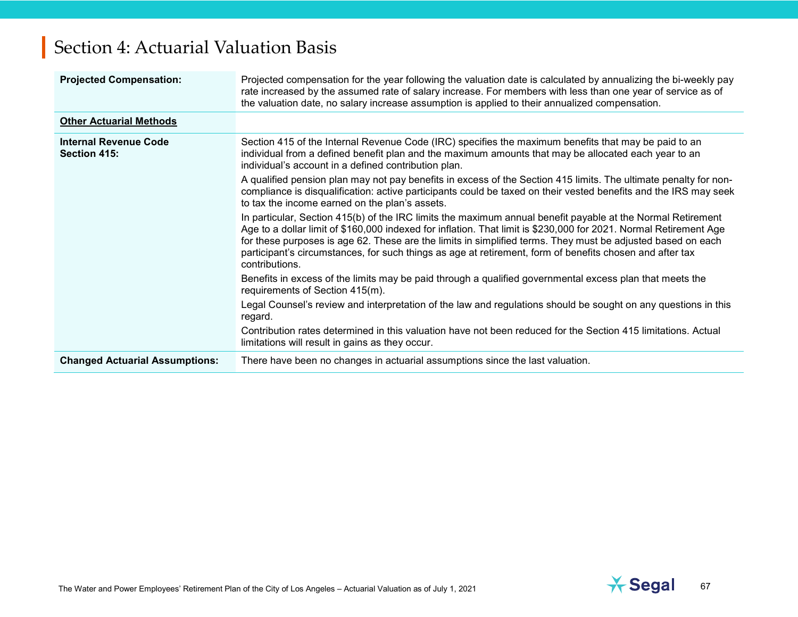| <b>Projected Compensation:</b>               | Projected compensation for the year following the valuation date is calculated by annualizing the bi-weekly pay<br>rate increased by the assumed rate of salary increase. For members with less than one year of service as of<br>the valuation date, no salary increase assumption is applied to their annualized compensation.                                                                                                                                              |
|----------------------------------------------|-------------------------------------------------------------------------------------------------------------------------------------------------------------------------------------------------------------------------------------------------------------------------------------------------------------------------------------------------------------------------------------------------------------------------------------------------------------------------------|
| <b>Other Actuarial Methods</b>               |                                                                                                                                                                                                                                                                                                                                                                                                                                                                               |
| <b>Internal Revenue Code</b><br>Section 415: | Section 415 of the Internal Revenue Code (IRC) specifies the maximum benefits that may be paid to an<br>individual from a defined benefit plan and the maximum amounts that may be allocated each year to an<br>individual's account in a defined contribution plan.                                                                                                                                                                                                          |
|                                              | A qualified pension plan may not pay benefits in excess of the Section 415 limits. The ultimate penalty for non-<br>compliance is disqualification: active participants could be taxed on their vested benefits and the IRS may seek<br>to tax the income earned on the plan's assets.                                                                                                                                                                                        |
|                                              | In particular, Section 415(b) of the IRC limits the maximum annual benefit payable at the Normal Retirement<br>Age to a dollar limit of \$160,000 indexed for inflation. That limit is \$230,000 for 2021. Normal Retirement Age<br>for these purposes is age 62. These are the limits in simplified terms. They must be adjusted based on each<br>participant's circumstances, for such things as age at retirement, form of benefits chosen and after tax<br>contributions. |
|                                              | Benefits in excess of the limits may be paid through a qualified governmental excess plan that meets the<br>requirements of Section 415(m).                                                                                                                                                                                                                                                                                                                                   |
|                                              | Legal Counsel's review and interpretation of the law and regulations should be sought on any questions in this<br>regard.                                                                                                                                                                                                                                                                                                                                                     |
|                                              | Contribution rates determined in this valuation have not been reduced for the Section 415 limitations. Actual<br>limitations will result in gains as they occur.                                                                                                                                                                                                                                                                                                              |
| <b>Changed Actuarial Assumptions:</b>        | There have been no changes in actuarial assumptions since the last valuation.                                                                                                                                                                                                                                                                                                                                                                                                 |

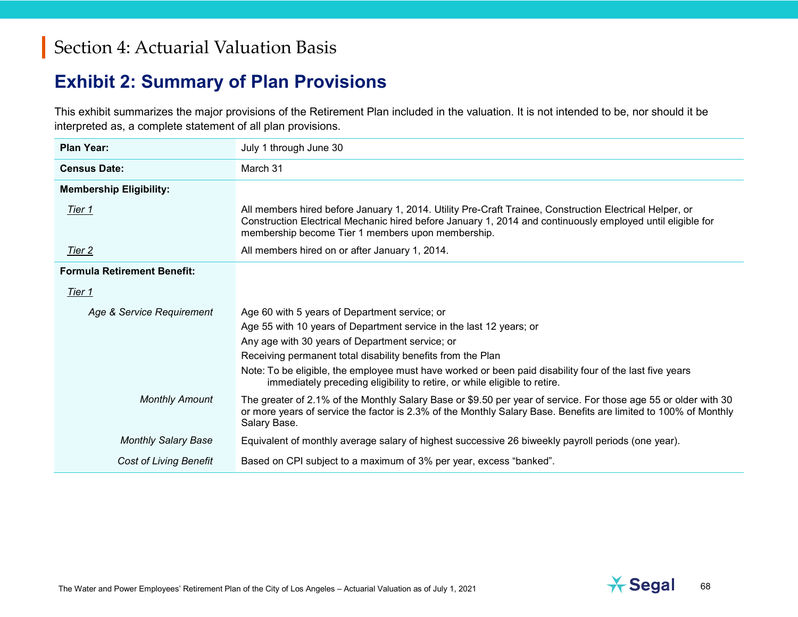#### **Exhibit 2: Summary of Plan Provisions**

This exhibit summarizes the major provisions of the Retirement Plan included in the valuation. It is not intended to be, nor should it be interpreted as, a complete statement of all plan provisions.

| Plan Year:                         | July 1 through June 30                                                                                                                                                                                                                                                     |  |  |
|------------------------------------|----------------------------------------------------------------------------------------------------------------------------------------------------------------------------------------------------------------------------------------------------------------------------|--|--|
| <b>Census Date:</b>                | March 31                                                                                                                                                                                                                                                                   |  |  |
| <b>Membership Eligibility:</b>     |                                                                                                                                                                                                                                                                            |  |  |
| <u>Tier 1</u>                      | All members hired before January 1, 2014. Utility Pre-Craft Trainee, Construction Electrical Helper, or<br>Construction Electrical Mechanic hired before January 1, 2014 and continuously employed until eligible for<br>membership become Tier 1 members upon membership. |  |  |
| <u>Tier 2</u>                      | All members hired on or after January 1, 2014.                                                                                                                                                                                                                             |  |  |
| <b>Formula Retirement Benefit:</b> |                                                                                                                                                                                                                                                                            |  |  |
| Tier 1                             |                                                                                                                                                                                                                                                                            |  |  |
| Age & Service Requirement          | Age 60 with 5 years of Department service; or                                                                                                                                                                                                                              |  |  |
|                                    | Age 55 with 10 years of Department service in the last 12 years; or                                                                                                                                                                                                        |  |  |
|                                    | Any age with 30 years of Department service; or                                                                                                                                                                                                                            |  |  |
|                                    | Receiving permanent total disability benefits from the Plan                                                                                                                                                                                                                |  |  |
|                                    | Note: To be eligible, the employee must have worked or been paid disability four of the last five years<br>immediately preceding eligibility to retire, or while eligible to retire.                                                                                       |  |  |
| <b>Monthly Amount</b>              | The greater of 2.1% of the Monthly Salary Base or \$9.50 per year of service. For those age 55 or older with 30<br>or more years of service the factor is 2.3% of the Monthly Salary Base. Benefits are limited to 100% of Monthly<br>Salary Base.                         |  |  |
| <b>Monthly Salary Base</b>         | Equivalent of monthly average salary of highest successive 26 biweekly payroll periods (one year).                                                                                                                                                                         |  |  |
| <b>Cost of Living Benefit</b>      | Based on CPI subject to a maximum of 3% per year, excess "banked".                                                                                                                                                                                                         |  |  |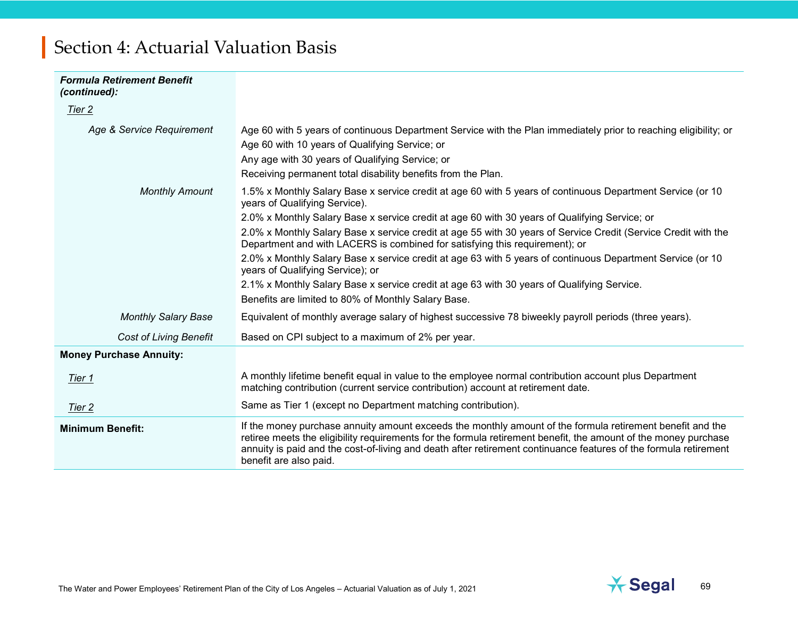| <b>Formula Retirement Benefit</b><br>(continued): |                                                                                                                                                                                                                                                                                                                                                                            |
|---------------------------------------------------|----------------------------------------------------------------------------------------------------------------------------------------------------------------------------------------------------------------------------------------------------------------------------------------------------------------------------------------------------------------------------|
| Tier 2                                            |                                                                                                                                                                                                                                                                                                                                                                            |
| Age & Service Requirement                         | Age 60 with 5 years of continuous Department Service with the Plan immediately prior to reaching eligibility; or<br>Age 60 with 10 years of Qualifying Service; or<br>Any age with 30 years of Qualifying Service; or<br>Receiving permanent total disability benefits from the Plan.                                                                                      |
| <b>Monthly Amount</b>                             | 1.5% x Monthly Salary Base x service credit at age 60 with 5 years of continuous Department Service (or 10<br>years of Qualifying Service).                                                                                                                                                                                                                                |
|                                                   | 2.0% x Monthly Salary Base x service credit at age 60 with 30 years of Qualifying Service; or                                                                                                                                                                                                                                                                              |
|                                                   | 2.0% x Monthly Salary Base x service credit at age 55 with 30 years of Service Credit (Service Credit with the<br>Department and with LACERS is combined for satisfying this requirement); or                                                                                                                                                                              |
|                                                   | 2.0% x Monthly Salary Base x service credit at age 63 with 5 years of continuous Department Service (or 10<br>years of Qualifying Service); or                                                                                                                                                                                                                             |
|                                                   | 2.1% x Monthly Salary Base x service credit at age 63 with 30 years of Qualifying Service.                                                                                                                                                                                                                                                                                 |
|                                                   | Benefits are limited to 80% of Monthly Salary Base.                                                                                                                                                                                                                                                                                                                        |
| <b>Monthly Salary Base</b>                        | Equivalent of monthly average salary of highest successive 78 biweekly payroll periods (three years).                                                                                                                                                                                                                                                                      |
| <b>Cost of Living Benefit</b>                     | Based on CPI subject to a maximum of 2% per year.                                                                                                                                                                                                                                                                                                                          |
| <b>Money Purchase Annuity:</b>                    |                                                                                                                                                                                                                                                                                                                                                                            |
| Tier 1                                            | A monthly lifetime benefit equal in value to the employee normal contribution account plus Department<br>matching contribution (current service contribution) account at retirement date.                                                                                                                                                                                  |
| Tier 2                                            | Same as Tier 1 (except no Department matching contribution).                                                                                                                                                                                                                                                                                                               |
| <b>Minimum Benefit:</b>                           | If the money purchase annuity amount exceeds the monthly amount of the formula retirement benefit and the<br>retiree meets the eligibility requirements for the formula retirement benefit, the amount of the money purchase<br>annuity is paid and the cost-of-living and death after retirement continuance features of the formula retirement<br>benefit are also paid. |

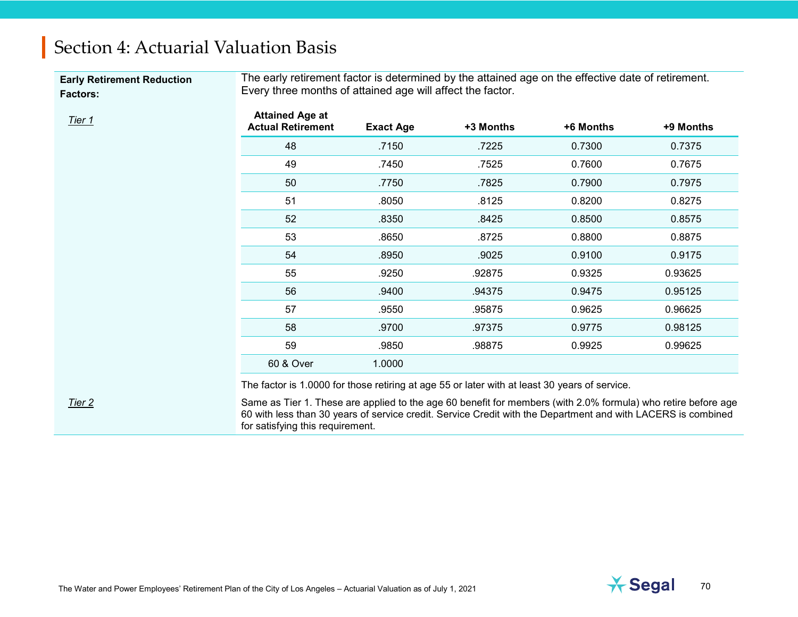**Early Retirement Reduction Factors:**

The early retirement factor is determined by the attained age on the effective date of retirement. Every three months of attained age will affect the factor.

| <b>Attained Age at</b><br><b>Actual Retirement</b> | <b>Exact Age</b> | +3 Months | +6 Months | +9 Months |
|----------------------------------------------------|------------------|-----------|-----------|-----------|
| 48                                                 | .7150            | .7225     | 0.7300    | 0.7375    |
| 49                                                 | .7450            | .7525     | 0.7600    | 0.7675    |
| 50                                                 | .7750            | .7825     | 0.7900    | 0.7975    |
| 51                                                 | .8050            | .8125     | 0.8200    | 0.8275    |
| 52                                                 | .8350            | .8425     | 0.8500    | 0.8575    |
| 53                                                 | .8650            | .8725     | 0.8800    | 0.8875    |
| 54                                                 | .8950            | .9025     | 0.9100    | 0.9175    |
| 55                                                 | .9250            | .92875    | 0.9325    | 0.93625   |
| 56                                                 | .9400            | .94375    | 0.9475    | 0.95125   |
| 57                                                 | .9550            | .95875    | 0.9625    | 0.96625   |
| 58                                                 | .9700            | .97375    | 0.9775    | 0.98125   |
| 59                                                 | .9850            | .98875    | 0.9925    | 0.99625   |
| 60 & Over                                          | 1.0000           |           |           |           |

The factor is 1.0000 for those retiring at age 55 or later with at least 30 years of service.

*Tier 2* Same as Tier 1. These are applied to the age 60 benefit for members (with 2.0% formula) who retire before age 60 with less than 30 years of service credit. Service Credit with the Department and with LACERS is combined for satisfying this requirement.

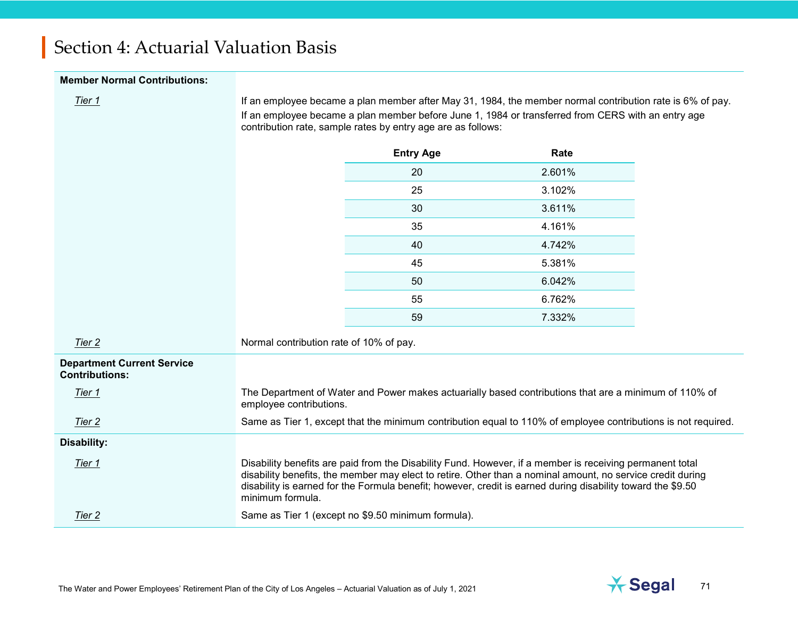#### **Member Normal Contributions:**

*Tier 1* If an employee became a plan member after May 31, 1984, the member normal contribution rate is 6% of pay. If an employee became a plan member before June 1, 1984 or transferred from CERS with an entry age contribution rate, sample rates by entry age are as follows:

|                                                            |                                         | <b>Entry Age</b> | Rate                                                                                                          |
|------------------------------------------------------------|-----------------------------------------|------------------|---------------------------------------------------------------------------------------------------------------|
|                                                            |                                         | 20               | 2.601%                                                                                                        |
|                                                            |                                         | 25               | 3.102%                                                                                                        |
|                                                            |                                         | 30               | 3.611%                                                                                                        |
|                                                            |                                         | 35               | 4.161%                                                                                                        |
|                                                            |                                         | 40               | 4.742%                                                                                                        |
|                                                            |                                         | 45               | 5.381%                                                                                                        |
|                                                            |                                         | 50               | 6.042%                                                                                                        |
|                                                            |                                         | 55               | 6.762%                                                                                                        |
|                                                            |                                         | 59               | 7.332%                                                                                                        |
| Tier 2                                                     | Normal contribution rate of 10% of pay. |                  |                                                                                                               |
| <b>Department Current Service</b><br><b>Contributions:</b> |                                         |                  |                                                                                                               |
| Tier 1                                                     | employee contributions.                 |                  | The Department of Water and Power makes actuarially based contributions that are a minimum of 110% of         |
| Tier 2                                                     |                                         |                  | Same as Tier 1, except that the minimum contribution equal to 110% of employee contributions is not required. |
| Disability:                                                |                                         |                  |                                                                                                               |
| Tier 1                                                     |                                         |                  | Disability benefits are paid from the Disability Fund. However, if a member is receiving permanent total      |

*Tier 1* Disability benefits are paid from the Disability Fund. However, if a member is receiving permanent total disability benefits, the member may elect to retire. Other than a nominal amount, no service credit during disability is earned for the Formula benefit; however, credit is earned during disability toward the \$9.50 minimum formula.

**Tier 2** Same as Tier 1 (except no \$9.50 minimum formula).

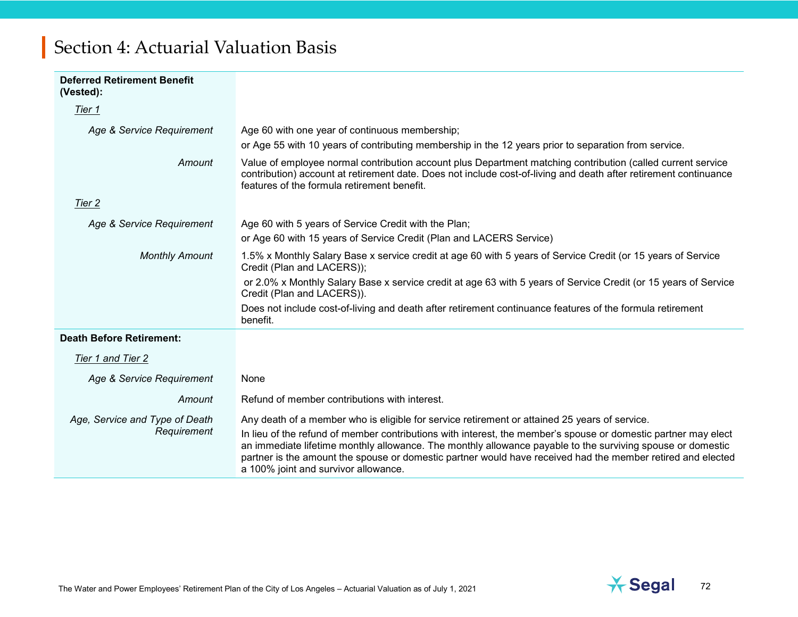| <b>Deferred Retirement Benefit</b><br>(Vested): |                                                                                                                                                                                                                                                                                                                                                                                     |
|-------------------------------------------------|-------------------------------------------------------------------------------------------------------------------------------------------------------------------------------------------------------------------------------------------------------------------------------------------------------------------------------------------------------------------------------------|
| Tier 1                                          |                                                                                                                                                                                                                                                                                                                                                                                     |
| Age & Service Requirement                       | Age 60 with one year of continuous membership;<br>or Age 55 with 10 years of contributing membership in the 12 years prior to separation from service.                                                                                                                                                                                                                              |
| Amount                                          | Value of employee normal contribution account plus Department matching contribution (called current service<br>contribution) account at retirement date. Does not include cost-of-living and death after retirement continuance<br>features of the formula retirement benefit.                                                                                                      |
| Tier 2                                          |                                                                                                                                                                                                                                                                                                                                                                                     |
| Age & Service Requirement                       | Age 60 with 5 years of Service Credit with the Plan;                                                                                                                                                                                                                                                                                                                                |
|                                                 | or Age 60 with 15 years of Service Credit (Plan and LACERS Service)                                                                                                                                                                                                                                                                                                                 |
| <b>Monthly Amount</b>                           | 1.5% x Monthly Salary Base x service credit at age 60 with 5 years of Service Credit (or 15 years of Service<br>Credit (Plan and LACERS));                                                                                                                                                                                                                                          |
|                                                 | or 2.0% x Monthly Salary Base x service credit at age 63 with 5 years of Service Credit (or 15 years of Service<br>Credit (Plan and LACERS)).                                                                                                                                                                                                                                       |
|                                                 | Does not include cost-of-living and death after retirement continuance features of the formula retirement<br>benefit.                                                                                                                                                                                                                                                               |
| <b>Death Before Retirement:</b>                 |                                                                                                                                                                                                                                                                                                                                                                                     |
| Tier 1 and Tier 2                               |                                                                                                                                                                                                                                                                                                                                                                                     |
| Age & Service Requirement                       | None                                                                                                                                                                                                                                                                                                                                                                                |
| Amount                                          | Refund of member contributions with interest.                                                                                                                                                                                                                                                                                                                                       |
| Age, Service and Type of Death                  | Any death of a member who is eligible for service retirement or attained 25 years of service.                                                                                                                                                                                                                                                                                       |
| Requirement                                     | In lieu of the refund of member contributions with interest, the member's spouse or domestic partner may elect<br>an immediate lifetime monthly allowance. The monthly allowance payable to the surviving spouse or domestic<br>partner is the amount the spouse or domestic partner would have received had the member retired and elected<br>a 100% joint and survivor allowance. |